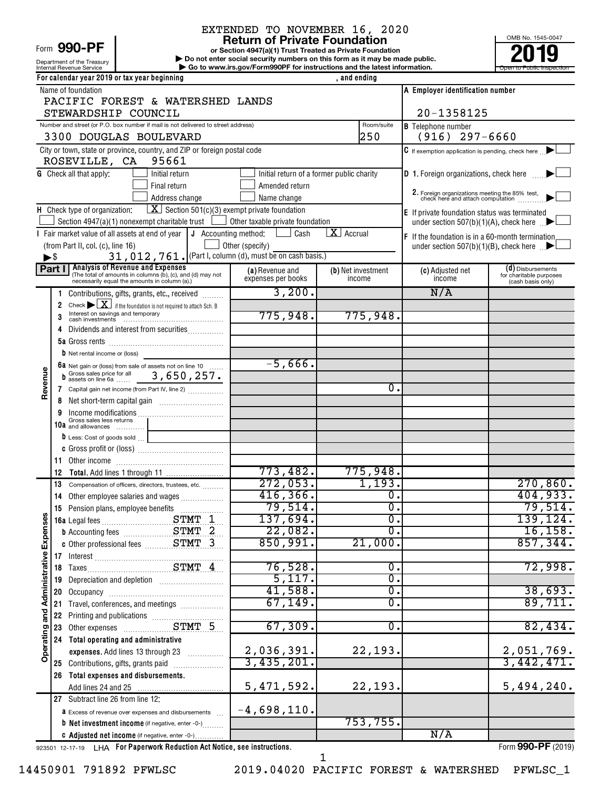# Form 990-PF

Department of the Treasury

# EXTENDED TO NOVEMBER 16, 2020<br>Return of Private Foundation

**or Section 4947(a)(1) Trust Treated as Private Foundation | Do not enter social security numbers on this form as it may be made public. POOPR**<br> **EXECUTER SECUTE AND SOLUTE SECUTE AND SECUTE AND SECUTE AND THE SECUTE OF THE SECUTE OF THE SOLUTE AND SECUTE A<br>
<b>PODE TO AND SOLUTE AND SOLUTE AND SOLUTE AND SOLUTE AND SOLUTE AND SOLUTE AND SOLUTE AND SOLUTE AN** 



|                              |                          | For calendar year 2019 or tax year beginning                                                                                        |                                         | , and ending                              |                                                                                  |                                              |
|------------------------------|--------------------------|-------------------------------------------------------------------------------------------------------------------------------------|-----------------------------------------|-------------------------------------------|----------------------------------------------------------------------------------|----------------------------------------------|
|                              |                          | Name of foundation                                                                                                                  |                                         |                                           | A Employer identification number                                                 |                                              |
|                              |                          | PACIFIC FOREST & WATERSHED LANDS                                                                                                    |                                         |                                           |                                                                                  |                                              |
|                              |                          | STEWARDSHIP COUNCIL                                                                                                                 |                                         |                                           | 20-1358125                                                                       |                                              |
|                              |                          | Number and street (or P.O. box number if mail is not delivered to street address)                                                   | <b>B</b> Telephone number               |                                           |                                                                                  |                                              |
|                              |                          | 3300 DOUGLAS BOULEVARD                                                                                                              |                                         | 250                                       | $(916)$ 297-6660                                                                 |                                              |
|                              |                          | City or town, state or province, country, and ZIP or foreign postal code                                                            |                                         |                                           | C If exemption application is pending, check here                                |                                              |
|                              |                          | ROSEVILLE, CA<br>95661                                                                                                              |                                         |                                           |                                                                                  |                                              |
|                              |                          | <b>G</b> Check all that apply:<br>Initial return                                                                                    |                                         | Initial return of a former public charity | D 1. Foreign organizations, check here                                           |                                              |
|                              |                          | Final return                                                                                                                        | Amended return                          |                                           |                                                                                  |                                              |
|                              |                          | Address change                                                                                                                      | Name change                             |                                           | 2. Foreign organizations meeting the 85% test, check here and attach computation |                                              |
|                              |                          | $\boxed{\mathbf{X}}$ Section 501(c)(3) exempt private foundation<br>H Check type of organization:                                   |                                         |                                           | E If private foundation status was terminated                                    |                                              |
|                              |                          | Section 4947(a)(1) nonexempt charitable trust                                                                                       | $\Box$ Other taxable private foundation |                                           | under section 507(b)(1)(A), check here $\Box$                                    |                                              |
|                              |                          | I Fair market value of all assets at end of year $\vert \mathbf{J} \vert$ Accounting method:                                        | Cash                                    | $\mathbf{X}$ Accrual                      | F If the foundation is in a 60-month termination                                 |                                              |
|                              |                          | (from Part II, col. (c), line 16)                                                                                                   | Other (specify)                         |                                           | under section 507(b)(1)(B), check here $\mathbb{R}$                              |                                              |
|                              | $\blacktriangleright$ \$ | 31, 012, 761. (Part I, column (d), must be on cash basis.)                                                                          |                                         |                                           |                                                                                  |                                              |
|                              |                          | Part I Analysis of Revenue and Expenses<br>(The total of amounts in columns (b), (c), and (d) may not                               | (a) Revenue and                         | (b) Net investment                        | (c) Adjusted net                                                                 | (d) Disbursements<br>for charitable purposes |
|                              |                          | necessarily equal the amounts in column (a).)                                                                                       | expenses per books                      | income                                    | income                                                                           | (cash basis only)                            |
|                              |                          | Contributions, gifts, grants, etc., received                                                                                        | 3,200.                                  |                                           | N/A                                                                              |                                              |
|                              | 2                        | Check $\triangleright$ $\boxed{\mathbf{X}}$ if the foundation is not required to attach Sch. B<br>Interest on savings and temporary |                                         |                                           |                                                                                  |                                              |
|                              | 3                        |                                                                                                                                     | 775,948.                                | 775,948.                                  |                                                                                  |                                              |
|                              | 4                        | Dividends and interest from securities                                                                                              |                                         |                                           |                                                                                  |                                              |
|                              |                          |                                                                                                                                     |                                         |                                           |                                                                                  |                                              |
|                              |                          | <b>b</b> Net rental income or (loss)                                                                                                |                                         |                                           |                                                                                  |                                              |
|                              |                          | 6a Net gain or (loss) from sale of assets not on line 10<br>b Gross sales price for all 3, 650, 257.                                | $-5,666$ .                              |                                           |                                                                                  |                                              |
| Revenue                      |                          |                                                                                                                                     |                                         |                                           |                                                                                  |                                              |
|                              |                          | 7 Capital gain net income (from Part IV, line 2)                                                                                    |                                         | $\mathbf 0$ .                             |                                                                                  |                                              |
|                              | 8                        |                                                                                                                                     |                                         |                                           |                                                                                  |                                              |
|                              |                          | Gross sales less returns                                                                                                            |                                         |                                           |                                                                                  |                                              |
|                              |                          | 10a and allowances                                                                                                                  |                                         |                                           |                                                                                  |                                              |
|                              |                          | D Less: Cost of goods sold                                                                                                          |                                         |                                           |                                                                                  |                                              |
|                              |                          |                                                                                                                                     |                                         |                                           |                                                                                  |                                              |
|                              | 11                       |                                                                                                                                     |                                         |                                           |                                                                                  |                                              |
|                              | 12                       |                                                                                                                                     | 773,482.                                | 775,948.<br>1,193.                        |                                                                                  |                                              |
|                              | 13                       | Compensation of officers, directors, trustees, etc.                                                                                 | 272,053.<br>416, 366.                   | $\overline{0}$ .                          |                                                                                  | 270,860.<br>404,933.                         |
|                              | 14                       | Other employee salaries and wages                                                                                                   | 79,514.                                 | $\overline{0}$ .                          |                                                                                  | 79,514.                                      |
| w                            | 15                       |                                                                                                                                     | 137,694.                                | $\overline{0}$ .                          |                                                                                  | 139, 124.                                    |
|                              |                          |                                                                                                                                     | 22,082.                                 | σ.                                        |                                                                                  |                                              |
| Expense                      |                          | <b>b</b> Accounting fees <b>STMT</b> 2                                                                                              | 850,991.                                | 21,000.                                   |                                                                                  | 16, 158.<br>857, 344.                        |
|                              |                          |                                                                                                                                     |                                         |                                           |                                                                                  |                                              |
|                              |                          |                                                                                                                                     | 76,528.                                 | 0.                                        |                                                                                  | 72,998.                                      |
|                              | 19                       |                                                                                                                                     | 5,117.                                  | $\overline{0}$ .                          |                                                                                  |                                              |
|                              | 20                       |                                                                                                                                     | 41,588.                                 | $\overline{0}$ .                          |                                                                                  | 38,693.                                      |
|                              | 21                       |                                                                                                                                     | 67,149.                                 | σ.                                        |                                                                                  | 89,711.                                      |
| Operating and Administrative | 22                       |                                                                                                                                     |                                         |                                           |                                                                                  |                                              |
|                              | 23                       | Printing and publications<br>Other expenses<br>COMPLET STAT 5                                                                       | 67,309.                                 | $\overline{0}$ .                          |                                                                                  | 82,434.                                      |
|                              | 24                       | Total operating and administrative                                                                                                  |                                         |                                           |                                                                                  |                                              |
|                              |                          | expenses. Add lines 13 through 23                                                                                                   | 2,036,391.                              | 22,193.                                   |                                                                                  | 2,051,769.                                   |
|                              |                          | 25 Contributions, gifts, grants paid                                                                                                | 3,435,201.                              |                                           |                                                                                  | 3,442,471.                                   |
|                              | 26                       | Total expenses and disbursements.                                                                                                   |                                         |                                           |                                                                                  |                                              |
|                              |                          |                                                                                                                                     | 5,471,592.                              | 22,193.                                   |                                                                                  | 5,494,240.                                   |
|                              |                          | 27 Subtract line 26 from line 12:                                                                                                   |                                         |                                           |                                                                                  |                                              |
|                              |                          | <b>a</b> Excess of revenue over expenses and disbursements                                                                          | $-4,698,110.$                           |                                           |                                                                                  |                                              |
|                              |                          | <b>b</b> Net investment income (if negative, enter -0-)                                                                             |                                         | 753, 755.                                 |                                                                                  |                                              |
|                              |                          | C Adjusted net income (if negative, enter -0-)                                                                                      |                                         |                                           | N/A                                                                              |                                              |
|                              |                          |                                                                                                                                     |                                         |                                           |                                                                                  |                                              |

923501 12-17-19 **For Paperwork Reduction Act Notice, see instructions.** LHA Form (2019)

Form **990-PF** (2019)

14450901 791892 PFWLSC 2019.04020 PACIFIC FOREST & WATERSHED PFWLSC\_1

1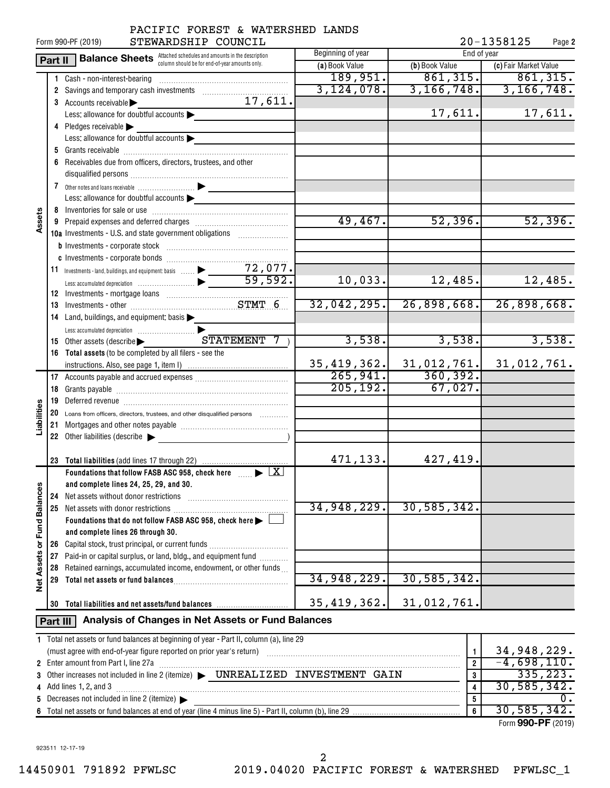|                      | 20-1358125<br>STEWARDSHIP COUNCIL<br>Form 990-PF (2019)<br>Page 2 |                                                                                                                                                               |                         |                  |                       |  |  |  |  |  |
|----------------------|-------------------------------------------------------------------|---------------------------------------------------------------------------------------------------------------------------------------------------------------|-------------------------|------------------|-----------------------|--|--|--|--|--|
|                      | Part II                                                           | <b>Balance Sheets</b> Attached schedules and amounts in the description                                                                                       | Beginning of year       | End of year      |                       |  |  |  |  |  |
|                      |                                                                   | column should be for end-of-year amounts only.                                                                                                                | (a) Book Value          | (b) Book Value   | (c) Fair Market Value |  |  |  |  |  |
|                      |                                                                   | 1 Cash - non-interest-bearing                                                                                                                                 | 189,951.                | 861, 315.        | 861,315.              |  |  |  |  |  |
|                      |                                                                   |                                                                                                                                                               | 3,124,078.              | 3, 166, 748.     | 3, 166, 748.          |  |  |  |  |  |
|                      |                                                                   | 17,611.<br>3 Accounts receivable                                                                                                                              |                         |                  |                       |  |  |  |  |  |
|                      |                                                                   | Less: allowance for doubtful accounts                                                                                                                         |                         | 17,611.          | 17,611.               |  |  |  |  |  |
|                      |                                                                   | 4 Pledges receivable                                                                                                                                          |                         |                  |                       |  |  |  |  |  |
|                      |                                                                   | Less: allowance for doubtful accounts                                                                                                                         |                         |                  |                       |  |  |  |  |  |
|                      |                                                                   |                                                                                                                                                               |                         |                  |                       |  |  |  |  |  |
|                      |                                                                   | 6 Receivables due from officers, directors, trustees, and other                                                                                               |                         |                  |                       |  |  |  |  |  |
|                      |                                                                   |                                                                                                                                                               |                         |                  |                       |  |  |  |  |  |
|                      |                                                                   |                                                                                                                                                               |                         |                  |                       |  |  |  |  |  |
|                      |                                                                   | Less: allowance for doubtful accounts                                                                                                                         |                         |                  |                       |  |  |  |  |  |
|                      |                                                                   |                                                                                                                                                               |                         |                  |                       |  |  |  |  |  |
| Assets               |                                                                   |                                                                                                                                                               | 49,467.                 | 52,396.          | 52,396.               |  |  |  |  |  |
|                      |                                                                   | 10a Investments - U.S. and state government obligations                                                                                                       |                         |                  |                       |  |  |  |  |  |
|                      |                                                                   |                                                                                                                                                               |                         |                  |                       |  |  |  |  |  |
|                      |                                                                   |                                                                                                                                                               |                         |                  |                       |  |  |  |  |  |
|                      |                                                                   |                                                                                                                                                               |                         |                  |                       |  |  |  |  |  |
|                      |                                                                   |                                                                                                                                                               | 10,033.                 | 12,485.          | 12,485.               |  |  |  |  |  |
|                      |                                                                   |                                                                                                                                                               |                         |                  |                       |  |  |  |  |  |
|                      |                                                                   |                                                                                                                                                               | 32,042,295.             | 26,898,668.      | 26,898,668.           |  |  |  |  |  |
|                      |                                                                   | 14 Land, buildings, and equipment: basis >                                                                                                                    |                         |                  |                       |  |  |  |  |  |
|                      |                                                                   |                                                                                                                                                               |                         |                  |                       |  |  |  |  |  |
|                      |                                                                   | 15 Other assets (describe > STATEMENT 7)                                                                                                                      | 3,538.                  | 3,538.           | 3,538.                |  |  |  |  |  |
|                      |                                                                   | 16 Total assets (to be completed by all filers - see the                                                                                                      |                         |                  |                       |  |  |  |  |  |
|                      |                                                                   |                                                                                                                                                               | 35,419,362.             | 31,012,761.      | 31,012,761.           |  |  |  |  |  |
|                      |                                                                   |                                                                                                                                                               | 265,941.                | 360, 392.        |                       |  |  |  |  |  |
|                      |                                                                   |                                                                                                                                                               | 205, 192.               | 67,027.          |                       |  |  |  |  |  |
|                      |                                                                   |                                                                                                                                                               |                         |                  |                       |  |  |  |  |  |
| Liabilities          |                                                                   | 20 Loans from officers, directors, trustees, and other disqualified persons                                                                                   |                         |                  |                       |  |  |  |  |  |
|                      |                                                                   |                                                                                                                                                               |                         |                  |                       |  |  |  |  |  |
|                      |                                                                   | 22 Other liabilities (describe                                                                                                                                |                         |                  |                       |  |  |  |  |  |
|                      |                                                                   |                                                                                                                                                               |                         |                  |                       |  |  |  |  |  |
|                      |                                                                   |                                                                                                                                                               | 471, 133.               | 427,419.         |                       |  |  |  |  |  |
|                      |                                                                   | Foundations that follow FASB ASC 958, check here $\Box$ $\blacktriangleright$ $\Box$                                                                          |                         |                  |                       |  |  |  |  |  |
|                      |                                                                   | and complete lines 24, 25, 29, and 30.                                                                                                                        |                         |                  |                       |  |  |  |  |  |
|                      | 24                                                                | Net assets without donor restrictions                                                                                                                         |                         |                  |                       |  |  |  |  |  |
| <b>Fund Balances</b> |                                                                   |                                                                                                                                                               | 34,948,229.             | 30, 585, 342.    |                       |  |  |  |  |  |
|                      |                                                                   | Foundations that do not follow FASB ASC 958, check here                                                                                                       |                         |                  |                       |  |  |  |  |  |
|                      |                                                                   | and complete lines 26 through 30.                                                                                                                             |                         |                  |                       |  |  |  |  |  |
| ৯                    | 26                                                                | Capital stock, trust principal, or current funds                                                                                                              |                         |                  |                       |  |  |  |  |  |
|                      | 27                                                                | Paid-in or capital surplus, or land, bldg., and equipment fund <i>minimity</i>                                                                                |                         |                  |                       |  |  |  |  |  |
|                      | 28                                                                | Retained earnings, accumulated income, endowment, or other funds                                                                                              |                         |                  |                       |  |  |  |  |  |
| <b>Net Assets</b>    | 29                                                                |                                                                                                                                                               | 34,948,229.             | 30, 585, 342.    |                       |  |  |  |  |  |
|                      |                                                                   |                                                                                                                                                               |                         |                  |                       |  |  |  |  |  |
|                      |                                                                   | 30 Total liabilities and net assets/fund balances                                                                                                             | 35,419,362.             | 31,012,761.      |                       |  |  |  |  |  |
|                      | Analysis of Changes in Net Assets or Fund Balances<br>Part III    |                                                                                                                                                               |                         |                  |                       |  |  |  |  |  |
|                      |                                                                   | 1 Total net assets or fund balances at beginning of year - Part II, column (a), line 29                                                                       |                         |                  |                       |  |  |  |  |  |
|                      |                                                                   | (must agree with end-of-year figure reported on prior year's return) with an accommutation and agree with end-of-year figure reported on prior year's return) |                         | $\mathbf{1}$     | 34,948,229.           |  |  |  |  |  |
|                      |                                                                   | 2 Enter amount from Part I, line 27a                                                                                                                          | $\overline{\mathbf{2}}$ | $-4,698,110.$    |                       |  |  |  |  |  |
|                      |                                                                   |                                                                                                                                                               | $\bf{3}$                | 335, 223.        |                       |  |  |  |  |  |
|                      |                                                                   | 4 Add lines 1, 2, and 3                                                                                                                                       |                         | 4                | 30,585,342.           |  |  |  |  |  |
|                      |                                                                   | 5 Decreases not included in line 2 (itemize) >                                                                                                                |                         | $\boldsymbol{5}$ | 0.                    |  |  |  |  |  |
|                      |                                                                   |                                                                                                                                                               |                         | $\boldsymbol{6}$ | 30, 585, 342.         |  |  |  |  |  |

| 5 Decreases not included in line 2 (itemize) $\blacktriangleright$ |  |
|--------------------------------------------------------------------|--|
|                                                                    |  |

Form (2019) **990-PF** 30,585,342.

923511 12-17-19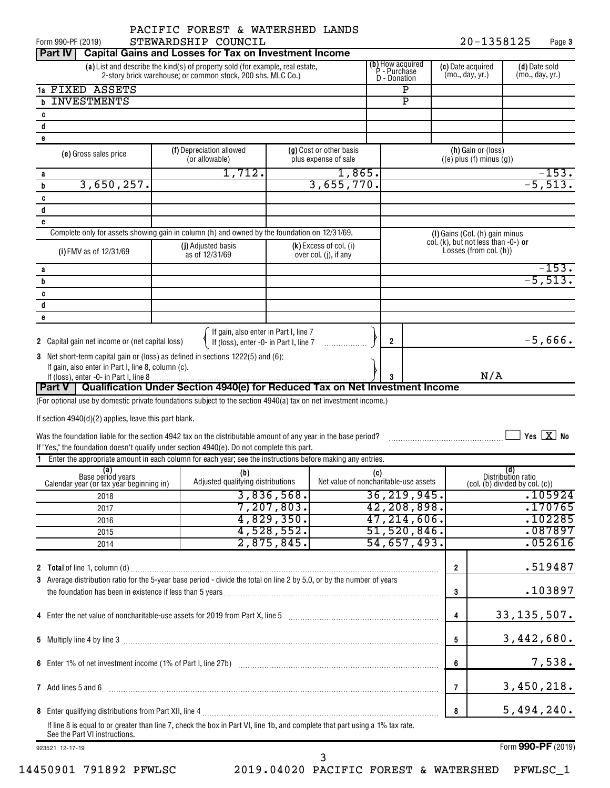20-1358125 Page 3 Form 990-PF (2019)  $\qquad \qquad$  STEWARDSHIP COUNCIL  $\qquad \qquad 20-1358125$  Page

| <b>Part IV</b>                                                                                                                                                                                                 | <b>Capital Gains and Losses for Tax on Investment Income</b>                 |                                                                                 |                                                 |     |                                      |                         |                                  |                                                                  |                                                                                                          |
|----------------------------------------------------------------------------------------------------------------------------------------------------------------------------------------------------------------|------------------------------------------------------------------------------|---------------------------------------------------------------------------------|-------------------------------------------------|-----|--------------------------------------|-------------------------|----------------------------------|------------------------------------------------------------------|----------------------------------------------------------------------------------------------------------|
| <b>(b)</b> How acquired<br><b>P</b> - Purchase<br>(a) List and describe the kind(s) of property sold (for example, real estate,<br>2-story brick warehouse; or common stock, 200 shs. MLC Co.)<br>D - Donation |                                                                              |                                                                                 |                                                 |     | (c) Date acquired<br>(mo., day, yr.) |                         | (d) Date sold<br>(mo., day, yr.) |                                                                  |                                                                                                          |
| 1a FIXED ASSETS                                                                                                                                                                                                |                                                                              |                                                                                 |                                                 |     |                                      | Ρ                       |                                  |                                                                  |                                                                                                          |
| <b>INVESTMENTS</b><br>b                                                                                                                                                                                        |                                                                              |                                                                                 |                                                 |     |                                      | $\overline{\mathtt{P}}$ |                                  |                                                                  |                                                                                                          |
| c                                                                                                                                                                                                              |                                                                              |                                                                                 |                                                 |     |                                      |                         |                                  |                                                                  |                                                                                                          |
| d                                                                                                                                                                                                              |                                                                              |                                                                                 |                                                 |     |                                      |                         |                                  |                                                                  |                                                                                                          |
| e                                                                                                                                                                                                              |                                                                              |                                                                                 |                                                 |     |                                      |                         |                                  |                                                                  |                                                                                                          |
| (e) Gross sales price                                                                                                                                                                                          | (f) Depreciation allowed<br>(or allowable)                                   |                                                                                 | (g) Cost or other basis<br>plus expense of sale |     |                                      |                         |                                  | (h) Gain or (loss)<br>$((e)$ plus $(f)$ minus $(g)$ )            |                                                                                                          |
| а                                                                                                                                                                                                              | 1,712.                                                                       |                                                                                 | 1,865.                                          |     |                                      |                         |                                  |                                                                  | $-153.$                                                                                                  |
| 3,650,257.<br>b                                                                                                                                                                                                |                                                                              |                                                                                 | 3,655,770.                                      |     |                                      |                         |                                  |                                                                  | $-5,513.$                                                                                                |
| C                                                                                                                                                                                                              |                                                                              |                                                                                 |                                                 |     |                                      |                         |                                  |                                                                  |                                                                                                          |
| d                                                                                                                                                                                                              |                                                                              |                                                                                 |                                                 |     |                                      |                         |                                  |                                                                  |                                                                                                          |
| e<br>Complete only for assets showing gain in column (h) and owned by the foundation on 12/31/69.                                                                                                              |                                                                              |                                                                                 |                                                 |     |                                      |                         |                                  | (I) Gains (Col. (h) gain minus                                   |                                                                                                          |
| (i) FMV as of 12/31/69                                                                                                                                                                                         | (j) Adjusted basis<br>as of 12/31/69                                         |                                                                                 | $(k)$ Excess of col. (i)                        |     |                                      |                         |                                  | col. (k), but not less than $-0$ -) or<br>Losses (from col. (h)) |                                                                                                          |
|                                                                                                                                                                                                                |                                                                              |                                                                                 | over col. (j), if any                           |     |                                      |                         |                                  |                                                                  |                                                                                                          |
| а                                                                                                                                                                                                              |                                                                              |                                                                                 |                                                 |     |                                      |                         |                                  |                                                                  | $-153.$<br>$-5,513.$                                                                                     |
| b                                                                                                                                                                                                              |                                                                              |                                                                                 |                                                 |     |                                      |                         |                                  |                                                                  |                                                                                                          |
| C<br>d                                                                                                                                                                                                         |                                                                              |                                                                                 |                                                 |     |                                      |                         |                                  |                                                                  |                                                                                                          |
| e                                                                                                                                                                                                              |                                                                              |                                                                                 |                                                 |     |                                      |                         |                                  |                                                                  |                                                                                                          |
|                                                                                                                                                                                                                |                                                                              |                                                                                 |                                                 |     |                                      |                         |                                  |                                                                  |                                                                                                          |
| <b>2</b> Capital gain net income or (net capital loss)                                                                                                                                                         |                                                                              | If gain, also enter in Part I, line 7<br>If (loss), enter -0- in Part I, line 7 |                                                 |     | $\overline{2}$                       |                         |                                  |                                                                  | $-5,666.$                                                                                                |
| 3 Net short-term capital gain or (loss) as defined in sections 1222(5) and (6):<br>If gain, also enter in Part I, line 8, column (c).                                                                          |                                                                              |                                                                                 |                                                 |     |                                      |                         |                                  |                                                                  |                                                                                                          |
|                                                                                                                                                                                                                |                                                                              |                                                                                 |                                                 |     | 3                                    |                         |                                  | N/A                                                              |                                                                                                          |
| Part V                                                                                                                                                                                                         | Qualification Under Section 4940(e) for Reduced Tax on Net Investment Income |                                                                                 |                                                 |     |                                      |                         |                                  |                                                                  |                                                                                                          |
| (For optional use by domestic private foundations subject to the section 4940(a) tax on net investment income.)                                                                                                |                                                                              |                                                                                 |                                                 |     |                                      |                         |                                  |                                                                  |                                                                                                          |
|                                                                                                                                                                                                                |                                                                              |                                                                                 |                                                 |     |                                      |                         |                                  |                                                                  |                                                                                                          |
| If section 4940(d)(2) applies, leave this part blank.                                                                                                                                                          |                                                                              |                                                                                 |                                                 |     |                                      |                         |                                  |                                                                  |                                                                                                          |
| Was the foundation liable for the section 4942 tax on the distributable amount of any year in the base period?                                                                                                 |                                                                              |                                                                                 |                                                 |     |                                      |                         |                                  |                                                                  | Yes $X$ No                                                                                               |
| If "Yes," the foundation doesn't qualify under section 4940(e). Do not complete this part.                                                                                                                     |                                                                              |                                                                                 |                                                 |     |                                      |                         |                                  |                                                                  |                                                                                                          |
| 1 Enter the appropriate amount in each column for each year; see the instructions before making any entries.                                                                                                   |                                                                              |                                                                                 |                                                 |     |                                      |                         |                                  |                                                                  |                                                                                                          |
| (a)<br>Base period years<br>Calendar year (or tax year beginning in)                                                                                                                                           | (b)<br>Adjusted qualifying distributions                                     |                                                                                 | Net value of noncharitable-use assets           | (c) |                                      |                         |                                  |                                                                  | (d)<br>Distribution ratio<br>$\left(\text{col.}(\mathbf{b})\right)$ divided by $\text{col.}(\mathbf{c})$ |
| 2018                                                                                                                                                                                                           |                                                                              | 3,836,568.                                                                      |                                                 |     |                                      | 36, 219, 945.           |                                  |                                                                  | .105924                                                                                                  |
| 2017                                                                                                                                                                                                           |                                                                              | 7,207,803.                                                                      |                                                 |     |                                      | 42,208,898.             |                                  |                                                                  | .170765                                                                                                  |
| 2016                                                                                                                                                                                                           |                                                                              | 4,829,350.                                                                      |                                                 |     |                                      | 47, 214, 606.           |                                  |                                                                  | .102285                                                                                                  |
| 2015                                                                                                                                                                                                           |                                                                              | 4,528,552.                                                                      |                                                 |     |                                      | 51,520,846.             |                                  |                                                                  | .087897                                                                                                  |
| 2014                                                                                                                                                                                                           |                                                                              | 2,875,845.                                                                      |                                                 |     |                                      | 54,657,493.             |                                  |                                                                  | .052616                                                                                                  |
|                                                                                                                                                                                                                |                                                                              |                                                                                 |                                                 |     |                                      |                         | $\overline{2}$                   |                                                                  | .519487                                                                                                  |
| 3 Average distribution ratio for the 5-year base period - divide the total on line 2 by 5.0, or by the number of years                                                                                         |                                                                              |                                                                                 |                                                 |     |                                      |                         | 3                                |                                                                  | .103897                                                                                                  |
|                                                                                                                                                                                                                |                                                                              |                                                                                 |                                                 |     |                                      |                         |                                  |                                                                  |                                                                                                          |
| 4 Enter the net value of noncharitable-use assets for 2019 from Part X, line 5 [11] manufacture manufacture manufacture of a line of $\sim$                                                                    |                                                                              |                                                                                 |                                                 |     |                                      |                         | $\overline{4}$                   |                                                                  | 33, 135, 507.                                                                                            |
|                                                                                                                                                                                                                |                                                                              |                                                                                 |                                                 |     |                                      |                         | 5                                |                                                                  | 3,442,680.                                                                                               |
|                                                                                                                                                                                                                |                                                                              |                                                                                 |                                                 |     |                                      |                         | 6                                |                                                                  | 7,538.                                                                                                   |
| 7 Add lines 5 and 6                                                                                                                                                                                            |                                                                              |                                                                                 |                                                 |     |                                      |                         | $\overline{7}$                   |                                                                  | 3,450,218.                                                                                               |
|                                                                                                                                                                                                                |                                                                              |                                                                                 |                                                 |     |                                      |                         | 8                                |                                                                  | 5,494,240.                                                                                               |
| If line 8 is equal to or greater than line 7, check the box in Part VI, line 1b, and complete that part using a 1% tax rate.<br>See the Part VI instructions.                                                  |                                                                              |                                                                                 |                                                 |     |                                      |                         |                                  |                                                                  |                                                                                                          |
| 923521 12-17-19                                                                                                                                                                                                |                                                                              |                                                                                 |                                                 |     |                                      |                         |                                  |                                                                  | Form 990-PF (2019)                                                                                       |

14450901 791892 PFWLSC 2019.04020 PACIFIC FOREST & WATERSHED PFWLSC\_1

3

Form (2019) **990-PF**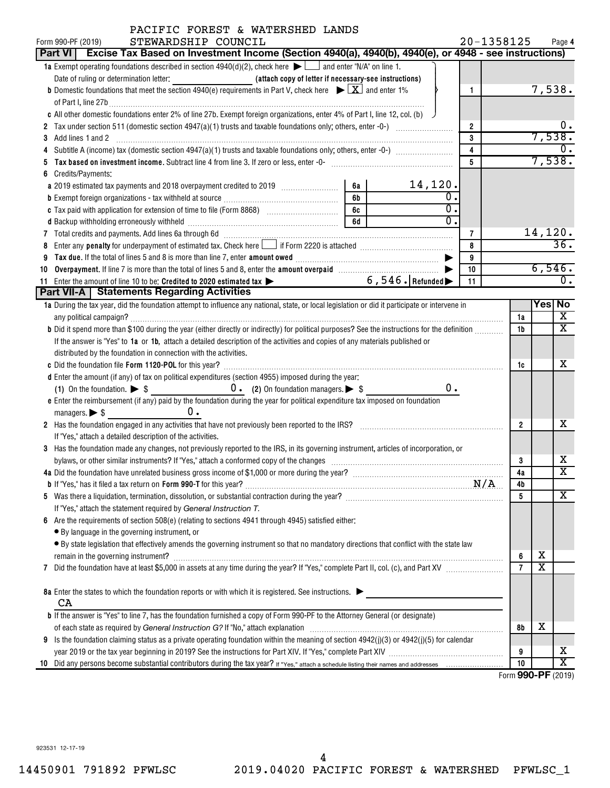| PACIFIC FOREST & WATERSHED LANDS                                                                                                                              |           |                  |                         | 20-1358125 |                             |                         |                            |
|---------------------------------------------------------------------------------------------------------------------------------------------------------------|-----------|------------------|-------------------------|------------|-----------------------------|-------------------------|----------------------------|
| STEWARDSHIP COUNCIL<br>Form 990-PF (2019)<br>Excise Tax Based on Investment Income (Section 4940(a), 4940(b), 4940(e), or 4948 - see instructions)<br>Part VI |           |                  |                         |            |                             |                         | Page 4                     |
| <b>1a</b> Exempt operating foundations described in section $4940(d)(2)$ , check here $\blacktriangleright$ $\blacksquare$ and enter "N/A" on line 1.         |           |                  |                         |            |                             |                         |                            |
|                                                                                                                                                               |           |                  |                         |            |                             |                         |                            |
| <b>b</b> Domestic foundations that meet the section 4940(e) requirements in Part V, check here $\blacktriangleright \boxed{X}$ and enter 1%                   |           |                  | 1                       |            |                             | 7,538.                  |                            |
|                                                                                                                                                               |           |                  |                         |            |                             |                         |                            |
| c All other domestic foundations enter 2% of line 27b. Exempt foreign organizations, enter 4% of Part I, line 12, col. (b)                                    |           |                  |                         |            |                             |                         |                            |
|                                                                                                                                                               |           |                  | $\overline{2}$          |            |                             |                         | υ.                         |
| Add lines 1 and 2<br>3                                                                                                                                        |           |                  | 3                       |            |                             | 7,538.                  |                            |
|                                                                                                                                                               |           |                  | $\overline{\mathbf{4}}$ |            |                             |                         | 0.                         |
|                                                                                                                                                               |           |                  | 5                       |            |                             | 7,538.                  |                            |
| Credits/Payments:<br>6                                                                                                                                        |           |                  |                         |            |                             |                         |                            |
|                                                                                                                                                               | 6a        | 14,120.          |                         |            |                             |                         |                            |
|                                                                                                                                                               | 6b        | $\overline{0}$ . |                         |            |                             |                         |                            |
|                                                                                                                                                               | 6c        | $\overline{0}$ . |                         |            |                             |                         |                            |
|                                                                                                                                                               | <b>6d</b> | $\overline{0}$ . |                         |            |                             |                         |                            |
|                                                                                                                                                               |           |                  | 7                       |            |                             | 14,120.                 |                            |
| 8                                                                                                                                                             |           |                  | 8                       |            |                             |                         | 36.                        |
| 9                                                                                                                                                             |           |                  | 9                       |            |                             |                         |                            |
| Overpayment. If line 7 is more than the total of lines 5 and 8, enter the amount overpaid manufactured and S,<br>10                                           |           |                  | 10                      |            |                             | 6,546.                  |                            |
| $\overbrace{6,546}$ Refunded<br>Enter the amount of line 10 to be: Credited to 2020 estimated tax ><br>11                                                     |           |                  | 11                      |            |                             |                         | Ο.                         |
| Part VII-A   Statements Regarding Activities                                                                                                                  |           |                  |                         |            |                             |                         |                            |
| 1a During the tax year, did the foundation attempt to influence any national, state, or local legislation or did it participate or intervene in               |           |                  |                         |            |                             | Yes No                  |                            |
|                                                                                                                                                               |           |                  |                         |            | 1a                          |                         | $\overline{\mathbf{X}}$    |
| b Did it spend more than \$100 during the year (either directly or indirectly) for political purposes? See the instructions for the definition                |           |                  |                         |            | 1b                          |                         | $\mathbf x$                |
| If the answer is "Yes" to 1a or 1b, attach a detailed description of the activities and copies of any materials published or                                  |           |                  |                         |            |                             |                         |                            |
| distributed by the foundation in connection with the activities.                                                                                              |           |                  |                         |            |                             |                         |                            |
|                                                                                                                                                               |           |                  |                         |            | 1c                          |                         | x                          |
| d Enter the amount (if any) of tax on political expenditures (section 4955) imposed during the year:                                                          |           |                  |                         |            |                             |                         |                            |
| (1) On the foundation. $\triangleright$ \$ 0. (2) On foundation managers. $\triangleright$ \$                                                                 |           | 0.               |                         |            |                             |                         |                            |
| e Enter the reimbursement (if any) paid by the foundation during the year for political expenditure tax imposed on foundation                                 |           |                  |                         |            |                             |                         |                            |
| 0.<br>managers. $\triangleright$ \$                                                                                                                           |           |                  |                         |            |                             |                         |                            |
| 2 Has the foundation engaged in any activities that have not previously been reported to the IRS? [[[[[[[[[[[[[[[[[[[[[[[]]]]]]]]]                            |           |                  |                         |            | $\overline{2}$              |                         | x                          |
| If "Yes," attach a detailed description of the activities.                                                                                                    |           |                  |                         |            |                             |                         |                            |
| 3 Has the foundation made any changes, not previously reported to the IRS, in its governing instrument, articles of incorporation, or                         |           |                  |                         |            |                             |                         |                            |
| bylaws, or other similar instruments? If "Yes," attach a conformed copy of the changes                                                                        |           |                  |                         |            | 3                           |                         | x                          |
| 4a Did the foundation have unrelated business gross income of \$1,000 or more during the year?                                                                |           |                  |                         |            | 4a                          |                         | $\overline{\text{x}}$      |
|                                                                                                                                                               |           |                  |                         | N/A        | 4b                          |                         |                            |
|                                                                                                                                                               |           |                  |                         |            | 5                           |                         | X                          |
| If "Yes," attach the statement required by General Instruction T.                                                                                             |           |                  |                         |            |                             |                         |                            |
| Are the requirements of section $508(e)$ (relating to sections 4941 through 4945) satisfied either:<br>6                                                      |           |                  |                         |            |                             |                         |                            |
| • By language in the governing instrument, or                                                                                                                 |           |                  |                         |            |                             |                         |                            |
| • By state legislation that effectively amends the governing instrument so that no mandatory directions that conflict with the state law                      |           |                  |                         |            |                             |                         |                            |
|                                                                                                                                                               |           |                  |                         |            | 6                           | х                       |                            |
| 7                                                                                                                                                             |           |                  |                         |            | $\overline{7}$              | $\overline{\textbf{x}}$ |                            |
|                                                                                                                                                               |           |                  |                         |            |                             |                         |                            |
| 8a Enter the states to which the foundation reports or with which it is registered. See instructions.                                                         |           |                  |                         |            |                             |                         |                            |
| CA                                                                                                                                                            |           |                  |                         |            |                             |                         |                            |
| b If the answer is "Yes" to line 7, has the foundation furnished a copy of Form 990-PF to the Attorney General (or designate)                                 |           |                  |                         |            |                             |                         |                            |
|                                                                                                                                                               |           |                  |                         |            | 8b                          | х                       |                            |
| Is the foundation claiming status as a private operating foundation within the meaning of section 4942(j)(3) or 4942(j)(5) for calendar<br>9                  |           |                  |                         |            |                             |                         |                            |
|                                                                                                                                                               |           |                  |                         |            | 9                           |                         | х<br>$\overline{\text{x}}$ |
| 10                                                                                                                                                            |           |                  |                         |            | 10<br>$F_{2}$ (000 DE (0010 |                         |                            |

Form (2019) **990-PF**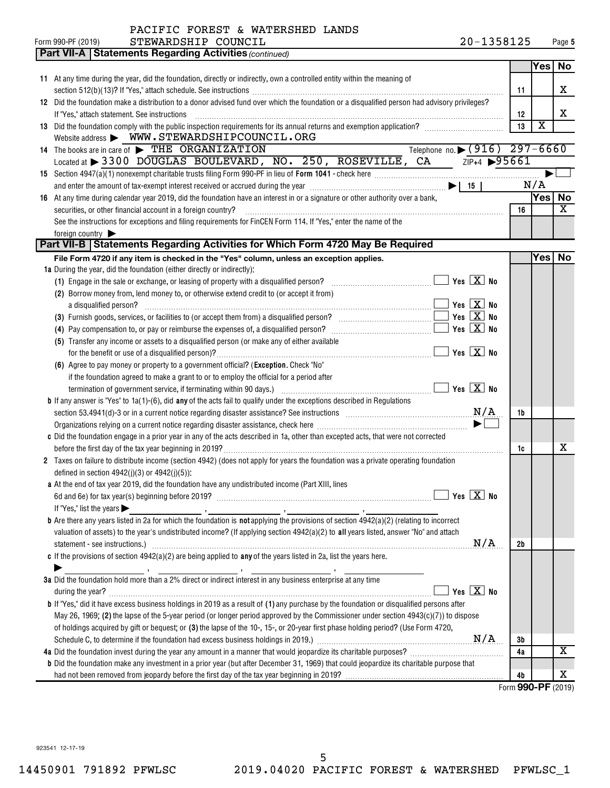| PACIFIC FOREST & WATERSHED LANDS |  |  |  |
|----------------------------------|--|--|--|
|----------------------------------|--|--|--|

| <b>Part VII-A   Statements Regarding Activities (continued)</b><br>Yes No<br>11 At any time during the year, did the foundation, directly or indirectly, own a controlled entity within the meaning of<br>х<br>11<br>12 Did the foundation make a distribution to a donor advised fund over which the foundation or a disqualified person had advisory privileges?<br>х<br>If "Yes," attach statement. See instructions<br>12<br>$\overline{\mathbf{X}}$<br>13 Did the foundation comply with the public inspection requirements for its annual returns and exemption application?<br>13<br>Website address > WWW.STEWARDSHIPCOUNCIL.ORG<br>Telephone no. $\sqrt{(916)}$ 297-6660<br>14 The books are in care of FIHE ORGANIZATION<br>$\frac{21}{5}$ $\sqrt{218+4}$ >95661<br>Located at $>$ 3300 DOUGLAS BOULEVARD, NO. 250, ROSEVILLE, CA<br>N/A<br>Yes   No<br>At any time during calendar year 2019, did the foundation have an interest in or a signature or other authority over a bank,<br>16<br>X<br>securities, or other financial account in a foreign country?<br>16<br>See the instructions for exceptions and filing requirements for FinCEN Form 114. If "Yes," enter the name of the<br>foreign country<br>Part VII-B   Statements Regarding Activities for Which Form 4720 May Be Required<br>Yes No<br>File Form 4720 if any item is checked in the "Yes" column, unless an exception applies.<br>1a During the year, did the foundation (either directly or indirectly):<br>(1) Engage in the sale or exchange, or leasing of property with a disqualified person? $\ldots$ $\ldots$ $\ldots$ $\ldots$ $\ldots$ $\ldots$ Yes $\boxed{\mathbf{X}}$ No<br>(2) Borrow money from, lend money to, or otherwise extend credit to (or accept it from)<br>$\overline{\phantom{a}}$ Yes $\overline{\phantom{a}X}$ No<br>a disqualified person?<br>(5) Transfer any income or assets to a disqualified person (or make any of either available<br>$\Box$ Yes $\boxed{\text{X}}$ No<br>(6) Agree to pay money or property to a government official? (Exception. Check "No"<br>if the foundation agreed to make a grant to or to employ the official for a period after<br><b>b</b> If any answer is "Yes" to $1a(1)$ -(6), did any of the acts fail to qualify under the exceptions described in Regulations<br>section 53.4941(d)-3 or in a current notice regarding disaster assistance? See instructions $M/A$<br>1b<br>Organizations relying on a current notice regarding disaster assistance, check here <i>manumanamamamamamamamam</i><br>c Did the foundation engage in a prior year in any of the acts described in 1a, other than excepted acts, that were not corrected<br>x<br>1c<br>Taxes on failure to distribute income (section 4942) (does not apply for years the foundation was a private operating foundation<br>2<br>defined in section $4942(j)(3)$ or $4942(j)(5)$ :<br>a At the end of tax year 2019, did the foundation have any undistributed income (Part XIII, lines<br>$\Box$ Yes $\boxed{\text{X}}$ No<br>If "Yes," list the years $\blacktriangleright$<br><b>b</b> Are there any years listed in 2a for which the foundation is <b>not</b> applying the provisions of section $4942(a)(2)$ (relating to incorrect<br>valuation of assets) to the year's undistributed income? (If applying section 4942(a)(2) to all years listed, answer "No" and attach<br>N/A<br>2b<br>c If the provisions of section $4942(a)(2)$ are being applied to any of the years listed in 2a, list the years here.<br>3a Did the foundation hold more than a 2% direct or indirect interest in any business enterprise at any time<br>Yes $X$ No<br>during the year?<br><b>b</b> If "Yes," did it have excess business holdings in 2019 as a result of (1) any purchase by the foundation or disqualified persons after<br>May 26, 1969; (2) the lapse of the 5-year period (or longer period approved by the Commissioner under section $4943(c)(7)$ ) to dispose<br>of holdings acquired by gift or bequest; or (3) the lapse of the 10-, 15-, or 20-year first phase holding period? (Use Form 4720,<br>3b<br>$\overline{\text{X}}$<br>4a<br><b>b</b> Did the foundation make any investment in a prior year (but after December 31, 1969) that could jeopardize its charitable purpose that | STEWARDSHIP COUNCIL<br>Form 990-PF (2019) | 20-1358125 |  | Page 5 |
|---------------------------------------------------------------------------------------------------------------------------------------------------------------------------------------------------------------------------------------------------------------------------------------------------------------------------------------------------------------------------------------------------------------------------------------------------------------------------------------------------------------------------------------------------------------------------------------------------------------------------------------------------------------------------------------------------------------------------------------------------------------------------------------------------------------------------------------------------------------------------------------------------------------------------------------------------------------------------------------------------------------------------------------------------------------------------------------------------------------------------------------------------------------------------------------------------------------------------------------------------------------------------------------------------------------------------------------------------------------------------------------------------------------------------------------------------------------------------------------------------------------------------------------------------------------------------------------------------------------------------------------------------------------------------------------------------------------------------------------------------------------------------------------------------------------------------------------------------------------------------------------------------------------------------------------------------------------------------------------------------------------------------------------------------------------------------------------------------------------------------------------------------------------------------------------------------------------------------------------------------------------------------------------------------------------------------------------------------------------------------------------------------------------------------------------------------------------------------------------------------------------------------------------------------------------------------------------------------------------------------------------------------------------------------------------------------------------------------------------------------------------------------------------------------------------------------------------------------------------------------------------------------------------------------------------------------------------------------------------------------------------------------------------------------------------------------------------------------------------------------------------------------------------------------------------------------------------------------------------------------------------------------------------------------------------------------------------------------------------------------------------------------------------------------------------------------------------------------------------------------------------------------------------------------------------------------------------------------------------------------------------------------------------------------------------------------------------------------------------------------------------------------------------------------------------------------------------------------------------------------------------------------------------------------------------------------------------------------------------------------------------------------------------------------------------------------------------------------------------------------------------------------------------------------------------------------------------------------------------------------------------------------------------------------------------------|-------------------------------------------|------------|--|--------|
|                                                                                                                                                                                                                                                                                                                                                                                                                                                                                                                                                                                                                                                                                                                                                                                                                                                                                                                                                                                                                                                                                                                                                                                                                                                                                                                                                                                                                                                                                                                                                                                                                                                                                                                                                                                                                                                                                                                                                                                                                                                                                                                                                                                                                                                                                                                                                                                                                                                                                                                                                                                                                                                                                                                                                                                                                                                                                                                                                                                                                                                                                                                                                                                                                                                                                                                                                                                                                                                                                                                                                                                                                                                                                                                                                                                                                                                                                                                                                                                                                                                                                                                                                                                                                                                                                                                     |                                           |            |  |        |
|                                                                                                                                                                                                                                                                                                                                                                                                                                                                                                                                                                                                                                                                                                                                                                                                                                                                                                                                                                                                                                                                                                                                                                                                                                                                                                                                                                                                                                                                                                                                                                                                                                                                                                                                                                                                                                                                                                                                                                                                                                                                                                                                                                                                                                                                                                                                                                                                                                                                                                                                                                                                                                                                                                                                                                                                                                                                                                                                                                                                                                                                                                                                                                                                                                                                                                                                                                                                                                                                                                                                                                                                                                                                                                                                                                                                                                                                                                                                                                                                                                                                                                                                                                                                                                                                                                                     |                                           |            |  |        |
|                                                                                                                                                                                                                                                                                                                                                                                                                                                                                                                                                                                                                                                                                                                                                                                                                                                                                                                                                                                                                                                                                                                                                                                                                                                                                                                                                                                                                                                                                                                                                                                                                                                                                                                                                                                                                                                                                                                                                                                                                                                                                                                                                                                                                                                                                                                                                                                                                                                                                                                                                                                                                                                                                                                                                                                                                                                                                                                                                                                                                                                                                                                                                                                                                                                                                                                                                                                                                                                                                                                                                                                                                                                                                                                                                                                                                                                                                                                                                                                                                                                                                                                                                                                                                                                                                                                     |                                           |            |  |        |
|                                                                                                                                                                                                                                                                                                                                                                                                                                                                                                                                                                                                                                                                                                                                                                                                                                                                                                                                                                                                                                                                                                                                                                                                                                                                                                                                                                                                                                                                                                                                                                                                                                                                                                                                                                                                                                                                                                                                                                                                                                                                                                                                                                                                                                                                                                                                                                                                                                                                                                                                                                                                                                                                                                                                                                                                                                                                                                                                                                                                                                                                                                                                                                                                                                                                                                                                                                                                                                                                                                                                                                                                                                                                                                                                                                                                                                                                                                                                                                                                                                                                                                                                                                                                                                                                                                                     |                                           |            |  |        |
|                                                                                                                                                                                                                                                                                                                                                                                                                                                                                                                                                                                                                                                                                                                                                                                                                                                                                                                                                                                                                                                                                                                                                                                                                                                                                                                                                                                                                                                                                                                                                                                                                                                                                                                                                                                                                                                                                                                                                                                                                                                                                                                                                                                                                                                                                                                                                                                                                                                                                                                                                                                                                                                                                                                                                                                                                                                                                                                                                                                                                                                                                                                                                                                                                                                                                                                                                                                                                                                                                                                                                                                                                                                                                                                                                                                                                                                                                                                                                                                                                                                                                                                                                                                                                                                                                                                     |                                           |            |  |        |
|                                                                                                                                                                                                                                                                                                                                                                                                                                                                                                                                                                                                                                                                                                                                                                                                                                                                                                                                                                                                                                                                                                                                                                                                                                                                                                                                                                                                                                                                                                                                                                                                                                                                                                                                                                                                                                                                                                                                                                                                                                                                                                                                                                                                                                                                                                                                                                                                                                                                                                                                                                                                                                                                                                                                                                                                                                                                                                                                                                                                                                                                                                                                                                                                                                                                                                                                                                                                                                                                                                                                                                                                                                                                                                                                                                                                                                                                                                                                                                                                                                                                                                                                                                                                                                                                                                                     |                                           |            |  |        |
|                                                                                                                                                                                                                                                                                                                                                                                                                                                                                                                                                                                                                                                                                                                                                                                                                                                                                                                                                                                                                                                                                                                                                                                                                                                                                                                                                                                                                                                                                                                                                                                                                                                                                                                                                                                                                                                                                                                                                                                                                                                                                                                                                                                                                                                                                                                                                                                                                                                                                                                                                                                                                                                                                                                                                                                                                                                                                                                                                                                                                                                                                                                                                                                                                                                                                                                                                                                                                                                                                                                                                                                                                                                                                                                                                                                                                                                                                                                                                                                                                                                                                                                                                                                                                                                                                                                     |                                           |            |  |        |
|                                                                                                                                                                                                                                                                                                                                                                                                                                                                                                                                                                                                                                                                                                                                                                                                                                                                                                                                                                                                                                                                                                                                                                                                                                                                                                                                                                                                                                                                                                                                                                                                                                                                                                                                                                                                                                                                                                                                                                                                                                                                                                                                                                                                                                                                                                                                                                                                                                                                                                                                                                                                                                                                                                                                                                                                                                                                                                                                                                                                                                                                                                                                                                                                                                                                                                                                                                                                                                                                                                                                                                                                                                                                                                                                                                                                                                                                                                                                                                                                                                                                                                                                                                                                                                                                                                                     |                                           |            |  |        |
|                                                                                                                                                                                                                                                                                                                                                                                                                                                                                                                                                                                                                                                                                                                                                                                                                                                                                                                                                                                                                                                                                                                                                                                                                                                                                                                                                                                                                                                                                                                                                                                                                                                                                                                                                                                                                                                                                                                                                                                                                                                                                                                                                                                                                                                                                                                                                                                                                                                                                                                                                                                                                                                                                                                                                                                                                                                                                                                                                                                                                                                                                                                                                                                                                                                                                                                                                                                                                                                                                                                                                                                                                                                                                                                                                                                                                                                                                                                                                                                                                                                                                                                                                                                                                                                                                                                     |                                           |            |  |        |
|                                                                                                                                                                                                                                                                                                                                                                                                                                                                                                                                                                                                                                                                                                                                                                                                                                                                                                                                                                                                                                                                                                                                                                                                                                                                                                                                                                                                                                                                                                                                                                                                                                                                                                                                                                                                                                                                                                                                                                                                                                                                                                                                                                                                                                                                                                                                                                                                                                                                                                                                                                                                                                                                                                                                                                                                                                                                                                                                                                                                                                                                                                                                                                                                                                                                                                                                                                                                                                                                                                                                                                                                                                                                                                                                                                                                                                                                                                                                                                                                                                                                                                                                                                                                                                                                                                                     |                                           |            |  |        |
|                                                                                                                                                                                                                                                                                                                                                                                                                                                                                                                                                                                                                                                                                                                                                                                                                                                                                                                                                                                                                                                                                                                                                                                                                                                                                                                                                                                                                                                                                                                                                                                                                                                                                                                                                                                                                                                                                                                                                                                                                                                                                                                                                                                                                                                                                                                                                                                                                                                                                                                                                                                                                                                                                                                                                                                                                                                                                                                                                                                                                                                                                                                                                                                                                                                                                                                                                                                                                                                                                                                                                                                                                                                                                                                                                                                                                                                                                                                                                                                                                                                                                                                                                                                                                                                                                                                     |                                           |            |  |        |
|                                                                                                                                                                                                                                                                                                                                                                                                                                                                                                                                                                                                                                                                                                                                                                                                                                                                                                                                                                                                                                                                                                                                                                                                                                                                                                                                                                                                                                                                                                                                                                                                                                                                                                                                                                                                                                                                                                                                                                                                                                                                                                                                                                                                                                                                                                                                                                                                                                                                                                                                                                                                                                                                                                                                                                                                                                                                                                                                                                                                                                                                                                                                                                                                                                                                                                                                                                                                                                                                                                                                                                                                                                                                                                                                                                                                                                                                                                                                                                                                                                                                                                                                                                                                                                                                                                                     |                                           |            |  |        |
|                                                                                                                                                                                                                                                                                                                                                                                                                                                                                                                                                                                                                                                                                                                                                                                                                                                                                                                                                                                                                                                                                                                                                                                                                                                                                                                                                                                                                                                                                                                                                                                                                                                                                                                                                                                                                                                                                                                                                                                                                                                                                                                                                                                                                                                                                                                                                                                                                                                                                                                                                                                                                                                                                                                                                                                                                                                                                                                                                                                                                                                                                                                                                                                                                                                                                                                                                                                                                                                                                                                                                                                                                                                                                                                                                                                                                                                                                                                                                                                                                                                                                                                                                                                                                                                                                                                     |                                           |            |  |        |
|                                                                                                                                                                                                                                                                                                                                                                                                                                                                                                                                                                                                                                                                                                                                                                                                                                                                                                                                                                                                                                                                                                                                                                                                                                                                                                                                                                                                                                                                                                                                                                                                                                                                                                                                                                                                                                                                                                                                                                                                                                                                                                                                                                                                                                                                                                                                                                                                                                                                                                                                                                                                                                                                                                                                                                                                                                                                                                                                                                                                                                                                                                                                                                                                                                                                                                                                                                                                                                                                                                                                                                                                                                                                                                                                                                                                                                                                                                                                                                                                                                                                                                                                                                                                                                                                                                                     |                                           |            |  |        |
|                                                                                                                                                                                                                                                                                                                                                                                                                                                                                                                                                                                                                                                                                                                                                                                                                                                                                                                                                                                                                                                                                                                                                                                                                                                                                                                                                                                                                                                                                                                                                                                                                                                                                                                                                                                                                                                                                                                                                                                                                                                                                                                                                                                                                                                                                                                                                                                                                                                                                                                                                                                                                                                                                                                                                                                                                                                                                                                                                                                                                                                                                                                                                                                                                                                                                                                                                                                                                                                                                                                                                                                                                                                                                                                                                                                                                                                                                                                                                                                                                                                                                                                                                                                                                                                                                                                     |                                           |            |  |        |
|                                                                                                                                                                                                                                                                                                                                                                                                                                                                                                                                                                                                                                                                                                                                                                                                                                                                                                                                                                                                                                                                                                                                                                                                                                                                                                                                                                                                                                                                                                                                                                                                                                                                                                                                                                                                                                                                                                                                                                                                                                                                                                                                                                                                                                                                                                                                                                                                                                                                                                                                                                                                                                                                                                                                                                                                                                                                                                                                                                                                                                                                                                                                                                                                                                                                                                                                                                                                                                                                                                                                                                                                                                                                                                                                                                                                                                                                                                                                                                                                                                                                                                                                                                                                                                                                                                                     |                                           |            |  |        |
|                                                                                                                                                                                                                                                                                                                                                                                                                                                                                                                                                                                                                                                                                                                                                                                                                                                                                                                                                                                                                                                                                                                                                                                                                                                                                                                                                                                                                                                                                                                                                                                                                                                                                                                                                                                                                                                                                                                                                                                                                                                                                                                                                                                                                                                                                                                                                                                                                                                                                                                                                                                                                                                                                                                                                                                                                                                                                                                                                                                                                                                                                                                                                                                                                                                                                                                                                                                                                                                                                                                                                                                                                                                                                                                                                                                                                                                                                                                                                                                                                                                                                                                                                                                                                                                                                                                     |                                           |            |  |        |
|                                                                                                                                                                                                                                                                                                                                                                                                                                                                                                                                                                                                                                                                                                                                                                                                                                                                                                                                                                                                                                                                                                                                                                                                                                                                                                                                                                                                                                                                                                                                                                                                                                                                                                                                                                                                                                                                                                                                                                                                                                                                                                                                                                                                                                                                                                                                                                                                                                                                                                                                                                                                                                                                                                                                                                                                                                                                                                                                                                                                                                                                                                                                                                                                                                                                                                                                                                                                                                                                                                                                                                                                                                                                                                                                                                                                                                                                                                                                                                                                                                                                                                                                                                                                                                                                                                                     |                                           |            |  |        |
|                                                                                                                                                                                                                                                                                                                                                                                                                                                                                                                                                                                                                                                                                                                                                                                                                                                                                                                                                                                                                                                                                                                                                                                                                                                                                                                                                                                                                                                                                                                                                                                                                                                                                                                                                                                                                                                                                                                                                                                                                                                                                                                                                                                                                                                                                                                                                                                                                                                                                                                                                                                                                                                                                                                                                                                                                                                                                                                                                                                                                                                                                                                                                                                                                                                                                                                                                                                                                                                                                                                                                                                                                                                                                                                                                                                                                                                                                                                                                                                                                                                                                                                                                                                                                                                                                                                     |                                           |            |  |        |
|                                                                                                                                                                                                                                                                                                                                                                                                                                                                                                                                                                                                                                                                                                                                                                                                                                                                                                                                                                                                                                                                                                                                                                                                                                                                                                                                                                                                                                                                                                                                                                                                                                                                                                                                                                                                                                                                                                                                                                                                                                                                                                                                                                                                                                                                                                                                                                                                                                                                                                                                                                                                                                                                                                                                                                                                                                                                                                                                                                                                                                                                                                                                                                                                                                                                                                                                                                                                                                                                                                                                                                                                                                                                                                                                                                                                                                                                                                                                                                                                                                                                                                                                                                                                                                                                                                                     |                                           |            |  |        |
|                                                                                                                                                                                                                                                                                                                                                                                                                                                                                                                                                                                                                                                                                                                                                                                                                                                                                                                                                                                                                                                                                                                                                                                                                                                                                                                                                                                                                                                                                                                                                                                                                                                                                                                                                                                                                                                                                                                                                                                                                                                                                                                                                                                                                                                                                                                                                                                                                                                                                                                                                                                                                                                                                                                                                                                                                                                                                                                                                                                                                                                                                                                                                                                                                                                                                                                                                                                                                                                                                                                                                                                                                                                                                                                                                                                                                                                                                                                                                                                                                                                                                                                                                                                                                                                                                                                     |                                           |            |  |        |
|                                                                                                                                                                                                                                                                                                                                                                                                                                                                                                                                                                                                                                                                                                                                                                                                                                                                                                                                                                                                                                                                                                                                                                                                                                                                                                                                                                                                                                                                                                                                                                                                                                                                                                                                                                                                                                                                                                                                                                                                                                                                                                                                                                                                                                                                                                                                                                                                                                                                                                                                                                                                                                                                                                                                                                                                                                                                                                                                                                                                                                                                                                                                                                                                                                                                                                                                                                                                                                                                                                                                                                                                                                                                                                                                                                                                                                                                                                                                                                                                                                                                                                                                                                                                                                                                                                                     |                                           |            |  |        |
|                                                                                                                                                                                                                                                                                                                                                                                                                                                                                                                                                                                                                                                                                                                                                                                                                                                                                                                                                                                                                                                                                                                                                                                                                                                                                                                                                                                                                                                                                                                                                                                                                                                                                                                                                                                                                                                                                                                                                                                                                                                                                                                                                                                                                                                                                                                                                                                                                                                                                                                                                                                                                                                                                                                                                                                                                                                                                                                                                                                                                                                                                                                                                                                                                                                                                                                                                                                                                                                                                                                                                                                                                                                                                                                                                                                                                                                                                                                                                                                                                                                                                                                                                                                                                                                                                                                     |                                           |            |  |        |
|                                                                                                                                                                                                                                                                                                                                                                                                                                                                                                                                                                                                                                                                                                                                                                                                                                                                                                                                                                                                                                                                                                                                                                                                                                                                                                                                                                                                                                                                                                                                                                                                                                                                                                                                                                                                                                                                                                                                                                                                                                                                                                                                                                                                                                                                                                                                                                                                                                                                                                                                                                                                                                                                                                                                                                                                                                                                                                                                                                                                                                                                                                                                                                                                                                                                                                                                                                                                                                                                                                                                                                                                                                                                                                                                                                                                                                                                                                                                                                                                                                                                                                                                                                                                                                                                                                                     |                                           |            |  |        |
|                                                                                                                                                                                                                                                                                                                                                                                                                                                                                                                                                                                                                                                                                                                                                                                                                                                                                                                                                                                                                                                                                                                                                                                                                                                                                                                                                                                                                                                                                                                                                                                                                                                                                                                                                                                                                                                                                                                                                                                                                                                                                                                                                                                                                                                                                                                                                                                                                                                                                                                                                                                                                                                                                                                                                                                                                                                                                                                                                                                                                                                                                                                                                                                                                                                                                                                                                                                                                                                                                                                                                                                                                                                                                                                                                                                                                                                                                                                                                                                                                                                                                                                                                                                                                                                                                                                     |                                           |            |  |        |
|                                                                                                                                                                                                                                                                                                                                                                                                                                                                                                                                                                                                                                                                                                                                                                                                                                                                                                                                                                                                                                                                                                                                                                                                                                                                                                                                                                                                                                                                                                                                                                                                                                                                                                                                                                                                                                                                                                                                                                                                                                                                                                                                                                                                                                                                                                                                                                                                                                                                                                                                                                                                                                                                                                                                                                                                                                                                                                                                                                                                                                                                                                                                                                                                                                                                                                                                                                                                                                                                                                                                                                                                                                                                                                                                                                                                                                                                                                                                                                                                                                                                                                                                                                                                                                                                                                                     |                                           |            |  |        |
|                                                                                                                                                                                                                                                                                                                                                                                                                                                                                                                                                                                                                                                                                                                                                                                                                                                                                                                                                                                                                                                                                                                                                                                                                                                                                                                                                                                                                                                                                                                                                                                                                                                                                                                                                                                                                                                                                                                                                                                                                                                                                                                                                                                                                                                                                                                                                                                                                                                                                                                                                                                                                                                                                                                                                                                                                                                                                                                                                                                                                                                                                                                                                                                                                                                                                                                                                                                                                                                                                                                                                                                                                                                                                                                                                                                                                                                                                                                                                                                                                                                                                                                                                                                                                                                                                                                     |                                           |            |  |        |
|                                                                                                                                                                                                                                                                                                                                                                                                                                                                                                                                                                                                                                                                                                                                                                                                                                                                                                                                                                                                                                                                                                                                                                                                                                                                                                                                                                                                                                                                                                                                                                                                                                                                                                                                                                                                                                                                                                                                                                                                                                                                                                                                                                                                                                                                                                                                                                                                                                                                                                                                                                                                                                                                                                                                                                                                                                                                                                                                                                                                                                                                                                                                                                                                                                                                                                                                                                                                                                                                                                                                                                                                                                                                                                                                                                                                                                                                                                                                                                                                                                                                                                                                                                                                                                                                                                                     |                                           |            |  |        |
|                                                                                                                                                                                                                                                                                                                                                                                                                                                                                                                                                                                                                                                                                                                                                                                                                                                                                                                                                                                                                                                                                                                                                                                                                                                                                                                                                                                                                                                                                                                                                                                                                                                                                                                                                                                                                                                                                                                                                                                                                                                                                                                                                                                                                                                                                                                                                                                                                                                                                                                                                                                                                                                                                                                                                                                                                                                                                                                                                                                                                                                                                                                                                                                                                                                                                                                                                                                                                                                                                                                                                                                                                                                                                                                                                                                                                                                                                                                                                                                                                                                                                                                                                                                                                                                                                                                     |                                           |            |  |        |
|                                                                                                                                                                                                                                                                                                                                                                                                                                                                                                                                                                                                                                                                                                                                                                                                                                                                                                                                                                                                                                                                                                                                                                                                                                                                                                                                                                                                                                                                                                                                                                                                                                                                                                                                                                                                                                                                                                                                                                                                                                                                                                                                                                                                                                                                                                                                                                                                                                                                                                                                                                                                                                                                                                                                                                                                                                                                                                                                                                                                                                                                                                                                                                                                                                                                                                                                                                                                                                                                                                                                                                                                                                                                                                                                                                                                                                                                                                                                                                                                                                                                                                                                                                                                                                                                                                                     |                                           |            |  |        |
|                                                                                                                                                                                                                                                                                                                                                                                                                                                                                                                                                                                                                                                                                                                                                                                                                                                                                                                                                                                                                                                                                                                                                                                                                                                                                                                                                                                                                                                                                                                                                                                                                                                                                                                                                                                                                                                                                                                                                                                                                                                                                                                                                                                                                                                                                                                                                                                                                                                                                                                                                                                                                                                                                                                                                                                                                                                                                                                                                                                                                                                                                                                                                                                                                                                                                                                                                                                                                                                                                                                                                                                                                                                                                                                                                                                                                                                                                                                                                                                                                                                                                                                                                                                                                                                                                                                     |                                           |            |  |        |
|                                                                                                                                                                                                                                                                                                                                                                                                                                                                                                                                                                                                                                                                                                                                                                                                                                                                                                                                                                                                                                                                                                                                                                                                                                                                                                                                                                                                                                                                                                                                                                                                                                                                                                                                                                                                                                                                                                                                                                                                                                                                                                                                                                                                                                                                                                                                                                                                                                                                                                                                                                                                                                                                                                                                                                                                                                                                                                                                                                                                                                                                                                                                                                                                                                                                                                                                                                                                                                                                                                                                                                                                                                                                                                                                                                                                                                                                                                                                                                                                                                                                                                                                                                                                                                                                                                                     |                                           |            |  |        |
|                                                                                                                                                                                                                                                                                                                                                                                                                                                                                                                                                                                                                                                                                                                                                                                                                                                                                                                                                                                                                                                                                                                                                                                                                                                                                                                                                                                                                                                                                                                                                                                                                                                                                                                                                                                                                                                                                                                                                                                                                                                                                                                                                                                                                                                                                                                                                                                                                                                                                                                                                                                                                                                                                                                                                                                                                                                                                                                                                                                                                                                                                                                                                                                                                                                                                                                                                                                                                                                                                                                                                                                                                                                                                                                                                                                                                                                                                                                                                                                                                                                                                                                                                                                                                                                                                                                     |                                           |            |  |        |
|                                                                                                                                                                                                                                                                                                                                                                                                                                                                                                                                                                                                                                                                                                                                                                                                                                                                                                                                                                                                                                                                                                                                                                                                                                                                                                                                                                                                                                                                                                                                                                                                                                                                                                                                                                                                                                                                                                                                                                                                                                                                                                                                                                                                                                                                                                                                                                                                                                                                                                                                                                                                                                                                                                                                                                                                                                                                                                                                                                                                                                                                                                                                                                                                                                                                                                                                                                                                                                                                                                                                                                                                                                                                                                                                                                                                                                                                                                                                                                                                                                                                                                                                                                                                                                                                                                                     |                                           |            |  |        |
|                                                                                                                                                                                                                                                                                                                                                                                                                                                                                                                                                                                                                                                                                                                                                                                                                                                                                                                                                                                                                                                                                                                                                                                                                                                                                                                                                                                                                                                                                                                                                                                                                                                                                                                                                                                                                                                                                                                                                                                                                                                                                                                                                                                                                                                                                                                                                                                                                                                                                                                                                                                                                                                                                                                                                                                                                                                                                                                                                                                                                                                                                                                                                                                                                                                                                                                                                                                                                                                                                                                                                                                                                                                                                                                                                                                                                                                                                                                                                                                                                                                                                                                                                                                                                                                                                                                     |                                           |            |  |        |
|                                                                                                                                                                                                                                                                                                                                                                                                                                                                                                                                                                                                                                                                                                                                                                                                                                                                                                                                                                                                                                                                                                                                                                                                                                                                                                                                                                                                                                                                                                                                                                                                                                                                                                                                                                                                                                                                                                                                                                                                                                                                                                                                                                                                                                                                                                                                                                                                                                                                                                                                                                                                                                                                                                                                                                                                                                                                                                                                                                                                                                                                                                                                                                                                                                                                                                                                                                                                                                                                                                                                                                                                                                                                                                                                                                                                                                                                                                                                                                                                                                                                                                                                                                                                                                                                                                                     |                                           |            |  |        |
|                                                                                                                                                                                                                                                                                                                                                                                                                                                                                                                                                                                                                                                                                                                                                                                                                                                                                                                                                                                                                                                                                                                                                                                                                                                                                                                                                                                                                                                                                                                                                                                                                                                                                                                                                                                                                                                                                                                                                                                                                                                                                                                                                                                                                                                                                                                                                                                                                                                                                                                                                                                                                                                                                                                                                                                                                                                                                                                                                                                                                                                                                                                                                                                                                                                                                                                                                                                                                                                                                                                                                                                                                                                                                                                                                                                                                                                                                                                                                                                                                                                                                                                                                                                                                                                                                                                     |                                           |            |  |        |
|                                                                                                                                                                                                                                                                                                                                                                                                                                                                                                                                                                                                                                                                                                                                                                                                                                                                                                                                                                                                                                                                                                                                                                                                                                                                                                                                                                                                                                                                                                                                                                                                                                                                                                                                                                                                                                                                                                                                                                                                                                                                                                                                                                                                                                                                                                                                                                                                                                                                                                                                                                                                                                                                                                                                                                                                                                                                                                                                                                                                                                                                                                                                                                                                                                                                                                                                                                                                                                                                                                                                                                                                                                                                                                                                                                                                                                                                                                                                                                                                                                                                                                                                                                                                                                                                                                                     |                                           |            |  |        |
|                                                                                                                                                                                                                                                                                                                                                                                                                                                                                                                                                                                                                                                                                                                                                                                                                                                                                                                                                                                                                                                                                                                                                                                                                                                                                                                                                                                                                                                                                                                                                                                                                                                                                                                                                                                                                                                                                                                                                                                                                                                                                                                                                                                                                                                                                                                                                                                                                                                                                                                                                                                                                                                                                                                                                                                                                                                                                                                                                                                                                                                                                                                                                                                                                                                                                                                                                                                                                                                                                                                                                                                                                                                                                                                                                                                                                                                                                                                                                                                                                                                                                                                                                                                                                                                                                                                     |                                           |            |  |        |
|                                                                                                                                                                                                                                                                                                                                                                                                                                                                                                                                                                                                                                                                                                                                                                                                                                                                                                                                                                                                                                                                                                                                                                                                                                                                                                                                                                                                                                                                                                                                                                                                                                                                                                                                                                                                                                                                                                                                                                                                                                                                                                                                                                                                                                                                                                                                                                                                                                                                                                                                                                                                                                                                                                                                                                                                                                                                                                                                                                                                                                                                                                                                                                                                                                                                                                                                                                                                                                                                                                                                                                                                                                                                                                                                                                                                                                                                                                                                                                                                                                                                                                                                                                                                                                                                                                                     |                                           |            |  |        |
|                                                                                                                                                                                                                                                                                                                                                                                                                                                                                                                                                                                                                                                                                                                                                                                                                                                                                                                                                                                                                                                                                                                                                                                                                                                                                                                                                                                                                                                                                                                                                                                                                                                                                                                                                                                                                                                                                                                                                                                                                                                                                                                                                                                                                                                                                                                                                                                                                                                                                                                                                                                                                                                                                                                                                                                                                                                                                                                                                                                                                                                                                                                                                                                                                                                                                                                                                                                                                                                                                                                                                                                                                                                                                                                                                                                                                                                                                                                                                                                                                                                                                                                                                                                                                                                                                                                     |                                           |            |  |        |
|                                                                                                                                                                                                                                                                                                                                                                                                                                                                                                                                                                                                                                                                                                                                                                                                                                                                                                                                                                                                                                                                                                                                                                                                                                                                                                                                                                                                                                                                                                                                                                                                                                                                                                                                                                                                                                                                                                                                                                                                                                                                                                                                                                                                                                                                                                                                                                                                                                                                                                                                                                                                                                                                                                                                                                                                                                                                                                                                                                                                                                                                                                                                                                                                                                                                                                                                                                                                                                                                                                                                                                                                                                                                                                                                                                                                                                                                                                                                                                                                                                                                                                                                                                                                                                                                                                                     |                                           |            |  |        |
|                                                                                                                                                                                                                                                                                                                                                                                                                                                                                                                                                                                                                                                                                                                                                                                                                                                                                                                                                                                                                                                                                                                                                                                                                                                                                                                                                                                                                                                                                                                                                                                                                                                                                                                                                                                                                                                                                                                                                                                                                                                                                                                                                                                                                                                                                                                                                                                                                                                                                                                                                                                                                                                                                                                                                                                                                                                                                                                                                                                                                                                                                                                                                                                                                                                                                                                                                                                                                                                                                                                                                                                                                                                                                                                                                                                                                                                                                                                                                                                                                                                                                                                                                                                                                                                                                                                     |                                           |            |  |        |
|                                                                                                                                                                                                                                                                                                                                                                                                                                                                                                                                                                                                                                                                                                                                                                                                                                                                                                                                                                                                                                                                                                                                                                                                                                                                                                                                                                                                                                                                                                                                                                                                                                                                                                                                                                                                                                                                                                                                                                                                                                                                                                                                                                                                                                                                                                                                                                                                                                                                                                                                                                                                                                                                                                                                                                                                                                                                                                                                                                                                                                                                                                                                                                                                                                                                                                                                                                                                                                                                                                                                                                                                                                                                                                                                                                                                                                                                                                                                                                                                                                                                                                                                                                                                                                                                                                                     |                                           |            |  |        |
|                                                                                                                                                                                                                                                                                                                                                                                                                                                                                                                                                                                                                                                                                                                                                                                                                                                                                                                                                                                                                                                                                                                                                                                                                                                                                                                                                                                                                                                                                                                                                                                                                                                                                                                                                                                                                                                                                                                                                                                                                                                                                                                                                                                                                                                                                                                                                                                                                                                                                                                                                                                                                                                                                                                                                                                                                                                                                                                                                                                                                                                                                                                                                                                                                                                                                                                                                                                                                                                                                                                                                                                                                                                                                                                                                                                                                                                                                                                                                                                                                                                                                                                                                                                                                                                                                                                     |                                           |            |  |        |
|                                                                                                                                                                                                                                                                                                                                                                                                                                                                                                                                                                                                                                                                                                                                                                                                                                                                                                                                                                                                                                                                                                                                                                                                                                                                                                                                                                                                                                                                                                                                                                                                                                                                                                                                                                                                                                                                                                                                                                                                                                                                                                                                                                                                                                                                                                                                                                                                                                                                                                                                                                                                                                                                                                                                                                                                                                                                                                                                                                                                                                                                                                                                                                                                                                                                                                                                                                                                                                                                                                                                                                                                                                                                                                                                                                                                                                                                                                                                                                                                                                                                                                                                                                                                                                                                                                                     |                                           |            |  |        |
|                                                                                                                                                                                                                                                                                                                                                                                                                                                                                                                                                                                                                                                                                                                                                                                                                                                                                                                                                                                                                                                                                                                                                                                                                                                                                                                                                                                                                                                                                                                                                                                                                                                                                                                                                                                                                                                                                                                                                                                                                                                                                                                                                                                                                                                                                                                                                                                                                                                                                                                                                                                                                                                                                                                                                                                                                                                                                                                                                                                                                                                                                                                                                                                                                                                                                                                                                                                                                                                                                                                                                                                                                                                                                                                                                                                                                                                                                                                                                                                                                                                                                                                                                                                                                                                                                                                     |                                           |            |  |        |
|                                                                                                                                                                                                                                                                                                                                                                                                                                                                                                                                                                                                                                                                                                                                                                                                                                                                                                                                                                                                                                                                                                                                                                                                                                                                                                                                                                                                                                                                                                                                                                                                                                                                                                                                                                                                                                                                                                                                                                                                                                                                                                                                                                                                                                                                                                                                                                                                                                                                                                                                                                                                                                                                                                                                                                                                                                                                                                                                                                                                                                                                                                                                                                                                                                                                                                                                                                                                                                                                                                                                                                                                                                                                                                                                                                                                                                                                                                                                                                                                                                                                                                                                                                                                                                                                                                                     |                                           |            |  |        |
|                                                                                                                                                                                                                                                                                                                                                                                                                                                                                                                                                                                                                                                                                                                                                                                                                                                                                                                                                                                                                                                                                                                                                                                                                                                                                                                                                                                                                                                                                                                                                                                                                                                                                                                                                                                                                                                                                                                                                                                                                                                                                                                                                                                                                                                                                                                                                                                                                                                                                                                                                                                                                                                                                                                                                                                                                                                                                                                                                                                                                                                                                                                                                                                                                                                                                                                                                                                                                                                                                                                                                                                                                                                                                                                                                                                                                                                                                                                                                                                                                                                                                                                                                                                                                                                                                                                     |                                           |            |  |        |
|                                                                                                                                                                                                                                                                                                                                                                                                                                                                                                                                                                                                                                                                                                                                                                                                                                                                                                                                                                                                                                                                                                                                                                                                                                                                                                                                                                                                                                                                                                                                                                                                                                                                                                                                                                                                                                                                                                                                                                                                                                                                                                                                                                                                                                                                                                                                                                                                                                                                                                                                                                                                                                                                                                                                                                                                                                                                                                                                                                                                                                                                                                                                                                                                                                                                                                                                                                                                                                                                                                                                                                                                                                                                                                                                                                                                                                                                                                                                                                                                                                                                                                                                                                                                                                                                                                                     |                                           |            |  |        |
|                                                                                                                                                                                                                                                                                                                                                                                                                                                                                                                                                                                                                                                                                                                                                                                                                                                                                                                                                                                                                                                                                                                                                                                                                                                                                                                                                                                                                                                                                                                                                                                                                                                                                                                                                                                                                                                                                                                                                                                                                                                                                                                                                                                                                                                                                                                                                                                                                                                                                                                                                                                                                                                                                                                                                                                                                                                                                                                                                                                                                                                                                                                                                                                                                                                                                                                                                                                                                                                                                                                                                                                                                                                                                                                                                                                                                                                                                                                                                                                                                                                                                                                                                                                                                                                                                                                     |                                           |            |  |        |
|                                                                                                                                                                                                                                                                                                                                                                                                                                                                                                                                                                                                                                                                                                                                                                                                                                                                                                                                                                                                                                                                                                                                                                                                                                                                                                                                                                                                                                                                                                                                                                                                                                                                                                                                                                                                                                                                                                                                                                                                                                                                                                                                                                                                                                                                                                                                                                                                                                                                                                                                                                                                                                                                                                                                                                                                                                                                                                                                                                                                                                                                                                                                                                                                                                                                                                                                                                                                                                                                                                                                                                                                                                                                                                                                                                                                                                                                                                                                                                                                                                                                                                                                                                                                                                                                                                                     |                                           |            |  |        |
|                                                                                                                                                                                                                                                                                                                                                                                                                                                                                                                                                                                                                                                                                                                                                                                                                                                                                                                                                                                                                                                                                                                                                                                                                                                                                                                                                                                                                                                                                                                                                                                                                                                                                                                                                                                                                                                                                                                                                                                                                                                                                                                                                                                                                                                                                                                                                                                                                                                                                                                                                                                                                                                                                                                                                                                                                                                                                                                                                                                                                                                                                                                                                                                                                                                                                                                                                                                                                                                                                                                                                                                                                                                                                                                                                                                                                                                                                                                                                                                                                                                                                                                                                                                                                                                                                                                     |                                           |            |  |        |
|                                                                                                                                                                                                                                                                                                                                                                                                                                                                                                                                                                                                                                                                                                                                                                                                                                                                                                                                                                                                                                                                                                                                                                                                                                                                                                                                                                                                                                                                                                                                                                                                                                                                                                                                                                                                                                                                                                                                                                                                                                                                                                                                                                                                                                                                                                                                                                                                                                                                                                                                                                                                                                                                                                                                                                                                                                                                                                                                                                                                                                                                                                                                                                                                                                                                                                                                                                                                                                                                                                                                                                                                                                                                                                                                                                                                                                                                                                                                                                                                                                                                                                                                                                                                                                                                                                                     |                                           |            |  |        |
| х<br>4b<br>$000 \text{ } \text{D} \text{ } \text{}$                                                                                                                                                                                                                                                                                                                                                                                                                                                                                                                                                                                                                                                                                                                                                                                                                                                                                                                                                                                                                                                                                                                                                                                                                                                                                                                                                                                                                                                                                                                                                                                                                                                                                                                                                                                                                                                                                                                                                                                                                                                                                                                                                                                                                                                                                                                                                                                                                                                                                                                                                                                                                                                                                                                                                                                                                                                                                                                                                                                                                                                                                                                                                                                                                                                                                                                                                                                                                                                                                                                                                                                                                                                                                                                                                                                                                                                                                                                                                                                                                                                                                                                                                                                                                                                                 |                                           |            |  |        |

Form (2019) **990-PF**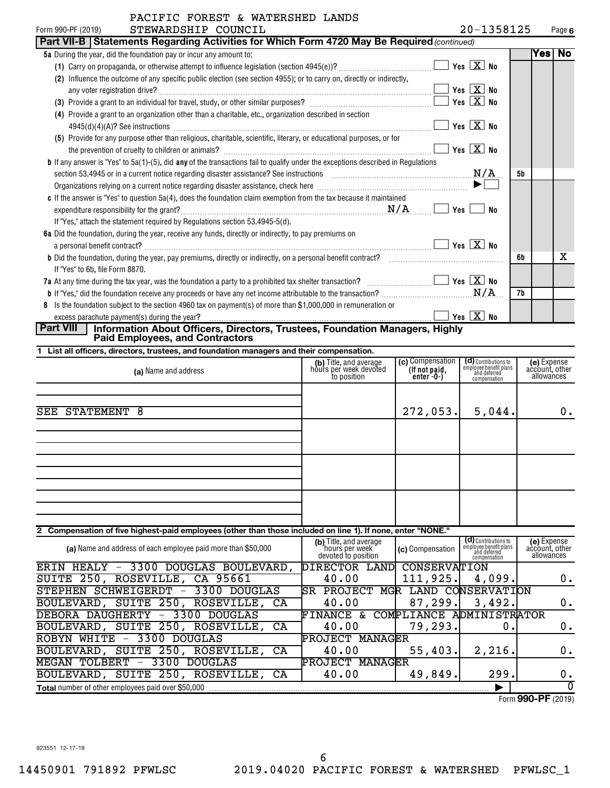| TULLU WAIBRUHBD BANDU<br>STEWARDSHIP COUNCIL<br>Form 990-PF (2019)                                                                         |     | 20-1358125                                         |    |      | Page 6 |
|--------------------------------------------------------------------------------------------------------------------------------------------|-----|----------------------------------------------------|----|------|--------|
| Part VII-B   Statements Regarding Activities for Which Form 4720 May Be Required (continued)                                               |     |                                                    |    |      |        |
| 5a During the year, did the foundation pay or incur any amount to:                                                                         |     |                                                    |    | Yes⊺ | No     |
|                                                                                                                                            |     | Yes $\boxed{\mathbf{X}}$ No                        |    |      |        |
| Influence the outcome of any specific public election (see section 4955); or to carry on, directly or indirectly,<br>(2)                   |     |                                                    |    |      |        |
| any voter registration drive?                                                                                                              |     | $\blacksquare$ Yes $\boxed{\mathrm{X}}$ No         |    |      |        |
|                                                                                                                                            |     | $\sqrt{}$ Yes $\boxed{\text{X}}$ No                |    |      |        |
| (4) Provide a grant to an organization other than a charitable, etc., organization described in section                                    |     |                                                    |    |      |        |
| $4945(d)(4)(A)?$ See instructions                                                                                                          |     | Yes $X$ No                                         |    |      |        |
| (5) Provide for any purpose other than religious, charitable, scientific, literary, or educational purposes, or for                        |     |                                                    |    |      |        |
|                                                                                                                                            | Yes | $\boxed{\text{X}}$ No                              |    |      |        |
| <b>b</b> If any answer is "Yes" to $5a(1)$ -(5), did any of the transactions fail to qualify under the exceptions described in Regulations |     |                                                    |    |      |        |
|                                                                                                                                            |     | N/A                                                | 5b |      |        |
|                                                                                                                                            |     |                                                    |    |      |        |
| c If the answer is "Yes" to question 5a(4), does the foundation claim exemption from the tax because it maintained                         |     |                                                    |    |      |        |
|                                                                                                                                            | Yes | No                                                 |    |      |        |
| If "Yes," attach the statement required by Regulations section 53.4945-5(d).                                                               |     |                                                    |    |      |        |
| 6a Did the foundation, during the year, receive any funds, directly or indirectly, to pay premiums on                                      |     |                                                    |    |      |        |
| a personal benefit contract?                                                                                                               |     | $Yes \vert X \vert No$                             |    |      |        |
| <b>b</b> Did the foundation, during the year, pay premiums, directly or indirectly, on a personal benefit contract?                        |     |                                                    | 6b |      | x      |
| If "Yes" to 6b, file Form 8870.                                                                                                            |     |                                                    |    |      |        |
| 7a At any time during the tax year, was the foundation a party to a prohibited tax shelter transaction?                                    |     | $\boxed{\phantom{1}}$ Yes $\boxed{\phantom{1}}$ No |    |      |        |
|                                                                                                                                            |     | N/A                                                | 7b |      |        |
| Is the foundation subject to the section 4960 tax on payment(s) of more than \$1,000,000 in remuneration or<br>8                           |     |                                                    |    |      |        |
|                                                                                                                                            |     | Yes $X$ No                                         |    |      |        |

# **Part VIII Information About Officers, Directors, Trustees, Foundation Managers, Highly Paid Employees, and Contractors**

|  |  |  | 1 List all officers, directors, trustees, and foundation managers and their compensation. |
|--|--|--|-------------------------------------------------------------------------------------------|
|  |  |  |                                                                                           |

| (a) Name and address                                                                                        | (b) Title, and average<br>hours per week devoted<br>to position | (c) Compensation<br>(If not paid,<br>enter -0-) | (d) Contributions to<br>employee benefit plans<br>and deferred<br>compensation | (e) Expense<br>account, other<br>allowances |
|-------------------------------------------------------------------------------------------------------------|-----------------------------------------------------------------|-------------------------------------------------|--------------------------------------------------------------------------------|---------------------------------------------|
| STATEMENT 8<br>SEE                                                                                          |                                                                 | 272,053.                                        | 5,044.                                                                         | 0.                                          |
|                                                                                                             |                                                                 |                                                 |                                                                                |                                             |
|                                                                                                             |                                                                 |                                                 |                                                                                |                                             |
|                                                                                                             |                                                                 |                                                 |                                                                                |                                             |
| 2 Compensation of five highest-paid employees (other than those included on line 1). If none, enter "NONE." |                                                                 |                                                 |                                                                                |                                             |
| (a) Name and address of each employee paid more than \$50,000                                               | (b) Title, and average<br>hours per week<br>devoted to position | (c) Compensation                                | (d) Contributions to<br>employee benefit plans<br>and deferred<br>compensation | (e) Expense<br>account, other<br>allowances |
| ERIN HEALY - 3300 DOUGLAS BOULEVARD,                                                                        | DIRECTOR LAND                                                   | CONSERVATION                                    |                                                                                |                                             |
| SUITE 250, ROSEVILLE, CA 95661                                                                              | 40.00                                                           | 111,925.                                        | 4,099.                                                                         | 0.                                          |
| STEPHEN SCHWEIGERDT -<br>3300 DOUGLAS                                                                       | <b>PROJECT</b><br>ISR.                                          | MGR LAND CONSERVATION                           |                                                                                |                                             |
| BOULEVARD, SUITE 250, ROSEVILLE,<br>CA                                                                      | 40.00                                                           | 87,299.                                         | 3,492.                                                                         | 0.                                          |
| 3300 DOUGLAS<br>DEBORA DAUGHERTY<br>$\overline{\phantom{m}}$                                                | FINANCE &                                                       | COMPLIANCE ADMINISTRATOR                        |                                                                                |                                             |
| BOULEVARD, SUITE 250, ROSEVILLE,<br>CA                                                                      | 40.00                                                           | 79,293.                                         | О.                                                                             | 0.                                          |
| 3300 DOUGLAS<br><b>ROBYN WHITE</b><br>$\overline{\phantom{m}}$                                              | <b>PROJECT MANAGER</b>                                          |                                                 |                                                                                |                                             |
| BOULEVARD, SUITE 250, ROSEVILLE, CA                                                                         | 40.00                                                           | 55,403.                                         | 2,216.                                                                         | 0.                                          |

**Total** number of other employees paid over \$50,000 |

BOULEVARD, SUITE 250, ROSEVILLE, CA 40.00 | 49,849. 299. 0.

MEGAN TOLBERT - 3300 DOUGLAS PROJECT MANAGER

0

Form (2019) **990-PF**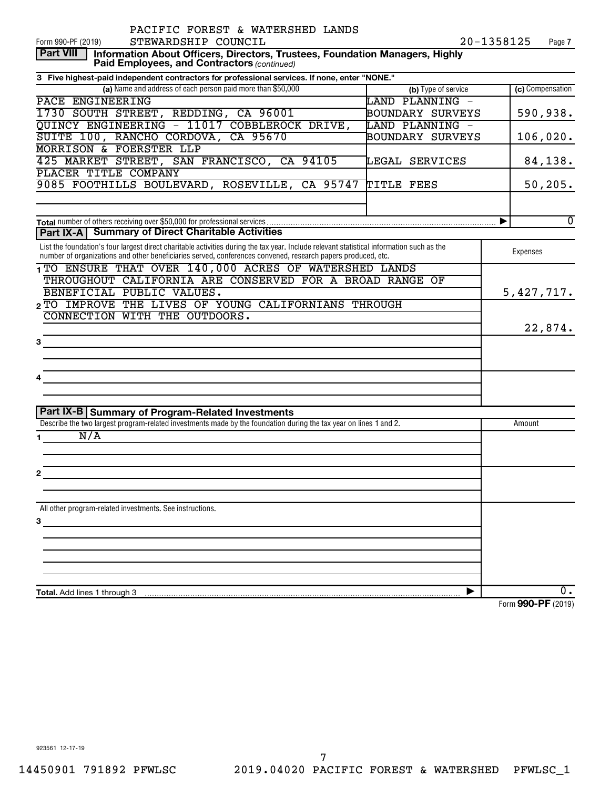| PACIFIC FOREST & WATERSHED LANDS                                                                                                                                                                                                                          |                     |                                                         |
|-----------------------------------------------------------------------------------------------------------------------------------------------------------------------------------------------------------------------------------------------------------|---------------------|---------------------------------------------------------|
| STEWARDSHIP COUNCIL<br>Form 990-PF (2019)                                                                                                                                                                                                                 |                     | 20-1358125<br>Page 7                                    |
| <b>Part VIII</b><br>Information About Officers, Directors, Trustees, Foundation Managers, Highly<br>Paid Employees, and Contractors (continued)                                                                                                           |                     |                                                         |
| 3 Five highest-paid independent contractors for professional services. If none, enter "NONE."                                                                                                                                                             |                     |                                                         |
| (a) Name and address of each person paid more than \$50,000                                                                                                                                                                                               | (b) Type of service | (c) Compensation                                        |
| PACE ENGINEERING                                                                                                                                                                                                                                          | LAND PLANNING -     |                                                         |
| 1730 SOUTH STREET, REDDING, CA 96001                                                                                                                                                                                                                      | BOUNDARY SURVEYS    | 590,938.                                                |
| QUINCY ENGINEERING - 11017 COBBLEROCK DRIVE,                                                                                                                                                                                                              | LAND PLANNING -     |                                                         |
| SUITE 100, RANCHO CORDOVA, CA 95670                                                                                                                                                                                                                       | BOUNDARY SURVEYS    | 106,020.                                                |
| <b>MORRISON &amp; FOERSTER LLP</b>                                                                                                                                                                                                                        |                     |                                                         |
| 425 MARKET STREET, SAN FRANCISCO, CA 94105                                                                                                                                                                                                                | LEGAL SERVICES      | 84,138.                                                 |
| PLACER TITLE COMPANY                                                                                                                                                                                                                                      |                     |                                                         |
| 9085 FOOTHILLS BOULEVARD, ROSEVILLE, CA 95747 TITLE FEES                                                                                                                                                                                                  |                     | 50, 205.                                                |
|                                                                                                                                                                                                                                                           |                     |                                                         |
|                                                                                                                                                                                                                                                           |                     | $\overline{0}$<br>▶                                     |
| Part IX-A   Summary of Direct Charitable Activities                                                                                                                                                                                                       |                     |                                                         |
| List the foundation's four largest direct charitable activities during the tax year. Include relevant statistical information such as the<br>number of organizations and other beneficiaries served, conferences convened, research papers produced, etc. |                     | Expenses                                                |
| 1 TO ENSURE THAT OVER 140,000 ACRES OF WATERSHED LANDS                                                                                                                                                                                                    |                     |                                                         |
| THROUGHOUT CALIFORNIA ARE CONSERVED FOR A BROAD RANGE OF                                                                                                                                                                                                  |                     |                                                         |
| BENEFICIAL PUBLIC VALUES.                                                                                                                                                                                                                                 |                     | 5,427,717.                                              |
| 2 TO IMPROVE THE LIVES OF YOUNG CALIFORNIANS THROUGH                                                                                                                                                                                                      |                     |                                                         |
| CONNECTION WITH THE OUTDOORS.                                                                                                                                                                                                                             |                     |                                                         |
|                                                                                                                                                                                                                                                           |                     | 22,874.                                                 |
| з                                                                                                                                                                                                                                                         |                     |                                                         |
|                                                                                                                                                                                                                                                           |                     |                                                         |
|                                                                                                                                                                                                                                                           |                     |                                                         |
|                                                                                                                                                                                                                                                           |                     |                                                         |
|                                                                                                                                                                                                                                                           |                     |                                                         |
| Part IX-B Summary of Program-Related Investments                                                                                                                                                                                                          |                     |                                                         |
| Describe the two largest program-related investments made by the foundation during the tax year on lines 1 and 2.                                                                                                                                         |                     | Amount                                                  |
| N/A                                                                                                                                                                                                                                                       |                     |                                                         |
|                                                                                                                                                                                                                                                           |                     |                                                         |
|                                                                                                                                                                                                                                                           |                     |                                                         |
| 2                                                                                                                                                                                                                                                         |                     |                                                         |
|                                                                                                                                                                                                                                                           |                     |                                                         |
| All other program-related investments. See instructions.                                                                                                                                                                                                  |                     |                                                         |
| 3                                                                                                                                                                                                                                                         |                     |                                                         |
|                                                                                                                                                                                                                                                           |                     |                                                         |
|                                                                                                                                                                                                                                                           |                     |                                                         |
|                                                                                                                                                                                                                                                           |                     |                                                         |
|                                                                                                                                                                                                                                                           |                     |                                                         |
| <b>Total.</b> Add lines 1 through 3                                                                                                                                                                                                                       |                     | 0.<br>$0.00 \text{ } \text{D} \text{ } \text{ } (0.010$ |

Form (2019) **990-PF**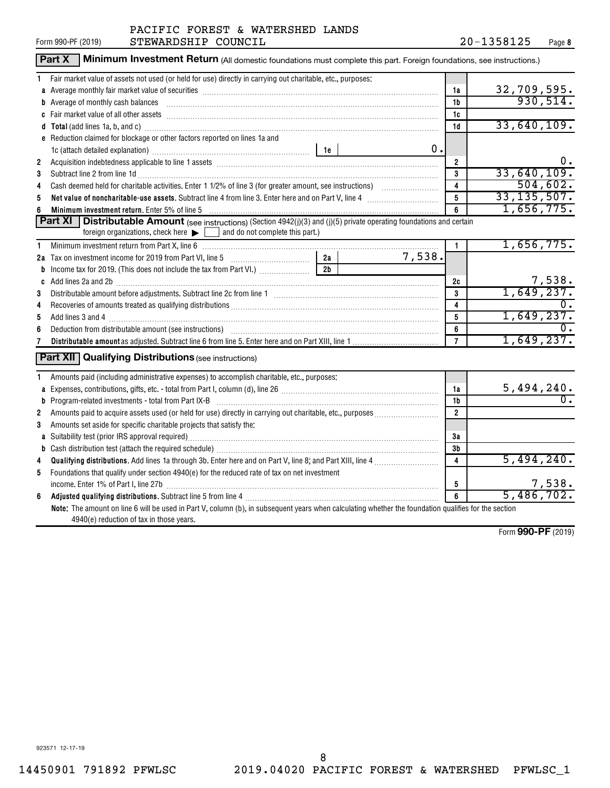|                | Part X<br>Minimum Investment Return (All domestic foundations must complete this part. Foreign foundations, see instructions.)                                                                                                 |                |        |                         |                                |
|----------------|--------------------------------------------------------------------------------------------------------------------------------------------------------------------------------------------------------------------------------|----------------|--------|-------------------------|--------------------------------|
| 1.             | Fair market value of assets not used (or held for use) directly in carrying out charitable, etc., purposes:                                                                                                                    |                |        |                         |                                |
|                | a Average monthly fair market value of securities [11] matter content to the control of the second state of securities [11] matter content and average monthly fair market value of securities [11] matter content and average |                |        | 1a                      | $\frac{32,709,595.}{930,514.}$ |
|                | b Average of monthly cash balances encounteral contracts and a series of monthly cash balances                                                                                                                                 |                |        | 1b                      |                                |
|                |                                                                                                                                                                                                                                |                |        | 1c                      |                                |
|                | d Total (add lines 1a, b, and c) manufactured and control of the control of the control of the control of the control of the control of the control of the control of the control of the control of the control of the control |                |        | 1d                      | 33,640,109.                    |
|                | e Reduction claimed for blockage or other factors reported on lines 1a and                                                                                                                                                     |                |        |                         |                                |
|                |                                                                                                                                                                                                                                |                | 0.     |                         |                                |
| $\overline{2}$ |                                                                                                                                                                                                                                |                |        | $\overline{2}$          | 0.                             |
| 3              | Subtract line 2 from line 1d <b>Machinese and Contract Line 2</b> from line 1d <b>Machinese Automobile 2</b>                                                                                                                   |                |        | $\mathbf{3}$            | 33,640,109.                    |
| 4              |                                                                                                                                                                                                                                |                |        | $\overline{\mathbf{4}}$ | 504,602.                       |
| 5              |                                                                                                                                                                                                                                |                |        | 5                       | 33, 135, 507.                  |
| 6              | <b>Minimum investment return.</b> Enter 5% of line 5                                                                                                                                                                           |                |        | 6                       | 1,656,775.                     |
|                | Part XI  <br><b>Distributable Amount</b> (see instructions) (Section 4942(j)(3) and (j)(5) private operating foundations and certain                                                                                           |                |        |                         |                                |
|                | foreign organizations, check here $\blacktriangleright$ $\Box$ and do not complete this part.)                                                                                                                                 |                |        |                         |                                |
| 1              |                                                                                                                                                                                                                                |                |        | $\mathbf{1}$            | 1,656,775.                     |
|                |                                                                                                                                                                                                                                |                | 7,538. |                         |                                |
|                |                                                                                                                                                                                                                                | 2 <sub>b</sub> |        |                         |                                |
|                |                                                                                                                                                                                                                                |                |        | 2c                      | $\frac{7,538}{1,649,237}$      |
| 3              |                                                                                                                                                                                                                                |                |        | 3                       |                                |
| 4              |                                                                                                                                                                                                                                |                |        | 4                       |                                |
| 5              |                                                                                                                                                                                                                                |                |        | $5\phantom{.0}$         | 1,649,237.                     |
| 6              | Deduction from distributable amount (see instructions) www.communicalisation.communicalisation from distributable amount (see instructions)                                                                                    |                |        | 6                       |                                |
| 7              |                                                                                                                                                                                                                                |                |        | $\overline{7}$          | 1,649,237.                     |
|                | <b>Part XII Qualifying Distributions (see instructions)</b>                                                                                                                                                                    |                |        |                         |                                |
|                |                                                                                                                                                                                                                                |                |        |                         |                                |
| 1              | Amounts paid (including administrative expenses) to accomplish charitable, etc., purposes:                                                                                                                                     |                |        |                         |                                |
|                |                                                                                                                                                                                                                                |                |        | 1a                      | $\frac{5,494,240}{0}$          |
|                | <b>b</b> Program-related investments - total from Part IX-B                                                                                                                                                                    |                |        | 1 <sub>b</sub>          |                                |
| $\mathbf{2}$   |                                                                                                                                                                                                                                |                |        | $\overline{2}$          |                                |
| 3              | Amounts set aside for specific charitable projects that satisfy the:                                                                                                                                                           |                |        |                         |                                |
|                | a Suitability test (prior IRS approval required)<br>manufacture manufacture manufacture manufacture manufacture manufacture manufacture manufacture manufacture m                                                              |                |        | За                      |                                |
|                |                                                                                                                                                                                                                                |                |        | 3 <sub>b</sub>          |                                |
| 4              |                                                                                                                                                                                                                                |                |        | $\overline{4}$          | 5,494,240.                     |
| 5              | Foundations that qualify under section 4940(e) for the reduced rate of tax on net investment                                                                                                                                   |                |        |                         |                                |
|                | income. Enter 1% of Part I, line 27b [111] [12] [12] [12] [12] [12] [13] [13] [14] [14] [15] [15] [15] [15] [1                                                                                                                 |                |        | 5<br>$\overline{6}$     | $\frac{7,538}{5,486,702.}$     |
| 6              | Adjusted qualifying distributions. Subtract line 5 from line 4 [11] manufacture manufacture manufacture manufacture manufacture manufacture manufacture manufacture manufacture manufacture manufacture manufacture manufactur |                |        |                         |                                |
|                | Note: The amount on line 6 will be used in Part V, column (b), in subsequent years when calculating whether the foundation qualifies for the section                                                                           |                |        |                         |                                |
|                | 4940(e) reduction of tax in those years.                                                                                                                                                                                       |                |        |                         |                                |

Form (2019) **990-PF**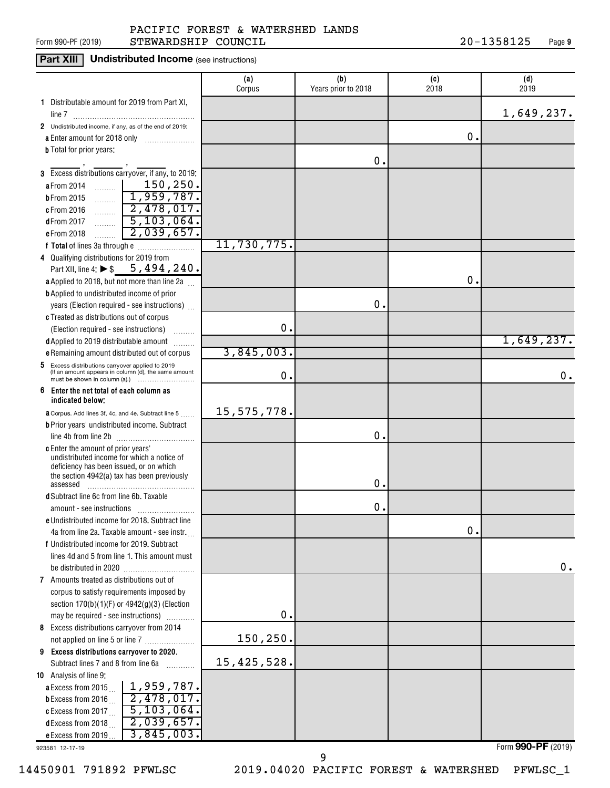#### Form 990-PF (2019)  $\qquad \qquad$  STEWARDSHIP COUNCIL  $\qquad \qquad 20-1358125$  Page PACIFIC FOREST & WATERSHED LANDS

**Part XIII** Undistributed Income (see instructions)

|                                                                                                          | (a)<br>Corpus | (b)<br>Years prior to 2018 | (c)<br>2018   | (d)<br>2019 |
|----------------------------------------------------------------------------------------------------------|---------------|----------------------------|---------------|-------------|
| 1 Distributable amount for 2019 from Part XI,                                                            |               |                            |               | 1,649,237.  |
| 2 Undistributed income, if any, as of the end of 2019:                                                   |               |                            |               |             |
| a Enter amount for 2018 only                                                                             |               |                            | о.            |             |
| <b>b</b> Total for prior years:                                                                          |               |                            |               |             |
|                                                                                                          |               | Ο.                         |               |             |
| 3 Excess distributions carryover, if any, to 2019:                                                       |               |                            |               |             |
| $\frac{150}{250}$ .<br>a From 2014                                                                       |               |                            |               |             |
| 1,959,787.<br><b>b</b> From 2015<br>1.1.1.1.1.1                                                          |               |                            |               |             |
| $\boxed{2,478,017}$<br>c From 2016                                                                       |               |                            |               |             |
| $\sqrt{5,103,064}$<br>dFrom 2017<br>.                                                                    |               |                            |               |             |
| 2,039,657.<br>e From 2018<br>.                                                                           |               |                            |               |             |
|                                                                                                          | 11,730,775.   |                            |               |             |
| 4 Qualifying distributions for 2019 from                                                                 |               |                            |               |             |
| Part XII, line 4: $\triangleright$ \$ 5, 494, 240.                                                       |               |                            |               |             |
| a Applied to 2018, but not more than line 2a                                                             |               |                            | О.            |             |
| <b>b</b> Applied to undistributed income of prior                                                        |               |                            |               |             |
| years (Election required - see instructions)                                                             |               | 0.                         |               |             |
| c Treated as distributions out of corpus                                                                 |               |                            |               |             |
| (Election required - see instructions)                                                                   | 0.            |                            |               |             |
| d Applied to 2019 distributable amount                                                                   |               |                            |               | 1,649,237.  |
| e Remaining amount distributed out of corpus                                                             | 3,845,003.    |                            |               |             |
| 5 Excess distributions carryover applied to 2019<br>(If an amount appears in column (d), the same amount | 0.            |                            |               | 0.          |
| 6<br>Enter the net total of each column as<br>indicated below:                                           |               |                            |               |             |
| <b>a</b> Corpus. Add lines 3f, 4c, and 4e. Subtract line 5                                               | 15,575,778.   |                            |               |             |
| <b>b</b> Prior years' undistributed income. Subtract                                                     |               |                            |               |             |
|                                                                                                          |               | 0.                         |               |             |
| c Enter the amount of prior years'                                                                       |               |                            |               |             |
| undistributed income for which a notice of                                                               |               |                            |               |             |
| deficiency has been issued, or on which<br>the section 4942(a) tax has been previously                   |               |                            |               |             |
| assessed                                                                                                 |               | о.                         |               |             |
| d Subtract line 6c from line 6b. Taxable                                                                 |               |                            |               |             |
|                                                                                                          |               | 0.                         |               |             |
| e Undistributed income for 2018. Subtract line                                                           |               |                            |               |             |
| 4a from line 2a. Taxable amount - see instr.                                                             |               |                            | $\mathbf 0$ . |             |
| f Undistributed income for 2019. Subtract                                                                |               |                            |               |             |
| lines 4d and 5 from line 1. This amount must                                                             |               |                            |               |             |
| be distributed in 2020.                                                                                  |               |                            |               | 0.          |
| 7 Amounts treated as distributions out of                                                                |               |                            |               |             |
| corpus to satisfy requirements imposed by                                                                |               |                            |               |             |
| section $170(b)(1)(F)$ or $4942(g)(3)$ (Election                                                         |               |                            |               |             |
| may be required - see instructions)                                                                      | 0.            |                            |               |             |
| 8 Excess distributions carryover from 2014                                                               |               |                            |               |             |
| not applied on line 5 or line 7                                                                          | 150,250.      |                            |               |             |
| 9 Excess distributions carryover to 2020.                                                                |               |                            |               |             |
| Subtract lines 7 and 8 from line 6a<br>.                                                                 | 15,425,528.   |                            |               |             |
| 10 Analysis of line 9:                                                                                   |               |                            |               |             |
| <b>a</b> Excess from 2015 $\ldots$   1,959,787.                                                          |               |                            |               |             |
| 2,478,017.<br><b>b</b> Excess from 2016 $\ldots$                                                         |               |                            |               |             |
| 5,103,064.<br>c Excess from 2017 $\ldots$                                                                |               |                            |               |             |
| 2,039,657.<br>d Excess from 2018                                                                         |               |                            |               |             |
| 3,845,003.<br>e Excess from 2019                                                                         |               |                            |               |             |

923581 12-17-19

14450901 791892 PFWLSC 2019.04020 PACIFIC FOREST & WATERSHED PFWLSC\_1

9

Form (2019) **990-PF**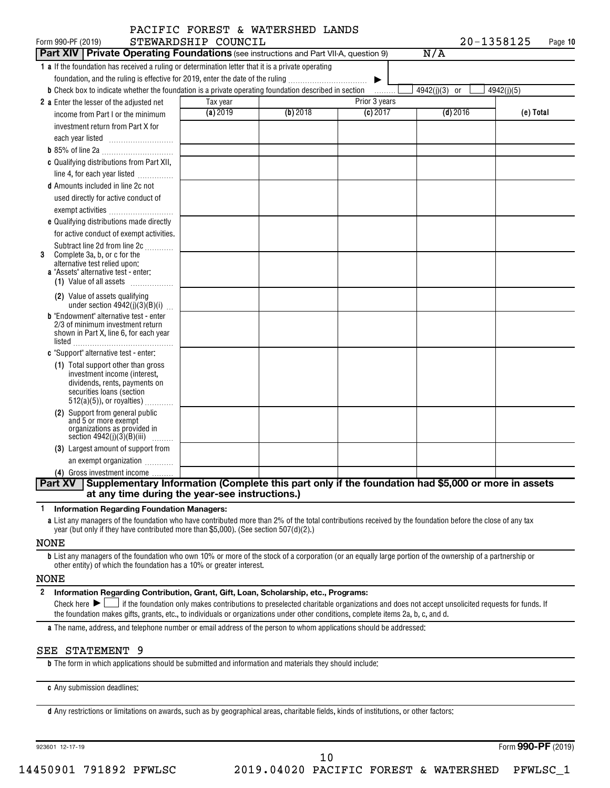| Form 990-PF (2019)                                                                                                   | STEWARDSHIP COUNCIL |          |               | 20-1358125    | Page 10    |
|----------------------------------------------------------------------------------------------------------------------|---------------------|----------|---------------|---------------|------------|
| <b>Part XIV Private Operating Foundations</b> (see instructions and Part VII-A, question 9)                          |                     |          |               | N/A           |            |
| 1 a If the foundation has received a ruling or determination letter that it is a private operating                   |                     |          |               |               |            |
| foundation, and the ruling is effective for 2019, enter the date of the ruling                                       |                     |          | ▶             |               |            |
| <b>b</b> Check box to indicate whether the foundation is a private operating foundation described in section         |                     |          | .             | 4942(j)(3) or | 4942(j)(5) |
| 2 a Enter the lesser of the adjusted net                                                                             | Tax year            |          | Prior 3 years |               |            |
| income from Part I or the minimum                                                                                    | (a) 2019            | (b) 2018 | (c) 2017      | $(d)$ 2016    | (e) Total  |
| investment return from Part X for                                                                                    |                     |          |               |               |            |
|                                                                                                                      |                     |          |               |               |            |
|                                                                                                                      |                     |          |               |               |            |
| c Qualifying distributions from Part XII,                                                                            |                     |          |               |               |            |
| line 4, for each year listed                                                                                         |                     |          |               |               |            |
| <b>d</b> Amounts included in line 2c not                                                                             |                     |          |               |               |            |
| used directly for active conduct of                                                                                  |                     |          |               |               |            |
| exempt activities                                                                                                    |                     |          |               |               |            |
| e Qualifying distributions made directly                                                                             |                     |          |               |               |            |
| for active conduct of exempt activities.                                                                             |                     |          |               |               |            |
| Subtract line 2d from line 2c                                                                                        |                     |          |               |               |            |
| Complete 3a, b, or c for the<br>3<br>alternative test relied upon:                                                   |                     |          |               |               |            |
| a "Assets" alternative test - enter:                                                                                 |                     |          |               |               |            |
| (1) Value of all assets                                                                                              |                     |          |               |               |            |
| (2) Value of assets qualifying<br>under section $4942(j)(3)(B)(i)$                                                   |                     |          |               |               |            |
| <b>b</b> "Endowment" alternative test - enter                                                                        |                     |          |               |               |            |
| 2/3 of minimum investment return                                                                                     |                     |          |               |               |            |
| shown in Part X, line 6, for each year                                                                               |                     |          |               |               |            |
| c "Support" alternative test - enter:                                                                                |                     |          |               |               |            |
| (1) Total support other than gross                                                                                   |                     |          |               |               |            |
| investment income (interest,                                                                                         |                     |          |               |               |            |
| dividends, rents, payments on                                                                                        |                     |          |               |               |            |
| securities loans (section<br>$512(a)(5)$ , or royalties)                                                             |                     |          |               |               |            |
| (2) Support from general public                                                                                      |                     |          |               |               |            |
| and 5 or more exempt                                                                                                 |                     |          |               |               |            |
| organizations as provided in<br>section $4942(j)(3)(B)(iii)$                                                         |                     |          |               |               |            |
| (3) Largest amount of support from                                                                                   |                     |          |               |               |            |
| an exempt organization                                                                                               |                     |          |               |               |            |
| (4) Gross investment income                                                                                          |                     |          |               |               |            |
| Supplementary Information (Complete this part only if the foundation had \$5,000 or more in assets<br><b>Part XV</b> |                     |          |               |               |            |

**1 Information Regarding Foundation Managers:**

**a** List any managers of the foundation who have contributed more than 2% of the total contributions received by the foundation before the close of any tax year (but only if they have contributed more than \$5,000). (See section 507(d)(2).)

#### NONE

**b** List any managers of the foundation who own 10% or more of the stock of a corporation (or an equally large portion of the ownership of a partnership or other entity) of which the foundation has a 10% or greater interest.

#### NONE

**2 Information Regarding Contribution, Grant, Gift, Loan, Scholarship, etc., Programs:** Final check here  $\sum_{n=1}^{\infty}$  if the foundation only makes contributions to preselected charitable organizations and does not accept unsolicited requests for funds. If the foundation makes gifts, grants, etc., to individuals or organizations under other conditions, complete items 2a, b, c, and d.

**a** The name, address, and telephone number or email address of the person to whom applications should be addressed:

#### SEE STATEMENT 9

**b** The form in which applications should be submitted and information and materials they should include:

**c** Any submission deadlines:

**d** Any restrictions or limitations on awards, such as by geographical areas, charitable fields, kinds of institutions, or other factors:

923601 12-17-19

Form (2019) **990-PF**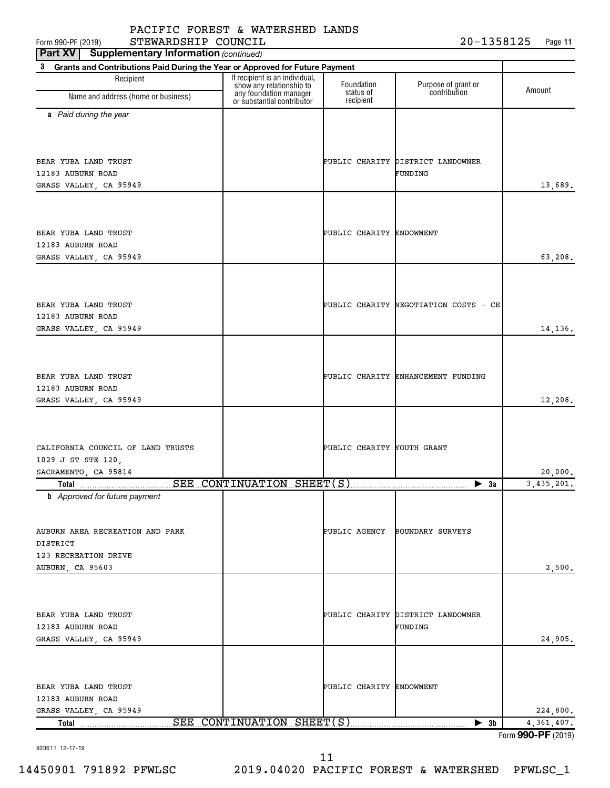923611 12-17-19

**3**

**a** *Paid during the year*

11

| BEAR YUBA LAND TRUST                        | PUBLIC CHARITY ENDOWMENT   |                                       |              |
|---------------------------------------------|----------------------------|---------------------------------------|--------------|
| 12183 AUBURN ROAD<br>GRASS VALLEY, CA 95949 |                            |                                       | 63,208.      |
|                                             |                            |                                       |              |
| BEAR YUBA LAND TRUST                        |                            | PUBLIC CHARITY NEGOTIATION COSTS - CE |              |
| 12183 AUBURN ROAD                           |                            |                                       |              |
| GRASS VALLEY, CA 95949                      |                            |                                       | 14,136.      |
|                                             |                            |                                       |              |
| BEAR YUBA LAND TRUST                        |                            | PUBLIC CHARITY ENHANCEMENT FUNDING    |              |
| 12183 AUBURN ROAD<br>GRASS VALLEY, CA 95949 |                            |                                       | 12,208.      |
|                                             |                            |                                       |              |
|                                             |                            |                                       |              |
| CALIFORNIA COUNCIL OF LAND TRUSTS           | PUBLIC CHARITY YOUTH GRANT |                                       |              |
| 1029 J ST STE 120,<br>SACRAMENTO, CA 95814  |                            |                                       | 20,000.      |
|                                             |                            | $\blacktriangleright$ 3a              | 3, 435, 201. |
| <b>b</b> Approved for future payment        |                            |                                       |              |
|                                             |                            |                                       |              |
| AUBURN AREA RECREATION AND PARK             |                            | PUBLIC AGENCY BOUNDARY SURVEYS        |              |
| DISTRICT                                    |                            |                                       |              |
| 123 RECREATION DRIVE                        |                            |                                       |              |
| AUBURN, CA 95603                            |                            |                                       | 2,500.       |
|                                             |                            |                                       |              |
| BEAR YUBA LAND TRUST                        |                            | PUBLIC CHARITY DISTRICT LANDOWNER     |              |
| 12183 AUBURN ROAD                           |                            | FUNDING                               |              |
| GRASS VALLEY, CA 95949                      |                            |                                       | 24,905.      |
|                                             |                            |                                       |              |
| BEAR YUBA LAND TRUST                        | PUBLIC CHARITY ENDOWMENT   |                                       |              |
|                                             |                            |                                       |              |
| 12183 AUBURN ROAD                           |                            |                                       |              |
| GRASS VALLEY, CA 95949                      | SEE CONTINUATION SHEET(S)  |                                       | 224,800.     |

show any relationship to Recipient Foundation

If recipient is an individual,

any foundation manager or substantial contributor

BEAR YUBA LAND TRUST PUBLIC CHARITY DISTRICT LANDOWNER

12183 AUBURN ROAD FUNDING

Example the completion of the contribution and address (home or business) and address (home or business) and address (home or business) and address (home or business) and the contribution manager and address (home or busin

GRASS VALLEY, CA 95949 13,689.

status of recipient

**Grants and Contributions Paid During the Year or Approved for Future Payment**

**Part XV** | Supplementary Information (continued)

Purpose of grant or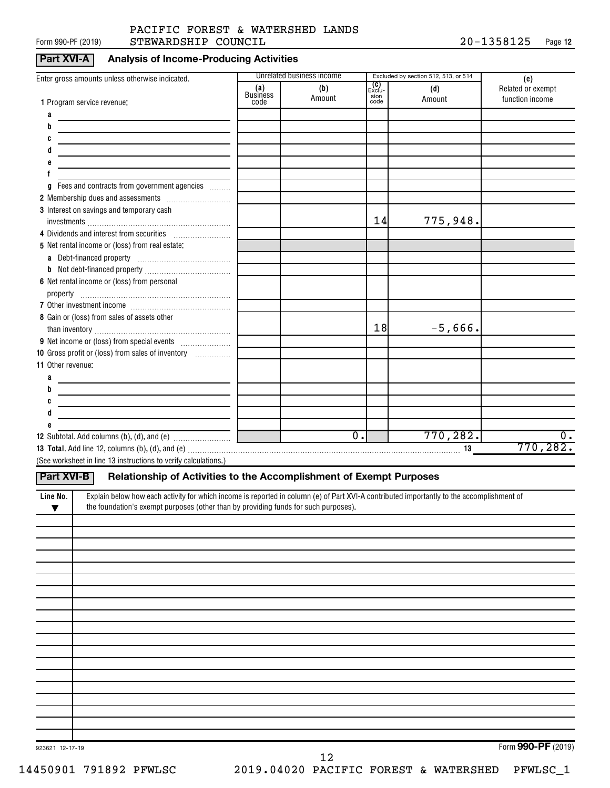#### Form 990-PF (2019)  $\begin{array}{l} \text{STEWARDSHIP} \end{array}$   $\begin{array}{l} \text{COUNCIL} \end{array}$   $\begin{array}{l} \text{20--1358125} \end{array}$  Page PACIFIC FOREST & WATERSHED LANDS

#### **Part XVI-A Analysis of Income-Producing Activities**

|                                                                                                                                                       |                        | Unrelated business income |                              |                                                       |                                             |
|-------------------------------------------------------------------------------------------------------------------------------------------------------|------------------------|---------------------------|------------------------------|-------------------------------------------------------|---------------------------------------------|
| Enter gross amounts unless otherwise indicated.                                                                                                       | (a)<br><b>Business</b> | (b)<br>Amount             | <b>(C)</b><br>Exclu-<br>sion | Excluded by section 512, 513, or 514<br>(d)<br>Amount | (e)<br>Related or exempt<br>function income |
| 1 Program service revenue:                                                                                                                            | code                   |                           | code                         |                                                       |                                             |
| a                                                                                                                                                     |                        |                           |                              |                                                       |                                             |
| b                                                                                                                                                     |                        |                           |                              |                                                       |                                             |
|                                                                                                                                                       |                        |                           |                              |                                                       |                                             |
|                                                                                                                                                       |                        |                           |                              |                                                       |                                             |
|                                                                                                                                                       |                        |                           |                              |                                                       |                                             |
|                                                                                                                                                       |                        |                           |                              |                                                       |                                             |
| Fees and contracts from government agencies<br>g                                                                                                      |                        |                           |                              |                                                       |                                             |
|                                                                                                                                                       |                        |                           |                              |                                                       |                                             |
| 3 Interest on savings and temporary cash                                                                                                              |                        |                           | 14                           |                                                       |                                             |
|                                                                                                                                                       |                        |                           |                              | 775,948.                                              |                                             |
| 4 Dividends and interest from securities                                                                                                              |                        |                           |                              |                                                       |                                             |
| 5 Net rental income or (loss) from real estate:                                                                                                       |                        |                           |                              |                                                       |                                             |
|                                                                                                                                                       |                        |                           |                              |                                                       |                                             |
|                                                                                                                                                       |                        |                           |                              |                                                       |                                             |
| 6 Net rental income or (loss) from personal                                                                                                           |                        |                           |                              |                                                       |                                             |
|                                                                                                                                                       |                        |                           |                              |                                                       |                                             |
|                                                                                                                                                       |                        |                           |                              |                                                       |                                             |
| 8 Gain or (loss) from sales of assets other                                                                                                           |                        |                           | 18                           | $-5,666$ .                                            |                                             |
|                                                                                                                                                       |                        |                           |                              |                                                       |                                             |
|                                                                                                                                                       |                        |                           |                              |                                                       |                                             |
| 10 Gross profit or (loss) from sales of inventory                                                                                                     |                        |                           |                              |                                                       |                                             |
| 11 Other revenue:                                                                                                                                     |                        |                           |                              |                                                       |                                             |
| a<br>b                                                                                                                                                |                        |                           |                              |                                                       |                                             |
|                                                                                                                                                       |                        |                           |                              |                                                       |                                             |
| d                                                                                                                                                     |                        |                           |                              |                                                       |                                             |
|                                                                                                                                                       |                        |                           |                              |                                                       |                                             |
|                                                                                                                                                       |                        | $\overline{0}$ .          |                              | 770, 282.                                             | $0$ .                                       |
|                                                                                                                                                       |                        |                           |                              |                                                       | 770, 282.                                   |
| (See worksheet in line 13 instructions to verify calculations.)                                                                                       |                        |                           |                              |                                                       |                                             |
|                                                                                                                                                       |                        |                           |                              |                                                       |                                             |
| Relationship of Activities to the Accomplishment of Exempt Purposes<br><b>Part XVI-B</b>                                                              |                        |                           |                              |                                                       |                                             |
| Explain below how each activity for which income is reported in column (e) of Part XVI-A contributed importantly to the accomplishment of<br>Line No. |                        |                           |                              |                                                       |                                             |
| the foundation's exempt purposes (other than by providing funds for such purposes).<br>▼                                                              |                        |                           |                              |                                                       |                                             |
|                                                                                                                                                       |                        |                           |                              |                                                       |                                             |
|                                                                                                                                                       |                        |                           |                              |                                                       |                                             |
|                                                                                                                                                       |                        |                           |                              |                                                       |                                             |
|                                                                                                                                                       |                        |                           |                              |                                                       |                                             |
|                                                                                                                                                       |                        |                           |                              |                                                       |                                             |
|                                                                                                                                                       |                        |                           |                              |                                                       |                                             |
|                                                                                                                                                       |                        |                           |                              |                                                       |                                             |
|                                                                                                                                                       |                        |                           |                              |                                                       |                                             |
|                                                                                                                                                       |                        |                           |                              |                                                       |                                             |
|                                                                                                                                                       |                        |                           |                              |                                                       |                                             |
|                                                                                                                                                       |                        |                           |                              |                                                       |                                             |
|                                                                                                                                                       |                        |                           |                              |                                                       |                                             |
|                                                                                                                                                       |                        |                           |                              |                                                       |                                             |
|                                                                                                                                                       |                        |                           |                              |                                                       |                                             |
|                                                                                                                                                       |                        |                           |                              |                                                       |                                             |
|                                                                                                                                                       |                        |                           |                              |                                                       |                                             |
|                                                                                                                                                       |                        |                           |                              |                                                       |                                             |

923621 12-17-19

Form (2019) **990-PF**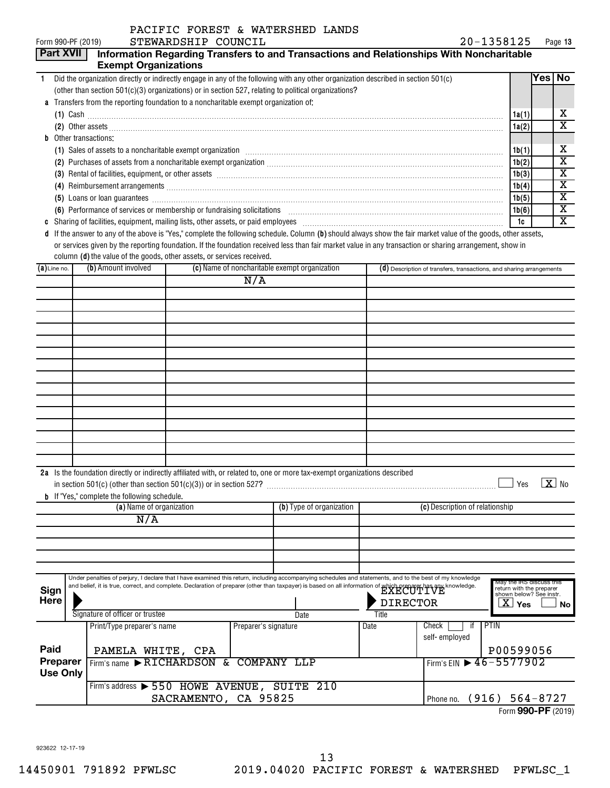|                |                             | PACIFIC FOREST & WATERSHED LANDS                                                                                                                                                                                                                                                                                                      |                                                                      |         |                                                    |
|----------------|-----------------------------|---------------------------------------------------------------------------------------------------------------------------------------------------------------------------------------------------------------------------------------------------------------------------------------------------------------------------------------|----------------------------------------------------------------------|---------|----------------------------------------------------|
|                | Form 990-PF (2019)          | STEWARDSHIP COUNCIL                                                                                                                                                                                                                                                                                                                   | 20-1358125                                                           | Page 13 |                                                    |
|                | <b>Part XVII</b>            | Information Regarding Transfers to and Transactions and Relationships With Noncharitable                                                                                                                                                                                                                                              |                                                                      |         |                                                    |
|                | <b>Exempt Organizations</b> |                                                                                                                                                                                                                                                                                                                                       |                                                                      |         |                                                    |
| -1             |                             | Did the organization directly or indirectly engage in any of the following with any other organization described in section 501(c)                                                                                                                                                                                                    |                                                                      | Yes No  |                                                    |
|                |                             | (other than section 501(c)(3) organizations) or in section 527, relating to political organizations?                                                                                                                                                                                                                                  |                                                                      |         |                                                    |
| a              |                             | Transfers from the reporting foundation to a noncharitable exempt organization of:                                                                                                                                                                                                                                                    |                                                                      |         |                                                    |
|                |                             | $(1)$ Cash $\ldots$ $\ldots$ $\ldots$ $\ldots$ $\ldots$ $\ldots$ $\ldots$ $\ldots$ $\ldots$ $\ldots$ $\ldots$ $\ldots$ $\ldots$ $\ldots$ $\ldots$ $\ldots$ $\ldots$ $\ldots$ $\ldots$ $\ldots$ $\ldots$ $\ldots$ $\ldots$ $\ldots$ $\ldots$ $\ldots$ $\ldots$ $\ldots$ $\ldots$ $\ldots$ $\ldots$ $\ldots$ $\ldots$ $\ldots$ $\ldots$ | 1a(1)                                                                |         | х<br>$\overline{\text{x}}$                         |
|                |                             | (2) Other assets <b>construction and construction of the construction</b> of the construction of the construction of the construction of the construction of the construction of the construction of the construction of the constr                                                                                                   | 1a(2)                                                                |         |                                                    |
| b              | Other transactions:         |                                                                                                                                                                                                                                                                                                                                       |                                                                      |         |                                                    |
|                |                             | (1) Sales of assets to a noncharitable exempt organization manufactured contained and a series of assets to a noncharitable exempt organization manufactured contained and series of the series of the series of the series of                                                                                                        | 1b(1)                                                                |         | х                                                  |
|                |                             |                                                                                                                                                                                                                                                                                                                                       | 1b(2)                                                                |         | $\overline{\text{x}}$                              |
|                |                             | (3) Rental of facilities, equipment, or other assets [111] All and the content of the set of the assets [11] All and the set of the set of the set of the set of the set of the set of the set of the set of the set of the se                                                                                                        | 1b(3)                                                                |         | $\overline{\text{x}}$                              |
|                |                             |                                                                                                                                                                                                                                                                                                                                       | 1b(4)                                                                |         | $\overline{\text{x}}$                              |
|                |                             |                                                                                                                                                                                                                                                                                                                                       | 1b(5)                                                                |         | $\overline{\texttt{x}}$                            |
|                |                             | (6) Performance of services or membership or fundraising solicitations                                                                                                                                                                                                                                                                | 1b(6)                                                                |         | $\overline{\textbf{x}}$<br>$\overline{\mathtt{x}}$ |
| C              |                             |                                                                                                                                                                                                                                                                                                                                       | 1c                                                                   |         |                                                    |
| d              |                             | If the answer to any of the above is "Yes," complete the following schedule. Column (b) should always show the fair market value of the goods, other assets,                                                                                                                                                                          |                                                                      |         |                                                    |
|                |                             | or services given by the reporting foundation. If the foundation received less than fair market value in any transaction or sharing arrangement, show in<br>column (d) the value of the goods, other assets, or services received.                                                                                                    |                                                                      |         |                                                    |
| $(a)$ Line no. | (b) Amount involved         | (c) Name of noncharitable exempt organization                                                                                                                                                                                                                                                                                         | (d) Description of transfers, transactions, and sharing arrangements |         |                                                    |
|                |                             | $\overline{N/A}$                                                                                                                                                                                                                                                                                                                      |                                                                      |         |                                                    |
|                |                             |                                                                                                                                                                                                                                                                                                                                       |                                                                      |         |                                                    |
|                |                             |                                                                                                                                                                                                                                                                                                                                       |                                                                      |         |                                                    |
|                |                             |                                                                                                                                                                                                                                                                                                                                       |                                                                      |         |                                                    |
|                |                             |                                                                                                                                                                                                                                                                                                                                       |                                                                      |         |                                                    |
|                |                             |                                                                                                                                                                                                                                                                                                                                       |                                                                      |         |                                                    |
|                |                             |                                                                                                                                                                                                                                                                                                                                       |                                                                      |         |                                                    |
|                |                             |                                                                                                                                                                                                                                                                                                                                       |                                                                      |         |                                                    |
|                |                             |                                                                                                                                                                                                                                                                                                                                       |                                                                      |         |                                                    |
|                |                             |                                                                                                                                                                                                                                                                                                                                       |                                                                      |         |                                                    |
|                |                             |                                                                                                                                                                                                                                                                                                                                       |                                                                      |         |                                                    |
|                |                             |                                                                                                                                                                                                                                                                                                                                       |                                                                      |         |                                                    |
|                |                             |                                                                                                                                                                                                                                                                                                                                       |                                                                      |         |                                                    |

| 2a |  |                                                                    | Is the foundation directly or indirectly affiliated with, or related to, one or more tax-exempt organizations described |  |  |
|----|--|--------------------------------------------------------------------|-------------------------------------------------------------------------------------------------------------------------|--|--|
|    |  | $n 501(c)$ (other than section $501(c)(3)$ ) or in section $527$ ? |                                                                                                                         |  |  |

| b.                                          |  | If "Yes," complete the following schedule.                                                                                                                                                                                                                                                                                                                   |                      |                          |                          |                                          |                                                                                                                      |
|---------------------------------------------|--|--------------------------------------------------------------------------------------------------------------------------------------------------------------------------------------------------------------------------------------------------------------------------------------------------------------------------------------------------------------|----------------------|--------------------------|--------------------------|------------------------------------------|----------------------------------------------------------------------------------------------------------------------|
| (a) Name of organization                    |  |                                                                                                                                                                                                                                                                                                                                                              |                      | (b) Type of organization |                          | (c) Description of relationship          |                                                                                                                      |
|                                             |  | N/A                                                                                                                                                                                                                                                                                                                                                          |                      |                          |                          |                                          |                                                                                                                      |
|                                             |  |                                                                                                                                                                                                                                                                                                                                                              |                      |                          |                          |                                          |                                                                                                                      |
|                                             |  |                                                                                                                                                                                                                                                                                                                                                              |                      |                          |                          |                                          |                                                                                                                      |
|                                             |  |                                                                                                                                                                                                                                                                                                                                                              |                      |                          |                          |                                          |                                                                                                                      |
|                                             |  |                                                                                                                                                                                                                                                                                                                                                              |                      |                          |                          |                                          |                                                                                                                      |
| <b>Sign</b><br><b>Here</b>                  |  | Under penalties of perjury, I declare that I have examined this return, including accompanying schedules and statements, and to the best of my knowledge<br>and belief, it is true, correct, and complete. Declaration of preparer (other than taxpayer) is based on all information of which preparer has any knowledge.<br>Signature of officer or trustee |                      | Date                     | <b>DIRECTOR</b><br>Title |                                          | May the IRS discuss this<br>return with the preparer<br>shown below? See instr.<br>$\overline{\mathrm{X}}$ Yes<br>No |
|                                             |  | Print/Type preparer's name                                                                                                                                                                                                                                                                                                                                   | Preparer's signature |                          | Date                     | Check<br>self-employed                   | <b>PTIN</b>                                                                                                          |
| Paid                                        |  | PAMELA WHITE, CPA                                                                                                                                                                                                                                                                                                                                            |                      |                          |                          |                                          | P00599056                                                                                                            |
| <b>Preparer</b><br>Firm's name RICHARDSON & |  | COMPANY LLP                                                                                                                                                                                                                                                                                                                                                  |                      |                          |                          | Firm's EIN $\triangleright$ 46 - 5577902 |                                                                                                                      |
| <b>Use Only</b>                             |  |                                                                                                                                                                                                                                                                                                                                                              |                      |                          |                          |                                          |                                                                                                                      |
|                                             |  | Firm's address > 550 HOWE AVENUE, SUITE 210                                                                                                                                                                                                                                                                                                                  |                      |                          |                          |                                          |                                                                                                                      |
|                                             |  | SACRAMENTO, CA 95825                                                                                                                                                                                                                                                                                                                                         |                      |                          |                          | Phone no.                                | $(916) 564 - 8727$                                                                                                   |

Form (2019) **990-PF**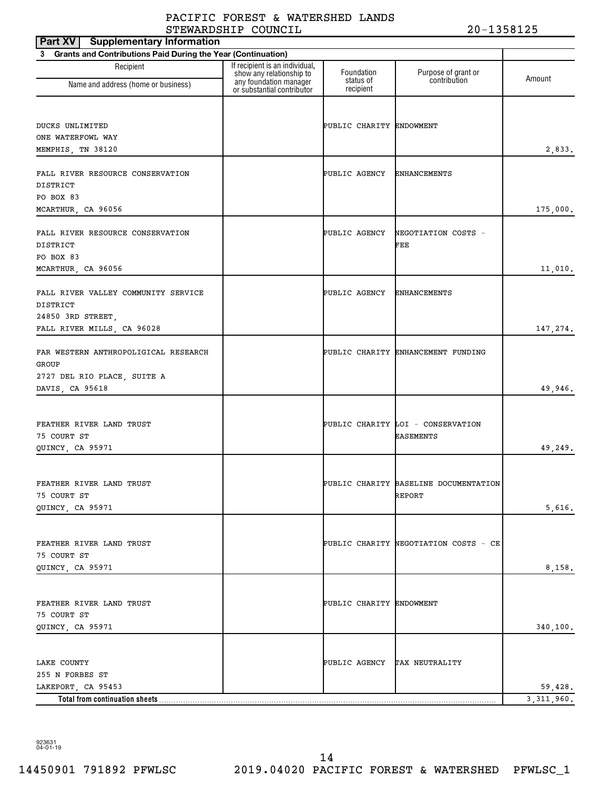| <b>Supplementary Information</b><br>Part XV                              |                                                                                      |                              |                                       |                         |
|--------------------------------------------------------------------------|--------------------------------------------------------------------------------------|------------------------------|---------------------------------------|-------------------------|
| <b>Grants and Contributions Paid During the Year (Continuation)</b><br>3 |                                                                                      |                              |                                       |                         |
| Recipient                                                                | If recipient is an individual,<br>show any relationship to<br>any foundation manager | Foundation<br>status of      | Purpose of grant or<br>contribution   | Amount                  |
| Name and address (home or business)                                      | or substantial contributor                                                           | recipient                    |                                       |                         |
|                                                                          |                                                                                      |                              |                                       |                         |
| DUCKS UNLIMITED                                                          |                                                                                      | PUBLIC CHARITY ENDOWMENT     |                                       |                         |
| ONE WATERFOWL WAY                                                        |                                                                                      |                              |                                       |                         |
| MEMPHIS, TN 38120                                                        |                                                                                      |                              |                                       | 2,833.                  |
|                                                                          |                                                                                      |                              |                                       |                         |
| FALL RIVER RESOURCE CONSERVATION<br>DISTRICT                             |                                                                                      | PUBLIC AGENCY                | <b>ENHANCEMENTS</b>                   |                         |
| PO BOX 83                                                                |                                                                                      |                              |                                       |                         |
| MCARTHUR, CA 96056                                                       |                                                                                      |                              |                                       | 175,000.                |
|                                                                          |                                                                                      |                              |                                       |                         |
| FALL RIVER RESOURCE CONSERVATION                                         |                                                                                      | PUBLIC AGENCY                | NEGOTIATION COSTS -                   |                         |
| DISTRICT<br>PO BOX 83                                                    |                                                                                      |                              | FEE                                   |                         |
| MCARTHUR, CA 96056                                                       |                                                                                      |                              |                                       | 11,010.                 |
|                                                                          |                                                                                      |                              |                                       |                         |
| FALL RIVER VALLEY COMMUNITY SERVICE                                      |                                                                                      | PUBLIC AGENCY                | <b>ENHANCEMENTS</b>                   |                         |
| DISTRICT                                                                 |                                                                                      |                              |                                       |                         |
| 24850 3RD STREET,                                                        |                                                                                      |                              |                                       |                         |
| FALL RIVER MILLS, CA 96028                                               |                                                                                      |                              |                                       | 147,274.                |
| FAR WESTERN ANTHROPOLIGICAL RESEARCH                                     |                                                                                      |                              | PUBLIC CHARITY ENHANCEMENT FUNDING    |                         |
| GROUP                                                                    |                                                                                      |                              |                                       |                         |
| 2727 DEL RIO PLACE, SUITE A                                              |                                                                                      |                              |                                       |                         |
| DAVIS, CA 95618                                                          |                                                                                      |                              |                                       | 49,946.                 |
|                                                                          |                                                                                      |                              |                                       |                         |
| FEATHER RIVER LAND TRUST                                                 |                                                                                      |                              | PUBLIC CHARITY LOI - CONSERVATION     |                         |
| 75 COURT ST                                                              |                                                                                      |                              | <b>EASEMENTS</b>                      |                         |
| QUINCY, CA 95971                                                         |                                                                                      |                              |                                       | 49,249.                 |
|                                                                          |                                                                                      |                              |                                       |                         |
| FEATHER RIVER LAND TRUST                                                 |                                                                                      |                              | PUBLIC CHARITY BASELINE DOCUMENTATION |                         |
| 75 COURT ST                                                              |                                                                                      |                              | REPORT                                |                         |
| QUINCY, CA 95971                                                         |                                                                                      |                              |                                       | 5,616.                  |
|                                                                          |                                                                                      |                              |                                       |                         |
|                                                                          |                                                                                      |                              |                                       |                         |
| FEATHER RIVER LAND TRUST<br>75 COURT ST                                  |                                                                                      |                              | PUBLIC CHARITY NEGOTIATION COSTS - CE |                         |
| QUINCY, CA 95971                                                         |                                                                                      |                              |                                       | 8,158.                  |
|                                                                          |                                                                                      |                              |                                       |                         |
|                                                                          |                                                                                      |                              |                                       |                         |
| FEATHER RIVER LAND TRUST                                                 |                                                                                      | PUBLIC CHARITY ENDOWMENT     |                                       |                         |
| 75 COURT ST                                                              |                                                                                      |                              |                                       |                         |
| QUINCY, CA 95971                                                         |                                                                                      |                              |                                       | 340,100.                |
|                                                                          |                                                                                      |                              |                                       |                         |
| LAKE COUNTY                                                              |                                                                                      | PUBLIC AGENCY TAX NEUTRALITY |                                       |                         |
| 255 N FORBES ST                                                          |                                                                                      |                              |                                       |                         |
| LAKEPORT, CA 95453                                                       |                                                                                      |                              |                                       | 59,428.<br>3, 311, 960. |
| Total from continuation sheets                                           |                                                                                      |                              |                                       |                         |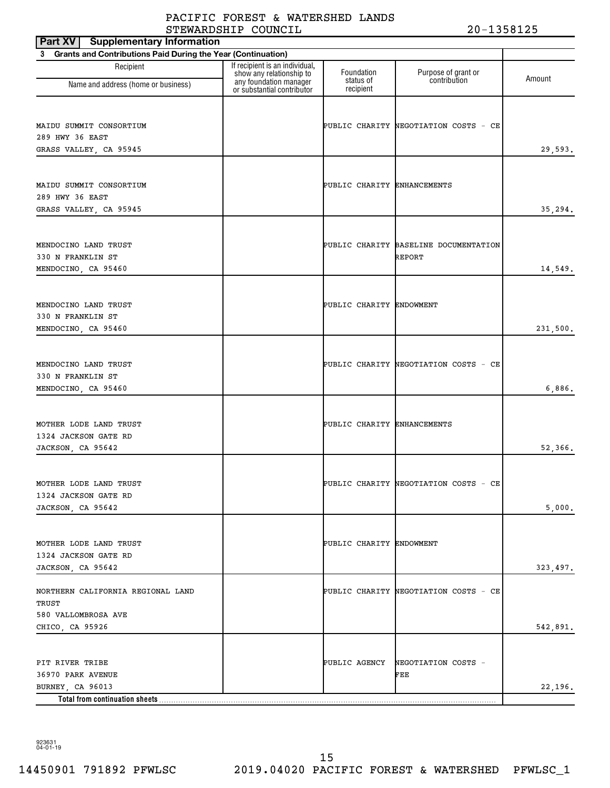| <b>Supplementary Information</b><br>Part XV                    |                                                                                      |                             |                                       |          |
|----------------------------------------------------------------|--------------------------------------------------------------------------------------|-----------------------------|---------------------------------------|----------|
| 3 Grants and Contributions Paid During the Year (Continuation) |                                                                                      |                             |                                       |          |
| Recipient<br>Name and address (home or business)               | If recipient is an individual,<br>show any relationship to<br>any foundation manager | Foundation<br>status of     | Purpose of grant or<br>contribution   | Amount   |
|                                                                | or substantial contributor                                                           | recipient                   |                                       |          |
|                                                                |                                                                                      |                             |                                       |          |
| MAIDU SUMMIT CONSORTIUM                                        |                                                                                      |                             | PUBLIC CHARITY NEGOTIATION COSTS - CE |          |
| 289 HWY 36 EAST<br>GRASS VALLEY, CA 95945                      |                                                                                      |                             |                                       | 29,593.  |
|                                                                |                                                                                      |                             |                                       |          |
|                                                                |                                                                                      |                             |                                       |          |
| MAIDU SUMMIT CONSORTIUM                                        |                                                                                      | PUBLIC CHARITY ENHANCEMENTS |                                       |          |
| 289 HWY 36 EAST                                                |                                                                                      |                             |                                       |          |
| GRASS VALLEY, CA 95945                                         |                                                                                      |                             |                                       | 35,294.  |
|                                                                |                                                                                      |                             |                                       |          |
| MENDOCINO LAND TRUST                                           |                                                                                      |                             | PUBLIC CHARITY BASELINE DOCUMENTATION |          |
| 330 N FRANKLIN ST                                              |                                                                                      |                             | REPORT                                |          |
| MENDOCINO, CA 95460                                            |                                                                                      |                             |                                       | 14,549.  |
|                                                                |                                                                                      |                             |                                       |          |
|                                                                |                                                                                      |                             |                                       |          |
| MENDOCINO LAND TRUST                                           |                                                                                      | PUBLIC CHARITY ENDOWMENT    |                                       |          |
| 330 N FRANKLIN ST                                              |                                                                                      |                             |                                       |          |
| MENDOCINO, CA 95460                                            |                                                                                      |                             |                                       | 231,500. |
|                                                                |                                                                                      |                             |                                       |          |
| MENDOCINO LAND TRUST                                           |                                                                                      |                             | PUBLIC CHARITY NEGOTIATION COSTS - CE |          |
| 330 N FRANKLIN ST                                              |                                                                                      |                             |                                       |          |
| MENDOCINO, CA 95460                                            |                                                                                      |                             |                                       | 6,886.   |
|                                                                |                                                                                      |                             |                                       |          |
|                                                                |                                                                                      |                             |                                       |          |
| MOTHER LODE LAND TRUST                                         |                                                                                      | PUBLIC CHARITY ENHANCEMENTS |                                       |          |
| 1324 JACKSON GATE RD                                           |                                                                                      |                             |                                       |          |
| JACKSON, CA 95642                                              |                                                                                      |                             |                                       | 52,366.  |
|                                                                |                                                                                      |                             |                                       |          |
| MOTHER LODE LAND TRUST                                         |                                                                                      |                             | PUBLIC CHARITY NEGOTIATION COSTS - CE |          |
| 1324 JACKSON GATE RD                                           |                                                                                      |                             |                                       |          |
| JACKSON, CA 95642                                              |                                                                                      |                             |                                       | 5,000.   |
|                                                                |                                                                                      |                             |                                       |          |
|                                                                |                                                                                      |                             |                                       |          |
| MOTHER LODE LAND TRUST<br>1324 JACKSON GATE RD                 |                                                                                      | PUBLIC CHARITY ENDOWMENT    |                                       |          |
| JACKSON, CA 95642                                              |                                                                                      |                             |                                       | 323,497. |
|                                                                |                                                                                      |                             |                                       |          |
| NORTHERN CALIFORNIA REGIONAL LAND                              |                                                                                      |                             | PUBLIC CHARITY NEGOTIATION COSTS - CE |          |
| TRUST                                                          |                                                                                      |                             |                                       |          |
| 580 VALLOMBROSA AVE                                            |                                                                                      |                             |                                       |          |
| CHICO, CA 95926                                                |                                                                                      |                             |                                       | 542,891. |
|                                                                |                                                                                      |                             |                                       |          |
| PIT RIVER TRIBE                                                |                                                                                      | PUBLIC AGENCY               | NEGOTIATION COSTS -                   |          |
| 36970 PARK AVENUE                                              |                                                                                      |                             | FEE                                   |          |
| BURNEY, CA 96013                                               |                                                                                      |                             |                                       | 22,196.  |
| Total from continuation sheets                                 |                                                                                      |                             |                                       |          |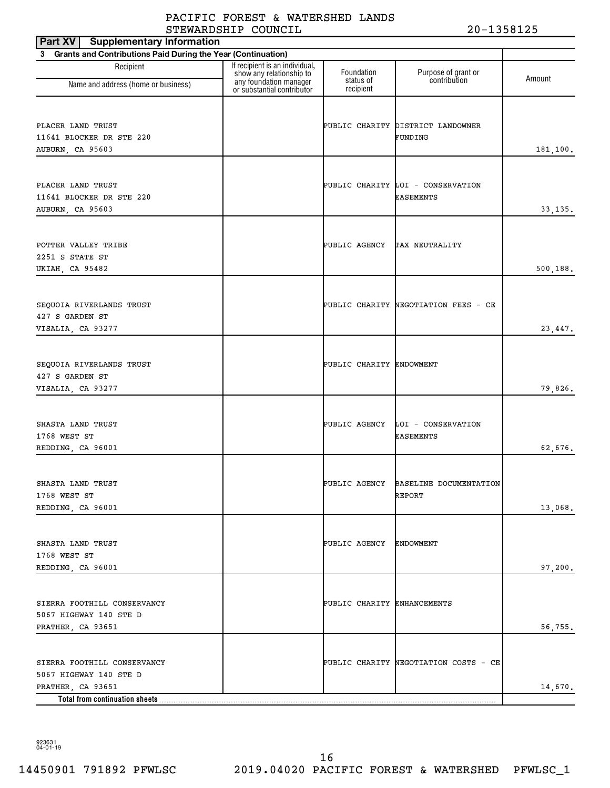| <b>Supplementary Information</b><br>Part XV                    |                                                                                      |                             |                                                |          |
|----------------------------------------------------------------|--------------------------------------------------------------------------------------|-----------------------------|------------------------------------------------|----------|
| 3 Grants and Contributions Paid During the Year (Continuation) |                                                                                      |                             |                                                |          |
| Recipient<br>Name and address (home or business)               | If recipient is an individual,<br>show any relationship to<br>any foundation manager | Foundation<br>status of     | Purpose of grant or<br>contribution            | Amount   |
|                                                                | or substantial contributor                                                           | recipient                   |                                                |          |
|                                                                |                                                                                      |                             |                                                |          |
| PLACER LAND TRUST<br>11641 BLOCKER DR STE 220                  |                                                                                      |                             | PUBLIC CHARITY DISTRICT LANDOWNER<br>FUNDING   |          |
| AUBURN, CA 95603                                               |                                                                                      |                             |                                                | 181,100. |
|                                                                |                                                                                      |                             |                                                |          |
|                                                                |                                                                                      |                             |                                                |          |
| PLACER LAND TRUST                                              |                                                                                      |                             | PUBLIC CHARITY LOI - CONSERVATION              |          |
| 11641 BLOCKER DR STE 220                                       |                                                                                      |                             | <b>EASEMENTS</b>                               |          |
| AUBURN, CA 95603                                               |                                                                                      |                             |                                                | 33, 135. |
|                                                                |                                                                                      |                             |                                                |          |
| POTTER VALLEY TRIBE                                            |                                                                                      | PUBLIC AGENCY               | TAX NEUTRALITY                                 |          |
| 2251 S STATE ST                                                |                                                                                      |                             |                                                |          |
| UKIAH, CA 95482                                                |                                                                                      |                             |                                                | 500,188. |
|                                                                |                                                                                      |                             |                                                |          |
|                                                                |                                                                                      |                             |                                                |          |
| SEQUOIA RIVERLANDS TRUST<br>427 S GARDEN ST                    |                                                                                      |                             | PUBLIC CHARITY NEGOTIATION FEES - CE           |          |
| VISALIA, CA 93277                                              |                                                                                      |                             |                                                | 23, 447. |
|                                                                |                                                                                      |                             |                                                |          |
|                                                                |                                                                                      |                             |                                                |          |
| SEQUOIA RIVERLANDS TRUST                                       |                                                                                      | PUBLIC CHARITY ENDOWMENT    |                                                |          |
| 427 S GARDEN ST                                                |                                                                                      |                             |                                                |          |
| VISALIA, CA 93277                                              |                                                                                      |                             |                                                | 79,826.  |
|                                                                |                                                                                      |                             |                                                |          |
| SHASTA LAND TRUST                                              |                                                                                      | PUBLIC AGENCY               | LOI - CONSERVATION                             |          |
| 1768 WEST ST                                                   |                                                                                      |                             | <b>EASEMENTS</b>                               |          |
| REDDING, CA 96001                                              |                                                                                      |                             |                                                | 62,676.  |
|                                                                |                                                                                      |                             |                                                |          |
|                                                                |                                                                                      |                             |                                                |          |
| SHASTA LAND TRUST<br>1768 WEST ST                              |                                                                                      |                             | PUBLIC AGENCY BASELINE DOCUMENTATION<br>REPORT |          |
| REDDING, CA 96001                                              |                                                                                      |                             |                                                | 13,068.  |
|                                                                |                                                                                      |                             |                                                |          |
|                                                                |                                                                                      |                             |                                                |          |
| SHASTA LAND TRUST                                              |                                                                                      | PUBLIC AGENCY               | ENDOWMENT                                      |          |
| 1768 WEST ST                                                   |                                                                                      |                             |                                                |          |
| REDDING, CA 96001                                              |                                                                                      |                             |                                                | 97,200.  |
|                                                                |                                                                                      |                             |                                                |          |
| SIERRA FOOTHILL CONSERVANCY                                    |                                                                                      | PUBLIC CHARITY ENHANCEMENTS |                                                |          |
| 5067 HIGHWAY 140 STE D                                         |                                                                                      |                             |                                                |          |
| PRATHER, CA 93651                                              |                                                                                      |                             |                                                | 56,755.  |
|                                                                |                                                                                      |                             |                                                |          |
| SIERRA FOOTHILL CONSERVANCY                                    |                                                                                      |                             | PUBLIC CHARITY NEGOTIATION COSTS - CE          |          |
| 5067 HIGHWAY 140 STE D                                         |                                                                                      |                             |                                                |          |
| PRATHER, CA 93651                                              |                                                                                      |                             |                                                | 14,670.  |
| Total from continuation sheets                                 |                                                                                      |                             |                                                |          |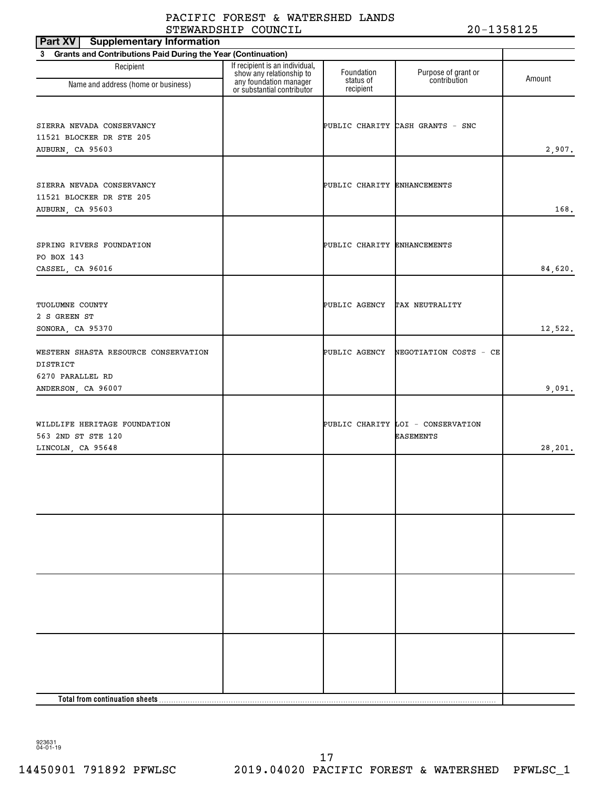| <b>Supplementary Information</b><br>Part XV                               |                                                            |                             |                                                       |         |
|---------------------------------------------------------------------------|------------------------------------------------------------|-----------------------------|-------------------------------------------------------|---------|
| 3 Grants and Contributions Paid During the Year (Continuation)            |                                                            |                             |                                                       |         |
| Recipient                                                                 | If recipient is an individual,<br>show any relationship to | Foundation<br>status of     | Purpose of grant or<br>contribution                   | Amount  |
| Name and address (home or business)                                       | any foundation manager<br>or substantial contributor       | recipient                   |                                                       |         |
| SIERRA NEVADA CONSERVANCY                                                 |                                                            |                             | PUBLIC CHARITY CASH GRANTS - SNC                      |         |
| 11521 BLOCKER DR STE 205<br>AUBURN, CA 95603                              |                                                            |                             |                                                       | 2,907.  |
|                                                                           |                                                            |                             |                                                       |         |
| SIERRA NEVADA CONSERVANCY<br>11521 BLOCKER DR STE 205<br>AUBURN, CA 95603 |                                                            | PUBLIC CHARITY ENHANCEMENTS |                                                       | 168.    |
| SPRING RIVERS FOUNDATION<br>PO BOX 143                                    |                                                            | PUBLIC CHARITY ENHANCEMENTS |                                                       |         |
| CASSEL, CA 96016                                                          |                                                            |                             |                                                       | 84,620. |
| TUOLUMNE COUNTY<br>2 S GREEN ST                                           |                                                            | PUBLIC AGENCY               | TAX NEUTRALITY                                        |         |
| SONORA, CA 95370                                                          |                                                            |                             |                                                       | 12,522. |
| WESTERN SHASTA RESOURCE CONSERVATION<br>DISTRICT<br>6270 PARALLEL RD      |                                                            | PUBLIC AGENCY               | NEGOTIATION COSTS - CE                                |         |
| ANDERSON, CA 96007                                                        |                                                            |                             |                                                       | 9,091.  |
| WILDLIFE HERITAGE FOUNDATION<br>563 2ND ST STE 120<br>LINCOLN, CA 95648   |                                                            |                             | PUBLIC CHARITY LOI - CONSERVATION<br><b>EASEMENTS</b> | 28,201. |
|                                                                           |                                                            |                             |                                                       |         |
|                                                                           |                                                            |                             |                                                       |         |
|                                                                           |                                                            |                             |                                                       |         |
|                                                                           |                                                            |                             |                                                       |         |
| Total from continuation sheets                                            |                                                            |                             |                                                       |         |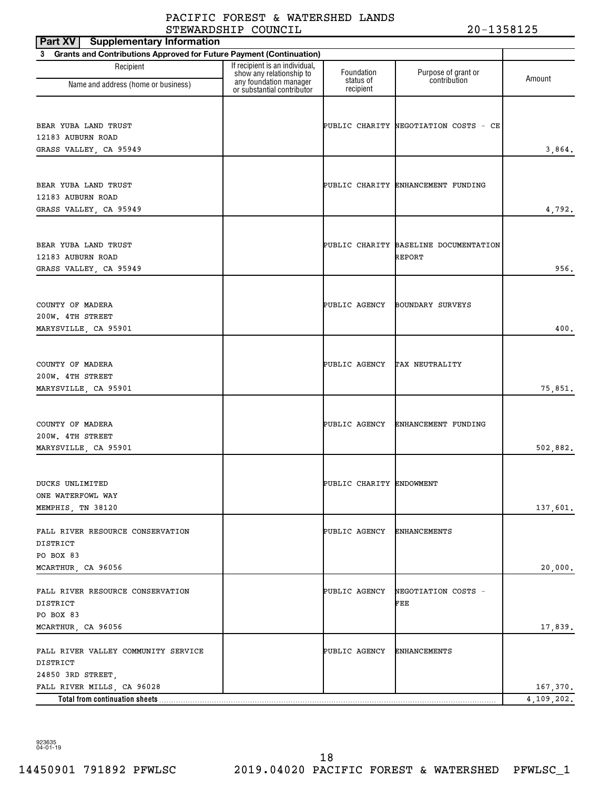| <b>Supplementary Information</b><br>Part XV                           |                                                            |                          |                                       |            |
|-----------------------------------------------------------------------|------------------------------------------------------------|--------------------------|---------------------------------------|------------|
| 3 Grants and Contributions Approved for Future Payment (Continuation) |                                                            |                          |                                       |            |
| Recipient                                                             | If recipient is an individual,<br>show any relationship to | Foundation<br>status of  | Purpose of grant or<br>contribution   | Amount     |
| Name and address (home or business)                                   | any foundation manager<br>or substantial contributor       | recipient                |                                       |            |
|                                                                       |                                                            |                          |                                       |            |
| BEAR YUBA LAND TRUST                                                  |                                                            |                          | PUBLIC CHARITY NEGOTIATION COSTS - CE |            |
| 12183 AUBURN ROAD                                                     |                                                            |                          |                                       |            |
| GRASS VALLEY, CA 95949                                                |                                                            |                          |                                       | 3,864.     |
|                                                                       |                                                            |                          |                                       |            |
|                                                                       |                                                            |                          |                                       |            |
| BEAR YUBA LAND TRUST                                                  |                                                            |                          | PUBLIC CHARITY ENHANCEMENT FUNDING    |            |
| 12183 AUBURN ROAD<br>GRASS VALLEY, CA 95949                           |                                                            |                          |                                       | 4,792.     |
|                                                                       |                                                            |                          |                                       |            |
|                                                                       |                                                            |                          |                                       |            |
| BEAR YUBA LAND TRUST                                                  |                                                            |                          | PUBLIC CHARITY BASELINE DOCUMENTATION |            |
| 12183 AUBURN ROAD                                                     |                                                            |                          | REPORT                                |            |
| GRASS VALLEY, CA 95949                                                |                                                            |                          |                                       | 956.       |
|                                                                       |                                                            |                          |                                       |            |
| COUNTY OF MADERA                                                      |                                                            | PUBLIC AGENCY            | BOUNDARY SURVEYS                      |            |
| 200W. 4TH STREET                                                      |                                                            |                          |                                       |            |
| MARYSVILLE, CA 95901                                                  |                                                            |                          |                                       | 400.       |
|                                                                       |                                                            |                          |                                       |            |
|                                                                       |                                                            |                          |                                       |            |
| COUNTY OF MADERA                                                      |                                                            | PUBLIC AGENCY            | TAX NEUTRALITY                        |            |
| 200W. 4TH STREET                                                      |                                                            |                          |                                       |            |
| MARYSVILLE, CA 95901                                                  |                                                            |                          |                                       | 75,851.    |
|                                                                       |                                                            |                          |                                       |            |
| COUNTY OF MADERA                                                      |                                                            | PUBLIC AGENCY            | ENHANCEMENT FUNDING                   |            |
| 200W. 4TH STREET                                                      |                                                            |                          |                                       |            |
| MARYSVILLE, CA 95901                                                  |                                                            |                          |                                       | 502,882.   |
|                                                                       |                                                            |                          |                                       |            |
| DUCKS UNLIMITED                                                       |                                                            | PUBLIC CHARITY ENDOWMENT |                                       |            |
| ONE WATERFOWL WAY                                                     |                                                            |                          |                                       |            |
| MEMPHIS, TN 38120                                                     |                                                            |                          |                                       | 137,601.   |
|                                                                       |                                                            |                          |                                       |            |
| FALL RIVER RESOURCE CONSERVATION                                      |                                                            | PUBLIC AGENCY            | <b>ENHANCEMENTS</b>                   |            |
| DISTRICT                                                              |                                                            |                          |                                       |            |
| PO BOX 83                                                             |                                                            |                          |                                       |            |
| MCARTHUR, CA 96056                                                    |                                                            |                          |                                       | 20,000.    |
| FALL RIVER RESOURCE CONSERVATION                                      |                                                            | PUBLIC AGENCY            | NEGOTIATION COSTS -                   |            |
| DISTRICT                                                              |                                                            |                          | FEE                                   |            |
| PO BOX 83                                                             |                                                            |                          |                                       |            |
| MCARTHUR, CA 96056                                                    |                                                            |                          |                                       | 17,839.    |
|                                                                       |                                                            |                          |                                       |            |
| FALL RIVER VALLEY COMMUNITY SERVICE<br>DISTRICT                       |                                                            | PUBLIC AGENCY            | <b>ENHANCEMENTS</b>                   |            |
| 24850 3RD STREET,                                                     |                                                            |                          |                                       |            |
| FALL RIVER MILLS, CA 96028                                            |                                                            |                          |                                       | 167,370.   |
| Total from continuation sheets                                        |                                                            |                          |                                       | 4,109,202. |

14450901 791892 PFWLSC 2019.04020 PACIFIC FOREST & WATERSHED PFWLSC\_1 18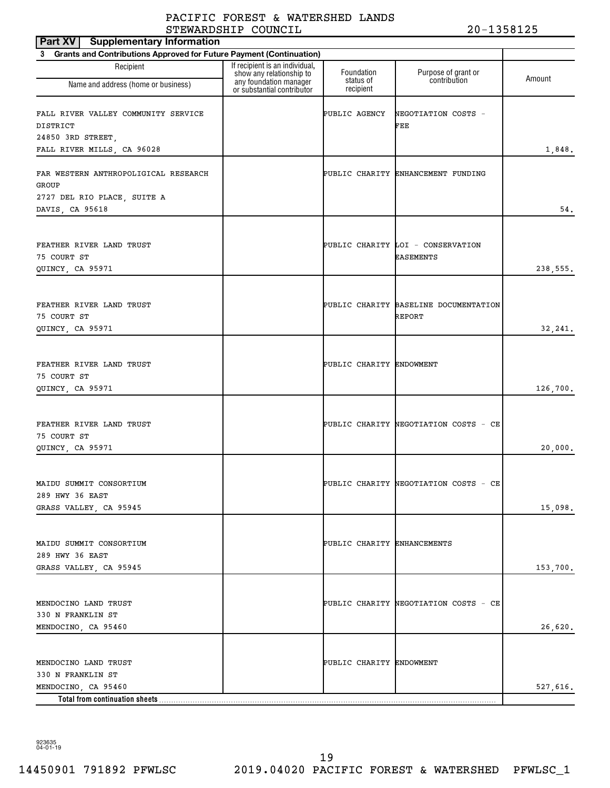| <b>Supplementary Information</b><br>Part XV                                                     |                                                                                      |                             |                                                       |          |
|-------------------------------------------------------------------------------------------------|--------------------------------------------------------------------------------------|-----------------------------|-------------------------------------------------------|----------|
| Grants and Contributions Approved for Future Payment (Continuation)<br>3                        |                                                                                      |                             |                                                       |          |
| Recipient<br>Name and address (home or business)                                                | If recipient is an individual,<br>show any relationship to<br>any foundation manager | Foundation<br>status of     | Purpose of grant or<br>contribution                   | Amount   |
| FALL RIVER VALLEY COMMUNITY SERVICE<br>DISTRICT<br>24850 3RD STREET                             | or substantial contributor                                                           | recipient<br>PUBLIC AGENCY  | NEGOTIATION COSTS -<br>FEE                            |          |
| FALL RIVER MILLS, CA 96028                                                                      |                                                                                      |                             |                                                       | 1,848.   |
| FAR WESTERN ANTHROPOLIGICAL RESEARCH<br>GROUP<br>2727 DEL RIO PLACE, SUITE A<br>DAVIS, CA 95618 |                                                                                      |                             | PUBLIC CHARITY ENHANCEMENT FUNDING                    | 54.      |
| FEATHER RIVER LAND TRUST<br>75 COURT ST<br>QUINCY, CA 95971                                     |                                                                                      |                             | PUBLIC CHARITY LOI - CONSERVATION<br><b>EASEMENTS</b> | 238,555. |
| FEATHER RIVER LAND TRUST<br>75 COURT ST<br>QUINCY, CA 95971                                     |                                                                                      |                             | PUBLIC CHARITY BASELINE DOCUMENTATION<br>REPORT       | 32, 241. |
| FEATHER RIVER LAND TRUST<br>75 COURT ST<br>QUINCY, CA 95971                                     |                                                                                      | PUBLIC CHARITY ENDOWMENT    |                                                       | 126,700. |
| FEATHER RIVER LAND TRUST<br>75 COURT ST<br>QUINCY, CA 95971                                     |                                                                                      |                             | PUBLIC CHARITY NEGOTIATION COSTS - CE                 | 20,000.  |
| MAIDU SUMMIT CONSORTIUM<br>289 HWY 36 EAST<br>GRASS VALLEY, CA 95945                            |                                                                                      |                             | PUBLIC CHARITY NEGOTIATION COSTS - CE                 | 15,098.  |
| MAIDU SUMMIT CONSORTIUM<br>289 HWY 36 EAST<br>GRASS VALLEY, CA 95945                            |                                                                                      | PUBLIC CHARITY ENHANCEMENTS |                                                       | 153,700. |
| MENDOCINO LAND TRUST<br>330 N FRANKLIN ST<br>MENDOCINO, CA 95460                                |                                                                                      |                             | PUBLIC CHARITY NEGOTIATION COSTS - CE                 | 26,620.  |
| MENDOCINO LAND TRUST<br>330 N FRANKLIN ST                                                       |                                                                                      | PUBLIC CHARITY ENDOWMENT    |                                                       |          |
| MENDOCINO, CA 95460<br>Total from continuation sheets                                           |                                                                                      |                             |                                                       | 527,616. |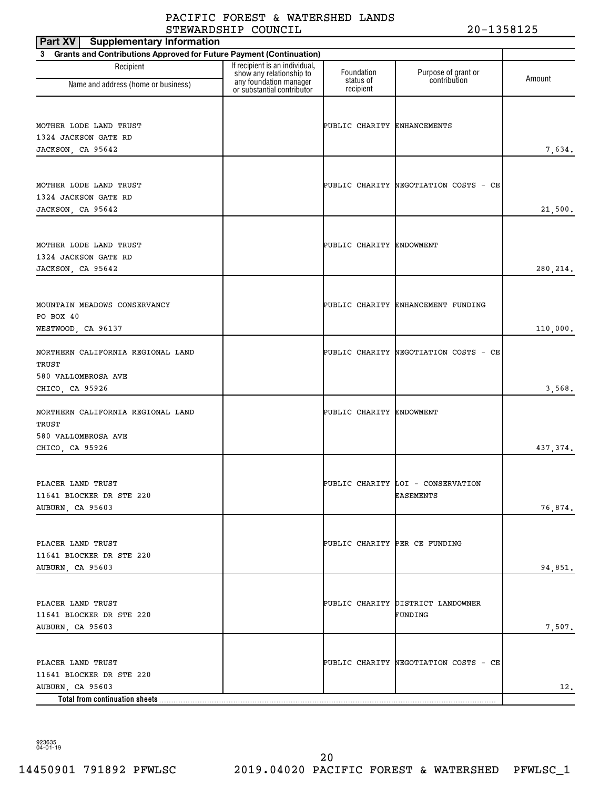| <b>Supplementary Information</b><br>Part XV                                                         |                                                                                      |                               |                                                |           |
|-----------------------------------------------------------------------------------------------------|--------------------------------------------------------------------------------------|-------------------------------|------------------------------------------------|-----------|
| 3 Grants and Contributions Approved for Future Payment (Continuation)                               |                                                                                      |                               |                                                |           |
| Recipient<br>Name and address (home or business)                                                    | If recipient is an individual,<br>show any relationship to<br>any foundation manager | Foundation<br>status of       | Purpose of grant or<br>contribution            | Amount    |
|                                                                                                     | or substantial contributor                                                           | recipient                     |                                                |           |
| MOTHER LODE LAND TRUST<br>1324 JACKSON GATE RD<br>JACKSON, CA 95642                                 |                                                                                      | PUBLIC CHARITY ENHANCEMENTS   |                                                | 7,634.    |
| MOTHER LODE LAND TRUST<br>1324 JACKSON GATE RD<br>JACKSON, CA 95642                                 |                                                                                      |                               | PUBLIC CHARITY NEGOTIATION COSTS - CE          | 21,500.   |
| MOTHER LODE LAND TRUST<br>1324 JACKSON GATE RD<br>JACKSON, CA 95642                                 |                                                                                      | PUBLIC CHARITY ENDOWMENT      |                                                | 280, 214. |
| MOUNTAIN MEADOWS CONSERVANCY<br>PO BOX 40<br>WESTWOOD, CA 96137                                     |                                                                                      |                               | PUBLIC CHARITY ENHANCEMENT FUNDING             | 110,000.  |
| NORTHERN CALIFORNIA REGIONAL LAND<br>TRUST<br>580 VALLOMBROSA AVE<br>CHICO, CA 95926                |                                                                                      |                               | PUBLIC CHARITY NEGOTIATION COSTS - CE          | 3,568.    |
| NORTHERN CALIFORNIA REGIONAL LAND<br>TRUST<br>580 VALLOMBROSA AVE<br>CHICO, CA 95926                |                                                                                      | PUBLIC CHARITY ENDOWMENT      |                                                | 437,374.  |
| PLACER LAND TRUST<br>11641 BLOCKER DR STE 220<br>AUBURN, CA 95603                                   |                                                                                      |                               | PUBLIC CHARITY LOI - CONSERVATION<br>EASEMENTS | 76,874.   |
| PLACER LAND TRUST<br>11641 BLOCKER DR STE 220<br>AUBURN, CA 95603                                   |                                                                                      | PUBLIC CHARITY PER CE FUNDING |                                                | 94,851.   |
| PLACER LAND TRUST<br>11641 BLOCKER DR STE 220<br>AUBURN, CA 95603                                   |                                                                                      |                               | PUBLIC CHARITY DISTRICT LANDOWNER<br>FUNDING   | 7,507.    |
| PLACER LAND TRUST<br>11641 BLOCKER DR STE 220<br>AUBURN, CA 95603<br>Total from continuation sheets |                                                                                      |                               | PUBLIC CHARITY NEGOTIATION COSTS - CE          | 12.       |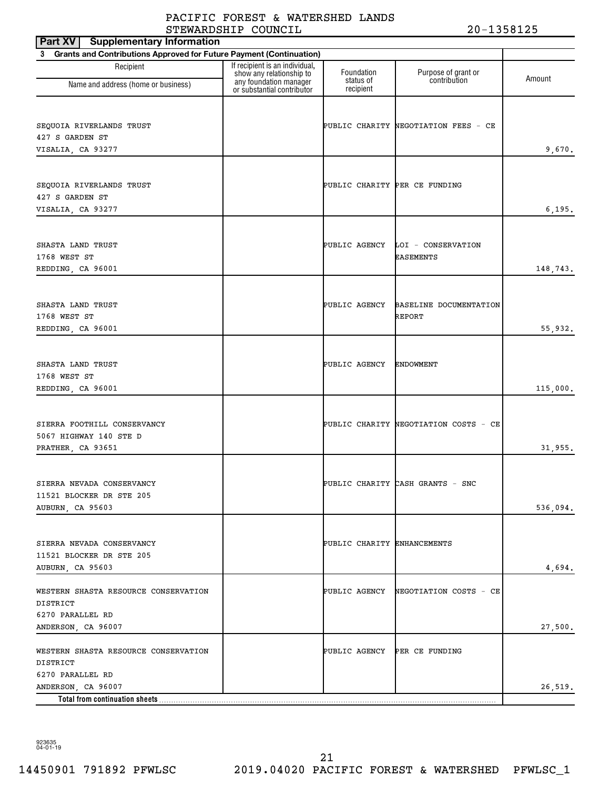| <b>Supplementary Information</b><br>Part XV                                                |                                                                                      |                               |                                                      |          |
|--------------------------------------------------------------------------------------------|--------------------------------------------------------------------------------------|-------------------------------|------------------------------------------------------|----------|
| 3 Grants and Contributions Approved for Future Payment (Continuation)                      |                                                                                      |                               |                                                      |          |
| Recipient                                                                                  | If recipient is an individual,<br>show any relationship to<br>any foundation manager | Foundation<br>status of       | Purpose of grant or<br>contribution                  | Amount   |
| Name and address (home or business)                                                        | or substantial contributor                                                           | recipient                     |                                                      |          |
| SEQUOIA RIVERLANDS TRUST<br>427 S GARDEN ST<br>VISALIA, CA 93277                           |                                                                                      |                               | PUBLIC CHARITY NEGOTIATION FEES - CE                 | 9,670.   |
| SEQUOIA RIVERLANDS TRUST<br>427 S GARDEN ST<br>VISALIA, CA 93277                           |                                                                                      | PUBLIC CHARITY PER CE FUNDING |                                                      | 6, 195.  |
| SHASTA LAND TRUST<br>1768 WEST ST<br>REDDING, CA 96001                                     |                                                                                      |                               | PUBLIC AGENCY LOI - CONSERVATION<br><b>EASEMENTS</b> | 148,743. |
| SHASTA LAND TRUST<br>1768 WEST ST<br>REDDING, CA 96001                                     |                                                                                      | PUBLIC AGENCY                 | BASELINE DOCUMENTATION<br>REPORT                     | 55,932.  |
| SHASTA LAND TRUST<br>1768 WEST ST<br>REDDING, CA 96001                                     |                                                                                      | PUBLIC AGENCY                 | ENDOWMENT                                            | 115,000. |
| SIERRA FOOTHILL CONSERVANCY<br>5067 HIGHWAY 140 STE D<br>PRATHER, CA 93651                 |                                                                                      |                               | PUBLIC CHARITY NEGOTIATION COSTS - CE                | 31,955.  |
| SIERRA NEVADA CONSERVANCY<br>11521 BLOCKER DR STE 205<br>AUBURN, CA 95603                  |                                                                                      |                               | PUBLIC CHARITY CASH GRANTS - SNC                     | 536,094. |
| SIERRA NEVADA CONSERVANCY<br>11521 BLOCKER DR STE 205<br>AUBURN, CA 95603                  |                                                                                      | PUBLIC CHARITY ENHANCEMENTS   |                                                      | 4,694.   |
| WESTERN SHASTA RESOURCE CONSERVATION<br>DISTRICT<br>6270 PARALLEL RD<br>ANDERSON, CA 96007 |                                                                                      | PUBLIC AGENCY                 | NEGOTIATION COSTS - CE                               | 27,500.  |
| WESTERN SHASTA RESOURCE CONSERVATION<br>DISTRICT<br>6270 PARALLEL RD                       |                                                                                      | PUBLIC AGENCY PER CE FUNDING  |                                                      |          |
| ANDERSON, CA 96007<br>Total from continuation sheets                                       |                                                                                      |                               |                                                      | 26,519.  |

923635 04-01-19

14450901 791892 PFWLSC 2019.04020 PACIFIC FOREST & WATERSHED PFWLSC\_1 21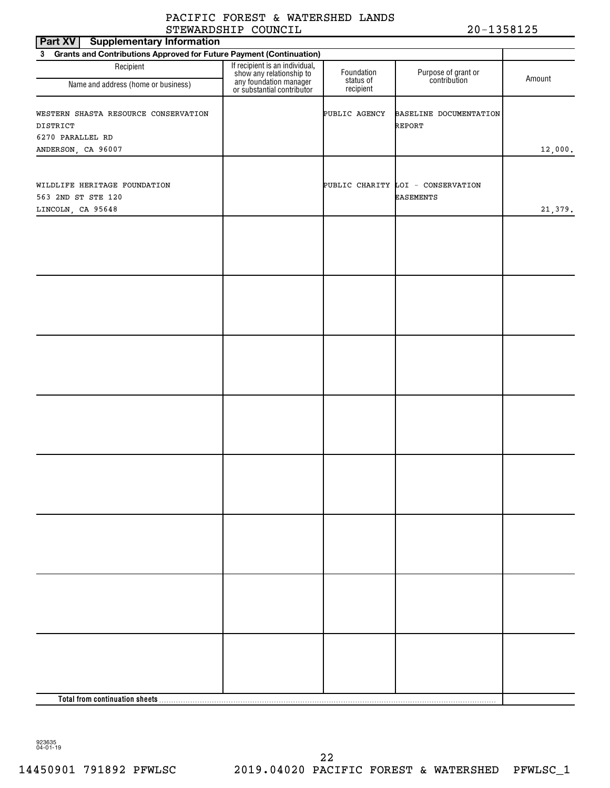| Part XV<br><b>Supplementary Information</b>                                        |                                                                                                                    |                         |                                         |         |  |  |  |  |
|------------------------------------------------------------------------------------|--------------------------------------------------------------------------------------------------------------------|-------------------------|-----------------------------------------|---------|--|--|--|--|
| Grants and Contributions Approved for Future Payment (Continuation)<br>$3^{\circ}$ |                                                                                                                    |                         |                                         |         |  |  |  |  |
| Recipient<br>Name and address (home or business)                                   | If recipient is an individual,<br>show any relationship to<br>any foundation manager<br>or substantial contributor | Foundation<br>status of | Purpose of grant or<br>contribution     | Amount  |  |  |  |  |
|                                                                                    |                                                                                                                    | recipient               |                                         |         |  |  |  |  |
| WESTERN SHASTA RESOURCE CONSERVATION<br>DISTRICT                                   |                                                                                                                    | PUBLIC AGENCY           | BASELINE DOCUMENTATION<br><b>REPORT</b> |         |  |  |  |  |
| 6270 PARALLEL RD                                                                   |                                                                                                                    |                         |                                         |         |  |  |  |  |
| ANDERSON, CA 96007                                                                 |                                                                                                                    |                         |                                         | 12,000. |  |  |  |  |
|                                                                                    |                                                                                                                    |                         |                                         |         |  |  |  |  |
| WILDLIFE HERITAGE FOUNDATION                                                       |                                                                                                                    |                         | PUBLIC CHARITY LOI - CONSERVATION       |         |  |  |  |  |
| 563 2ND ST STE 120                                                                 |                                                                                                                    |                         | <b>EASEMENTS</b>                        |         |  |  |  |  |
| LINCOLN, CA 95648                                                                  |                                                                                                                    |                         |                                         | 21,379. |  |  |  |  |
|                                                                                    |                                                                                                                    |                         |                                         |         |  |  |  |  |
|                                                                                    |                                                                                                                    |                         |                                         |         |  |  |  |  |
|                                                                                    |                                                                                                                    |                         |                                         |         |  |  |  |  |
|                                                                                    |                                                                                                                    |                         |                                         |         |  |  |  |  |
|                                                                                    |                                                                                                                    |                         |                                         |         |  |  |  |  |
|                                                                                    |                                                                                                                    |                         |                                         |         |  |  |  |  |
|                                                                                    |                                                                                                                    |                         |                                         |         |  |  |  |  |
|                                                                                    |                                                                                                                    |                         |                                         |         |  |  |  |  |
|                                                                                    |                                                                                                                    |                         |                                         |         |  |  |  |  |
|                                                                                    |                                                                                                                    |                         |                                         |         |  |  |  |  |
|                                                                                    |                                                                                                                    |                         |                                         |         |  |  |  |  |
|                                                                                    |                                                                                                                    |                         |                                         |         |  |  |  |  |
|                                                                                    |                                                                                                                    |                         |                                         |         |  |  |  |  |
|                                                                                    |                                                                                                                    |                         |                                         |         |  |  |  |  |
|                                                                                    |                                                                                                                    |                         |                                         |         |  |  |  |  |
|                                                                                    |                                                                                                                    |                         |                                         |         |  |  |  |  |
|                                                                                    |                                                                                                                    |                         |                                         |         |  |  |  |  |
|                                                                                    |                                                                                                                    |                         |                                         |         |  |  |  |  |
|                                                                                    |                                                                                                                    |                         |                                         |         |  |  |  |  |
|                                                                                    |                                                                                                                    |                         |                                         |         |  |  |  |  |
|                                                                                    |                                                                                                                    |                         |                                         |         |  |  |  |  |
|                                                                                    |                                                                                                                    |                         |                                         |         |  |  |  |  |
|                                                                                    |                                                                                                                    |                         |                                         |         |  |  |  |  |
|                                                                                    |                                                                                                                    |                         |                                         |         |  |  |  |  |
|                                                                                    |                                                                                                                    |                         |                                         |         |  |  |  |  |
|                                                                                    |                                                                                                                    |                         |                                         |         |  |  |  |  |
|                                                                                    |                                                                                                                    |                         |                                         |         |  |  |  |  |
|                                                                                    |                                                                                                                    |                         |                                         |         |  |  |  |  |
|                                                                                    |                                                                                                                    |                         |                                         |         |  |  |  |  |
|                                                                                    |                                                                                                                    |                         |                                         |         |  |  |  |  |
|                                                                                    |                                                                                                                    |                         |                                         |         |  |  |  |  |
|                                                                                    |                                                                                                                    |                         |                                         |         |  |  |  |  |
|                                                                                    |                                                                                                                    |                         |                                         |         |  |  |  |  |
|                                                                                    |                                                                                                                    |                         |                                         |         |  |  |  |  |
|                                                                                    |                                                                                                                    |                         |                                         |         |  |  |  |  |
|                                                                                    |                                                                                                                    |                         |                                         |         |  |  |  |  |
|                                                                                    |                                                                                                                    |                         |                                         |         |  |  |  |  |
|                                                                                    |                                                                                                                    |                         |                                         |         |  |  |  |  |
|                                                                                    |                                                                                                                    |                         |                                         |         |  |  |  |  |
|                                                                                    |                                                                                                                    |                         |                                         |         |  |  |  |  |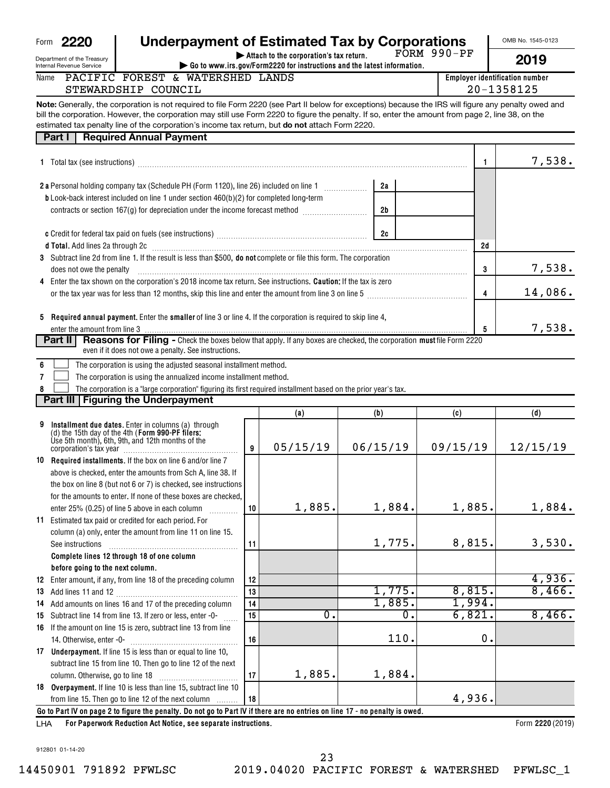| 2220 | <b>Underpayment of Estimated Tax by Corporations</b> |
|------|------------------------------------------------------|
|      |                                                      |

**| Attach to the corporation's tax return.** FORM 990-PF OMB No. 1545-0123

Department of the Treasury Internal Revenue Service

Form **2220** 

Name

| nt of the Treasury<br>evenue Service |  |                                  | $\blacktriangleright$ Attach to the corporation's tax return.<br>$\blacktriangleright$ Go to www.irs.gov/Form2220 for instructions and the latest information. | PURM YYU-PP | 2019                           |
|--------------------------------------|--|----------------------------------|----------------------------------------------------------------------------------------------------------------------------------------------------------------|-------------|--------------------------------|
|                                      |  | PACIFIC FOREST & WATERSHED LANDS |                                                                                                                                                                |             | Employer identification number |
| STEWARDSHIP COUNCIL                  |  |                                  |                                                                                                                                                                |             | 20-1358125                     |
|                                      |  |                                  |                                                                                                                                                                |             |                                |

**Note:** Generally, the corporation is not required to file Form 2220 (see Part II below for exceptions) because the IRS will figure any penalty owed and **but do not** attach E bill the corporation. However, the corporation may still use Form 2220 to figure the penalty. If so, enter the amount from page 2, line 38, on the estimated to y penalty line of the corporation's income to y rature, but do estimated tax penalty line of the corporation's income tax return, but do not attach Form 2220.

|   | estimated tax penalty line of the corporation's income tax return, but <b>do not</b> attach Form 2220.<br><b>Required Annual Payment</b><br>Part I                                                                             |                 |                  |          |              |          |
|---|--------------------------------------------------------------------------------------------------------------------------------------------------------------------------------------------------------------------------------|-----------------|------------------|----------|--------------|----------|
|   |                                                                                                                                                                                                                                |                 |                  |          |              |          |
|   |                                                                                                                                                                                                                                |                 |                  |          | $\mathbf{1}$ | 7,538.   |
|   |                                                                                                                                                                                                                                |                 |                  | 2a       |              |          |
|   | <b>b</b> Look-back interest included on line 1 under section 460(b)(2) for completed long-term                                                                                                                                 |                 |                  |          |              |          |
|   | contracts or section 167(g) for depreciation under the income forecast method [                                                                                                                                                |                 |                  | 2b       |              |          |
|   |                                                                                                                                                                                                                                |                 |                  |          |              |          |
|   |                                                                                                                                                                                                                                |                 |                  | 2c       |              |          |
|   | d Total. Add lines 2a through 2c [11] March 20 [11] March 26 [12] March 20 [12] March 20 [12] March 20 [12] March 20 [12] March 20 [12] March 20 [12] March 20 [12] March 20 [12] March 20 [12] March 20 [12] March 20 [12] Ma |                 |                  |          | 2d           |          |
|   | 3 Subtract line 2d from line 1. If the result is less than \$500, do not complete or file this form. The corporation                                                                                                           |                 |                  |          |              |          |
|   | does not owe the penalty                                                                                                                                                                                                       |                 |                  |          | 3            | 7,538.   |
|   | 4 Enter the tax shown on the corporation's 2018 income tax return. See instructions. Caution: If the tax is zero                                                                                                               |                 |                  |          |              |          |
|   |                                                                                                                                                                                                                                |                 |                  |          | 4            | 14,086.  |
|   |                                                                                                                                                                                                                                |                 |                  |          |              |          |
|   | 5 Required annual payment. Enter the smaller of line 3 or line 4. If the corporation is required to skip line 4,                                                                                                               |                 |                  |          |              |          |
|   |                                                                                                                                                                                                                                |                 |                  |          | 5            | 7,538.   |
|   | <b>Reasons for Filing -</b> Check the boxes below that apply. If any boxes are checked, the corporation must file Form 2220<br>Part II                                                                                         |                 |                  |          |              |          |
|   | even if it does not owe a penalty. See instructions.                                                                                                                                                                           |                 |                  |          |              |          |
| 6 | The corporation is using the adjusted seasonal installment method.                                                                                                                                                             |                 |                  |          |              |          |
| 7 | The corporation is using the annualized income installment method.                                                                                                                                                             |                 |                  |          |              |          |
|   | The corporation is a "large corporation" figuring its first required installment based on the prior year's tax.                                                                                                                |                 |                  |          |              |          |
|   | Part III   Figuring the Underpayment                                                                                                                                                                                           |                 |                  |          |              |          |
|   |                                                                                                                                                                                                                                |                 | (a)              | (b)      | (c)          | (d)      |
| 9 | Installment due dates. Enter in columns (a) through<br>(d) the 15th day of the 4th (Form 990-PF filers:<br>Use 5th month), 6th, 9th, and 12th months of the                                                                    |                 |                  |          |              |          |
|   | corporation's tax year [11] corporation's tax year [11] metal material corporation of the corporation of the c                                                                                                                 | 9               | 05/15/19         | 06/15/19 | 09/15/19     | 12/15/19 |
|   | 10 Required installments. If the box on line 6 and/or line 7                                                                                                                                                                   |                 |                  |          |              |          |
|   | above is checked, enter the amounts from Sch A, line 38. If                                                                                                                                                                    |                 |                  |          |              |          |
|   | the box on line 8 (but not 6 or 7) is checked, see instructions                                                                                                                                                                |                 |                  |          |              |          |
|   | for the amounts to enter. If none of these boxes are checked.                                                                                                                                                                  |                 |                  |          |              |          |
|   | enter 25% (0.25) of line 5 above in each column                                                                                                                                                                                | 10 <sup>1</sup> | 1,885.           | 1,884.   | 1,885.       | 1,884.   |
|   | 11 Estimated tax paid or credited for each period. For                                                                                                                                                                         |                 |                  |          |              |          |
|   | column (a) only, enter the amount from line 11 on line 15.                                                                                                                                                                     |                 |                  |          |              |          |
|   | See instructions                                                                                                                                                                                                               | 11              |                  | 1,775.   | 8,815.       | 3,530.   |
|   | Complete lines 12 through 18 of one column                                                                                                                                                                                     |                 |                  |          |              |          |
|   | before going to the next column.                                                                                                                                                                                               |                 |                  |          |              |          |
|   | 12 Enter amount, if any, from line 18 of the preceding column                                                                                                                                                                  | 12              |                  |          |              | 4,936.   |
|   |                                                                                                                                                                                                                                | 13              |                  | 1,775.   | 8,815.       | 8,466.   |
|   | 14 Add amounts on lines 16 and 17 of the preceding column                                                                                                                                                                      | 14              |                  | 1,885.   | 1,994.       |          |
|   | 15 Subtract line 14 from line 13. If zero or less, enter -0-                                                                                                                                                                   | 15              | $\overline{0}$ . | σ.       | 6,821.       | 8,466.   |

**16** If the amount on line 15 is zero, subtract line 13 from line 14. Otherwise, enter -0- ~~~~~~~~~~~~~~~

| 17 Underpayment. If line 15 is less than or equal to line 10,                                                                |    |        |        |        |  |  |  |
|------------------------------------------------------------------------------------------------------------------------------|----|--------|--------|--------|--|--|--|
| subtract line 15 from line 10. Then go to line 12 of the next                                                                |    |        |        |        |  |  |  |
| column. Otherwise, go to line 18                                                                                             | 17 | 1,885. | 1,884. |        |  |  |  |
| 18 Overpayment. If line 10 is less than line 15, subtract line 10                                                            |    |        |        |        |  |  |  |
| from line 15. Then go to line 12 of the next column                                                                          | 18 |        |        | 4,936. |  |  |  |
| Go to Part IV on page 2 to figure the penalty. Do not go to Part IV if there are no entries on line 17 - no penalty is owed. |    |        |        |        |  |  |  |

**16**

**For Paperwork Reduction Act Notice, see separate instructions.** LHA

Form 2220 (2019)

912801 01-14-20

 $110.$  0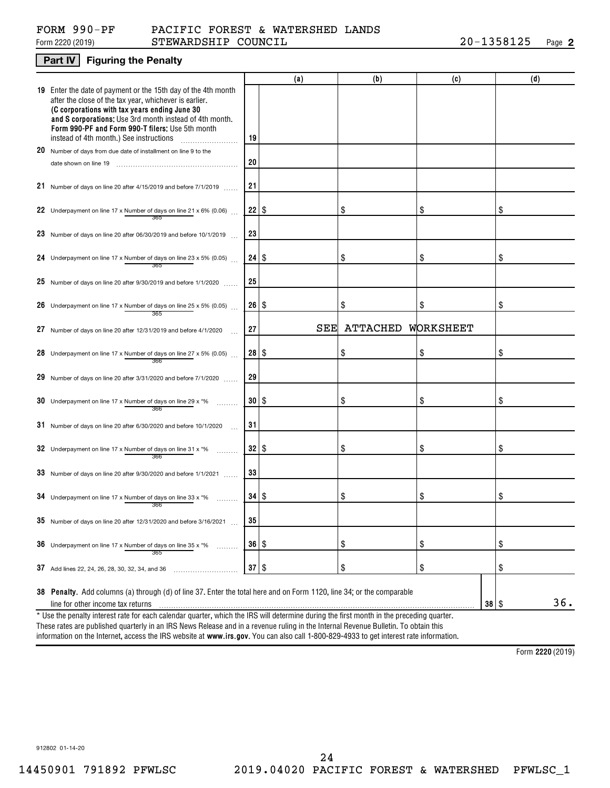#### Form 2220 (2019) S ${\tt TEWARDSHIP}$   ${\tt COUNTIL}$  20-1358125 Page FORM 990-PF PACIFIC FOREST & WATERSHED LANDS

#### **Part IV Figuring the Penalty**

|                                                                                                                                                                                                                                                                                                                                    |              | (a) | (b)             | (c)                | (d) |
|------------------------------------------------------------------------------------------------------------------------------------------------------------------------------------------------------------------------------------------------------------------------------------------------------------------------------------|--------------|-----|-----------------|--------------------|-----|
| 19 Enter the date of payment or the 15th day of the 4th month<br>after the close of the tax year, whichever is earlier.<br>(C corporations with tax years ending June 30<br>and S corporations: Use 3rd month instead of 4th month.<br>Form 990-PF and Form 990-T filers: Use 5th month<br>instead of 4th month.) See instructions | 19           |     |                 |                    |     |
| 20 Number of days from due date of installment on line 9 to the                                                                                                                                                                                                                                                                    |              |     |                 |                    |     |
| date shown on line 19                                                                                                                                                                                                                                                                                                              | 20           |     |                 |                    |     |
| 21 Number of days on line 20 after 4/15/2019 and before 7/1/2019                                                                                                                                                                                                                                                                   | 21           |     |                 |                    |     |
| 22 Underpayment on line 17 x Number of days on line 21 x 6% (0.06)<br>365                                                                                                                                                                                                                                                          | $22$   \$    |     | \$              | \$                 | \$  |
| 23 Number of days on line 20 after 06/30/2019 and before 10/1/2019                                                                                                                                                                                                                                                                 | 23           |     |                 |                    |     |
| 24 Underpayment on line 17 x Number of days on line 23 x 5% (0.05)<br>365                                                                                                                                                                                                                                                          | $24$   \$    |     | \$              | \$                 | \$  |
| $25$ Number of days on line 20 after 9/30/2019 and before 1/1/2020                                                                                                                                                                                                                                                                 | 25           |     |                 |                    |     |
| 26 Underpayment on line 17 x Number of days on line 25 x 5% (0.05)<br>365                                                                                                                                                                                                                                                          | 26 S         |     | \$              | \$                 | \$  |
| 27 Number of days on line 20 after 12/31/2019 and before 4/1/2020                                                                                                                                                                                                                                                                  | 27           | SEE | <b>ATTACHED</b> | WORKSHEET          |     |
| 28 Underpayment on line 17 x Number of days on line 27 x 5% (0.05)                                                                                                                                                                                                                                                                 | $28  $ \$    |     | \$              | \$                 | \$  |
| 29 Number of days on line 20 after 3/31/2020 and before 7/1/2020                                                                                                                                                                                                                                                                   | 29           |     |                 |                    |     |
| 30 Underpayment on line 17 x Number of days on line 29 x $*$ %<br>366                                                                                                                                                                                                                                                              | 30   \$      |     | \$              | \$                 | \$  |
| $31$ Number of days on line 20 after 6/30/2020 and before 10/1/2020                                                                                                                                                                                                                                                                | 31           |     |                 |                    |     |
| 32 Underpayment on line 17 x Number of days on line 31 x $*$ %<br>366                                                                                                                                                                                                                                                              | $32  $ \$    |     | \$              | \$                 | \$  |
| 33 Number of days on line 20 after $9/30/2020$ and before $1/1/2021$                                                                                                                                                                                                                                                               | 33           |     |                 |                    |     |
| 34 Underpayment on line 17 x Number of days on line 33 x $*$ %<br>366                                                                                                                                                                                                                                                              | $34$   \$    |     | \$              | \$                 | \$  |
| 35 Number of days on line 20 after $12/31/2020$ and before $3/16/2021$                                                                                                                                                                                                                                                             | 35           |     |                 |                    |     |
| <b>36</b> Underpayment on line 17 x Number of days on line 35 x $*$ %<br>.<br>365                                                                                                                                                                                                                                                  | $36  $ \$    |     | \$              | \$                 | \$  |
| 37 Add lines 22, 24, 26, 28, 30, 32, 34, and 36                                                                                                                                                                                                                                                                                    | $37 \mid$ \$ |     | \$              | \$                 | \$  |
|                                                                                                                                                                                                                                                                                                                                    |              |     |                 |                    |     |
| 38 Penalty. Add columns (a) through (d) of line 37. Enter the total here and on Form 1120, line 34; or the comparable<br>line for other income tax returns                                                                                                                                                                         |              |     |                 | $38$ $\frac{8}{3}$ | 36. |
| * Use the penalty interest rate for each calendar quarter, which the IRS will determine during the first month in the preceding quarter.                                                                                                                                                                                           |              |     |                 |                    |     |
| These rates are published quarterly in an IDS News Polease and in a revenue ruling in the Internal Peyenue Pulletin. To obtain this                                                                                                                                                                                                |              |     |                 |                    |     |

information on the Internet, access the IRS website at **www.irs.gov**. You can also call 1-800-829-4933 to get interest rate information. These rates are published quarterly in an IRS News Release and in a revenue ruling in the Internal Revenue Bulletin. To obtain this

**2220**  Form (2019)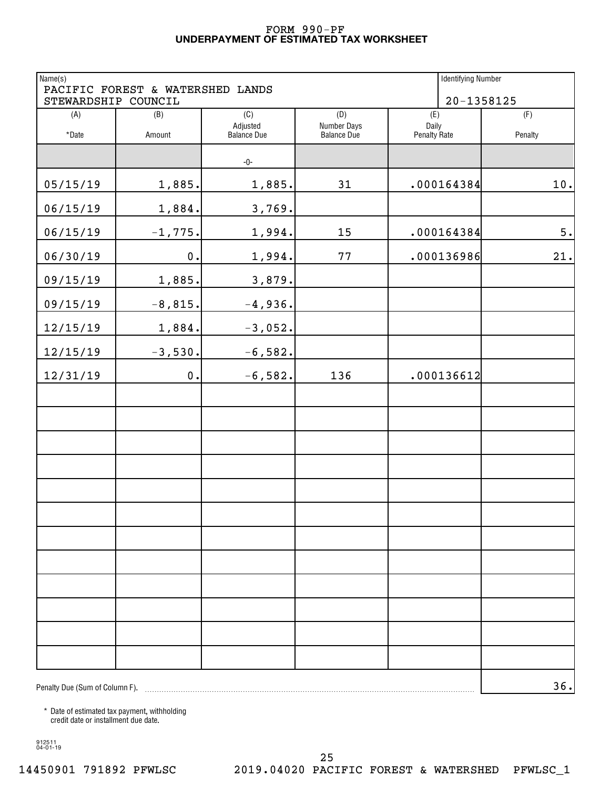#### **UNDERPAYMENT OF ESTIMATED TAX WORKSHEET** FORM 990-PF

| Name(s)                        | PACIFIC FOREST & WATERSHED LANDS |                    |                    | <b>Identifying Number</b> |         |
|--------------------------------|----------------------------------|--------------------|--------------------|---------------------------|---------|
| STEWARDSHIP COUNCIL            | $20 - 1358125$                   |                    |                    |                           |         |
| (A)                            | (B)                              | (C)<br>Adjusted    | (D)<br>Number Days | (E)<br>Daily              | (F)     |
| *Date                          | Amount                           | <b>Balance Due</b> | <b>Balance Due</b> | <b>Penalty Rate</b>       | Penalty |
|                                |                                  | -0-                |                    |                           |         |
| 05/15/19                       | 1,885.                           | 1,885.             | 31                 | .000164384                | $10.$   |
| 06/15/19                       | 1,884.                           | 3,769.             |                    |                           |         |
| 06/15/19                       | $-1,775.$                        | 1,994.             | 15                 | .000164384                | 5.      |
| 06/30/19                       | $0$ .                            | 1,994.             | 77                 | .000136986                | 21.     |
| 09/15/19                       | 1,885.                           | 3,879.             |                    |                           |         |
| 09/15/19                       | $-8,815.$                        | $-4,936.$          |                    |                           |         |
| 12/15/19                       | 1,884.                           | $-3,052.$          |                    |                           |         |
| 12/15/19                       | $-3,530.$                        | $-6,582.$          |                    |                           |         |
| 12/31/19                       | $0$ .                            | $-6,582.$          | 136                | .000136612                |         |
|                                |                                  |                    |                    |                           |         |
|                                |                                  |                    |                    |                           |         |
|                                |                                  |                    |                    |                           |         |
|                                |                                  |                    |                    |                           |         |
|                                |                                  |                    |                    |                           |         |
|                                |                                  |                    |                    |                           |         |
|                                |                                  |                    |                    |                           |         |
|                                |                                  |                    |                    |                           |         |
|                                |                                  |                    |                    |                           |         |
|                                |                                  |                    |                    |                           |         |
|                                |                                  |                    |                    |                           |         |
|                                |                                  |                    |                    |                           |         |
| Penalty Due (Sum of Column F). |                                  |                    |                    |                           | 36.     |

\* Date of estimated tax payment, withholding credit date or installment due date.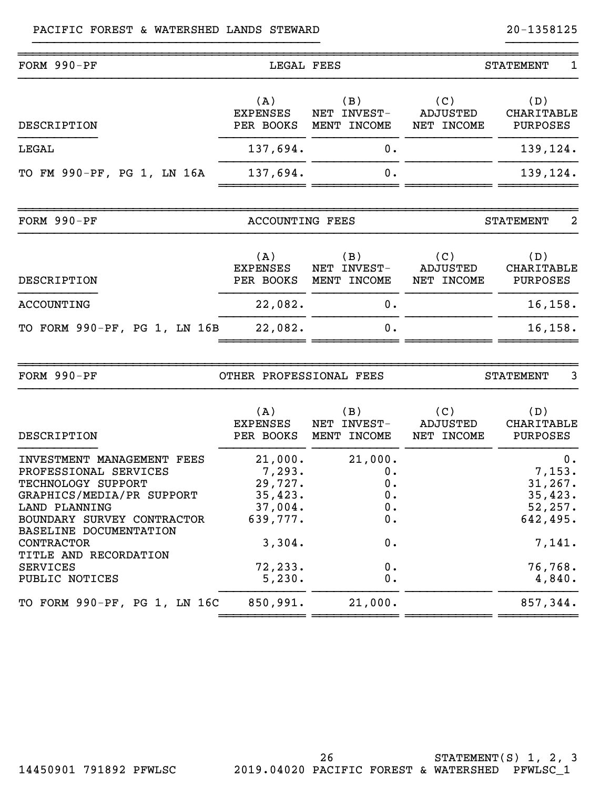### PACIFIC FOREST & WATERSHED LANDS STEWARD 20-1358125

| FORM 990-PF                                                                                                                                                                                                                                                        | LEGAL FEES                                                                                    |                                                               |                               | $\mathbf 1$<br><b>STATEMENT</b>                                                           |
|--------------------------------------------------------------------------------------------------------------------------------------------------------------------------------------------------------------------------------------------------------------------|-----------------------------------------------------------------------------------------------|---------------------------------------------------------------|-------------------------------|-------------------------------------------------------------------------------------------|
| DESCRIPTION                                                                                                                                                                                                                                                        | (A)<br><b>EXPENSES</b><br>PER BOOKS                                                           | (B)<br>NET INVEST-<br>MENT INCOME                             | (C)<br>ADJUSTED<br>NET INCOME | (D)<br>CHARITABLE<br><b>PURPOSES</b>                                                      |
| LEGAL                                                                                                                                                                                                                                                              | 137,694.                                                                                      | 0.                                                            |                               | 139,124.                                                                                  |
| TO FM 990-PF, PG 1, LN 16A                                                                                                                                                                                                                                         | 137,694.                                                                                      | 0.                                                            |                               | 139,124.                                                                                  |
| FORM $990-PF$                                                                                                                                                                                                                                                      | <b>ACCOUNTING FEES</b>                                                                        |                                                               |                               | $\overline{a}$<br><b>STATEMENT</b>                                                        |
| DESCRIPTION                                                                                                                                                                                                                                                        | (A)<br><b>EXPENSES</b><br>PER BOOKS                                                           | (B)<br>NET INVEST-<br>MENT INCOME                             | (C)<br>ADJUSTED<br>NET INCOME | (D)<br>CHARITABLE<br><b>PURPOSES</b>                                                      |
| ACCOUNTING                                                                                                                                                                                                                                                         | 22,082.                                                                                       | 0.                                                            |                               | 16, 158.                                                                                  |
| TO FORM 990-PF, PG 1, LN 16B                                                                                                                                                                                                                                       | 22,082.                                                                                       | 0.                                                            |                               | 16, 158.                                                                                  |
|                                                                                                                                                                                                                                                                    |                                                                                               |                                                               |                               |                                                                                           |
| FORM 990-PF                                                                                                                                                                                                                                                        | OTHER PROFESSIONAL FEES                                                                       |                                                               |                               | 3<br><b>STATEMENT</b>                                                                     |
| DESCRIPTION                                                                                                                                                                                                                                                        | (A)<br><b>EXPENSES</b><br>PER BOOKS                                                           | (B)<br>NET INVEST-<br>MENT INCOME                             | (C)<br>ADJUSTED<br>NET INCOME | (D)<br>CHARITABLE<br><b>PURPOSES</b>                                                      |
| INVESTMENT MANAGEMENT FEES<br>PROFESSIONAL SERVICES<br>TECHNOLOGY SUPPORT<br>GRAPHICS/MEDIA/PR SUPPORT<br><b>LAND PLANNING</b><br>BOUNDARY SURVEY CONTRACTOR<br>BASELINE DOCUMENTATION<br>CONTRACTOR<br>TITLE AND RECORDATION<br><b>SERVICES</b><br>PUBLIC NOTICES | 21,000.<br>7,293.<br>29,727.<br>35,423.<br>37,004.<br>639,777.<br>3,304.<br>72,233.<br>5,230. | 21,000.<br>0.<br>0.<br>0.<br>$0$ .<br>0.<br>0.<br>$0$ .<br>0. |                               | 0.<br>7,153.<br>31,267.<br>35,423.<br>52, 257.<br>642,495.<br>7,141.<br>76,768.<br>4,840. |
| TO FORM 990-PF, PG 1, LN 16C                                                                                                                                                                                                                                       | 850,991.                                                                                      | 21,000.                                                       |                               | 857,344.                                                                                  |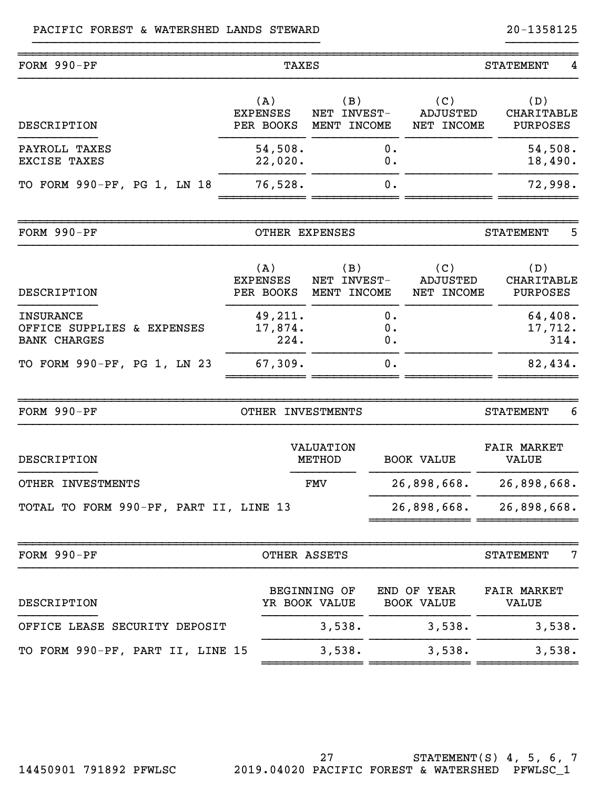| FORM 990-PF                                                           | <b>TAXES</b>                        |                                      |                |                                      | <b>STATEMENT</b><br>4                       |
|-----------------------------------------------------------------------|-------------------------------------|--------------------------------------|----------------|--------------------------------------|---------------------------------------------|
| DESCRIPTION                                                           | (A)<br><b>EXPENSES</b><br>PER BOOKS | (B)<br>NET INVEST-<br>MENT INCOME    |                | (C)<br><b>ADJUSTED</b><br>NET INCOME | (D)<br><b>CHARITABLE</b><br><b>PURPOSES</b> |
| PAYROLL TAXES<br><b>EXCISE TAXES</b>                                  | 54,508.<br>22,020.                  |                                      | 0.<br>0.       |                                      | 54,508.<br>18,490.                          |
| TO FORM 990-PF, PG 1, LN 18                                           | 76,528.                             |                                      | 0.             |                                      | 72,998.                                     |
| FORM 990-PF                                                           |                                     | OTHER EXPENSES                       |                |                                      | 5<br><b>STATEMENT</b>                       |
| DESCRIPTION                                                           | (A)<br><b>EXPENSES</b><br>PER BOOKS | (B)<br>NET INVEST-<br>MENT INCOME    |                | (C)<br><b>ADJUSTED</b><br>NET INCOME | (D)<br><b>CHARITABLE</b><br><b>PURPOSES</b> |
| <b>INSURANCE</b><br>OFFICE SUPPLIES & EXPENSES<br><b>BANK CHARGES</b> | 49,211.<br>17,874.<br>224.          |                                      | 0.<br>0.<br>0. |                                      | 64,408.<br>17,712.<br>314.                  |
| TO FORM 990-PF, PG 1, LN 23                                           | 67,309.                             |                                      | 0.             |                                      | 82,434.                                     |
| FORM 990-PF                                                           | OTHER INVESTMENTS                   |                                      |                |                                      | <b>STATEMENT</b><br>6                       |
| DESCRIPTION                                                           |                                     | <b>VALUATION</b><br><b>METHOD</b>    |                | <b>BOOK VALUE</b>                    | <b>FAIR MARKET</b><br><b>VALUE</b>          |
| OTHER INVESTMENTS                                                     |                                     | FMV                                  |                | 26,898,668.                          | 26,898,668.                                 |
| TOTAL TO FORM 990-PF, PART II, LINE 13                                |                                     |                                      |                | 26,898,668.                          | 26,898,668.                                 |
| FORM 990-PF                                                           |                                     | OTHER ASSETS                         |                |                                      | 7<br><b>STATEMENT</b>                       |
| DESCRIPTION                                                           |                                     | <b>BEGINNING OF</b><br>YR BOOK VALUE |                | END OF YEAR<br><b>BOOK VALUE</b>     | <b>FAIR MARKET</b><br><b>VALUE</b>          |
| OFFICE LEASE SECURITY DEPOSIT                                         |                                     | 3,538.                               |                | 3,538.                               | 3,538.                                      |
| TO FORM 990-PF, PART II, LINE 15                                      |                                     | 3,538.                               |                | 3,538.                               | 3,538.                                      |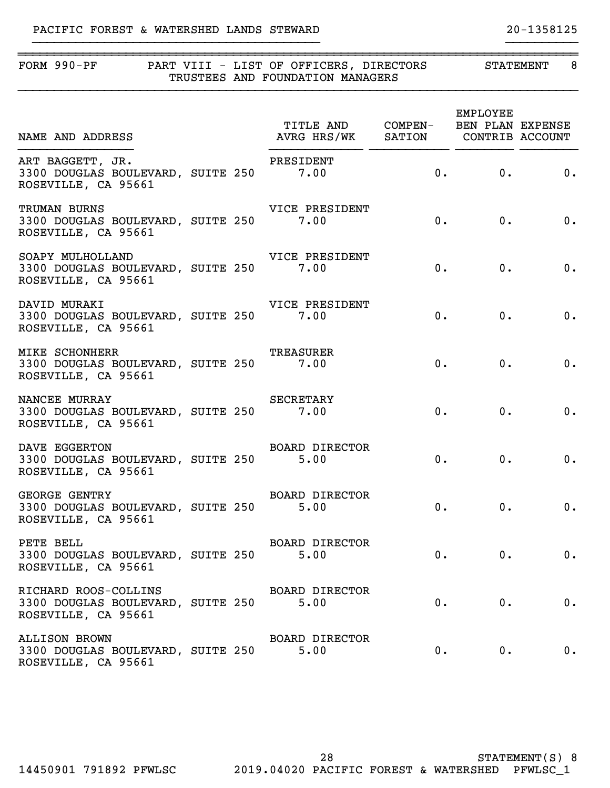### PACIFIC FOREST & WATERSHED LANDS STEWARD 20-1358125

| FORM 990-PF PART VIII - LIST OF OFFICERS, DIRECTORS STATEMENT                                     |  | TRUSTEES AND FOUNDATION MANAGERS   |    |                      | 8        |
|---------------------------------------------------------------------------------------------------|--|------------------------------------|----|----------------------|----------|
| TITLE AND COMPEN- BEN PLAN EXPENSE<br>NAME AND ADDRESS NAME AND ANG HRS/WK SATION CONTRIB ACCOUNT |  | TITLE AND COMPEN- BEN PLAN EXPENSE |    | EMPLOYEE             |          |
| ART BAGGETT, JR.<br>3300 DOUGLAS BOULEVARD, SUITE 250 7.00<br>ROSEVILLE, CA 95661                 |  | PRESIDENT                          |    | 0. 0. 0.             |          |
| TRUMAN BURNS<br>3300 DOUGLAS BOULEVARD, SUITE 250 7.00<br>ROSEVILLE, CA 95661                     |  | VICE PRESIDENT                     |    | 0.<br>0.             | 0.       |
| SOAPY MULHOLLAND<br>3300 DOUGLAS BOULEVARD, SUITE 250 7.00<br>ROSEVILLE, CA 95661                 |  | VICE PRESIDENT                     | 0. | 0.                   | 0.       |
| DAVID MURAKI<br>3300 DOUGLAS BOULEVARD, SUITE 250 7.00<br>ROSEVILLE, CA 95661                     |  | VICE PRESIDENT                     | 0. | 0.                   | 0.       |
| <b>MIKE SCHONHERR</b><br>3300 DOUGLAS BOULEVARD, SUITE 250 7.00<br>ROSEVILLE, CA 95661            |  | TREASURER                          | 0. | 0.                   | 0.       |
| NANCEE MURRAY<br>3300 DOUGLAS BOULEVARD, SUITE 250 7.00<br>ROSEVILLE, CA 95661                    |  | SECRETARY                          | 0. | 0.                   | 0.       |
| DAVE EGGERTON<br>3300 DOUGLAS BOULEVARD, SUITE 250 5.00<br>ROSEVILLE, CA 95661                    |  | BOARD DIRECTOR                     |    | 0.<br>$0$ .          | 0.       |
| <b>GEORGE GENTRY</b><br>3300 DOUGLAS BOULEVARD, SUITE 250<br>ROSEVILLE, CA 95661                  |  | BOARD DIRECTOR<br>5.00             |    | 0. 0.                | 0.       |
| PETE BELL<br>3300 DOUGLAS BOULEVARD, SUITE 250<br>ROSEVILLE, CA 95661                             |  | BOARD DIRECTOR<br>5.00             | 0. | $\mathbf{0}$ .       | 0.       |
| RICHARD ROOS-COLLINS<br>3300 DOUGLAS BOULEVARD, SUITE 250<br>ROSEVILLE, CA 95661                  |  | <b>BOARD DIRECTOR</b><br>5.00      |    | 0.<br>$\mathbf{0}$ . | 0.       |
| <b>ALLISON BROWN</b><br>3300 DOUGLAS BOULEVARD, SUITE 250                                         |  | <b>BOARD DIRECTOR</b><br>5.00      |    | 0.                   | 0.<br>0. |

}}}}}}}}}}}}}}}}}}}}}}}}}}}}}}}}}}}}}}}} }}}}}}}}}}

ROSEVILLE, CA 95661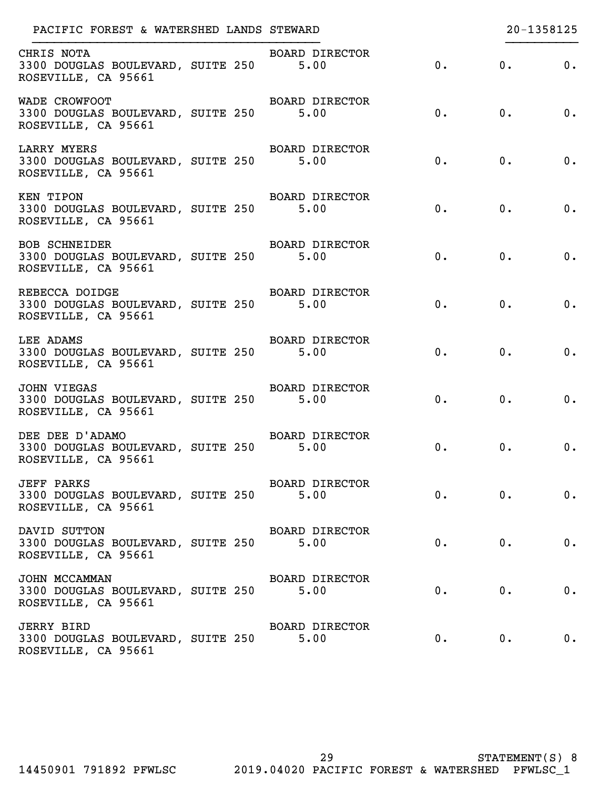| PACIFIC FOREST & WATERSHED LANDS STEWARD                                              |                               |    |            | 20-1358125                  |
|---------------------------------------------------------------------------------------|-------------------------------|----|------------|-----------------------------|
| CHRIS NOTA<br>3300 DOUGLAS BOULEVARD, SUITE 250 5.00<br>ROSEVILLE, CA 95661           | BOARD DIRECTOR                |    | $0.$ 0. 0. |                             |
| WADE CROWFOOT<br>3300 DOUGLAS BOULEVARD, SUITE 250 5.00<br>ROSEVILLE, CA 95661        | BOARD DIRECTOR                |    | $0.$ 0. 0. |                             |
| LARRY MYERS<br>3300 DOUGLAS BOULEVARD, SUITE 250 5.00<br>ROSEVILLE, CA 95661          | BOARD DIRECTOR                |    | 0. 0. 0.   |                             |
| KEN TIPON<br>3300 DOUGLAS BOULEVARD, SUITE 250 5.00<br>ROSEVILLE, CA 95661            | BOARD DIRECTOR                |    | 0. 0. 0.   |                             |
| <b>BOB SCHNEIDER</b><br>3300 DOUGLAS BOULEVARD, SUITE 250 5.00<br>ROSEVILLE, CA 95661 | BOARD DIRECTOR                |    | 0. 0.      | $\overline{\phantom{a}}$ 0. |
| REBECCA DOIDGE<br>3300 DOUGLAS BOULEVARD, SUITE 250 5.00<br>ROSEVILLE, CA 95661       | BOARD DIRECTOR                |    | 0. 0.      | 0.                          |
| LEE ADAMS<br>3300 DOUGLAS BOULEVARD, SUITE 250 5.00<br>ROSEVILLE, CA 95661            | BOARD DIRECTOR                | 0. | 0.         | 0.                          |
| JOHN VIEGAS<br>3300 DOUGLAS BOULEVARD, SUITE 250 5.00<br>ROSEVILLE, CA 95661          | BOARD DIRECTOR                | 0. | 0.         | $\overline{\phantom{a}}$ 0. |
| DEE DEE D'ADAMO<br>3300 DOUGLAS BOULEVARD, SUITE 250 5.00<br>ROSEVILLE, CA 95661      | BOARD DIRECTOR                | 0. | 0.         | $\overline{\phantom{a}}$ 0. |
| <b>JEFF PARKS</b><br>3300 DOUGLAS BOULEVARD, SUITE 250<br>ROSEVILLE, CA 95661         | <b>BOARD DIRECTOR</b><br>5.00 | 0. | 0.         | 0.                          |
| DAVID SUTTON<br>3300 DOUGLAS BOULEVARD, SUITE 250<br>ROSEVILLE, CA 95661              | <b>BOARD DIRECTOR</b><br>5.00 | 0. | 0.         | 0.                          |
| JOHN MCCAMMAN<br>3300 DOUGLAS BOULEVARD, SUITE 250<br>ROSEVILLE, CA 95661             | <b>BOARD DIRECTOR</b><br>5.00 | 0. | 0.         | $0$ .                       |
| <b>JERRY BIRD</b><br>3300 DOUGLAS BOULEVARD, SUITE 250<br>ROSEVILLE, CA 95661         | <b>BOARD DIRECTOR</b><br>5.00 | 0. | $0$ .      | 0.                          |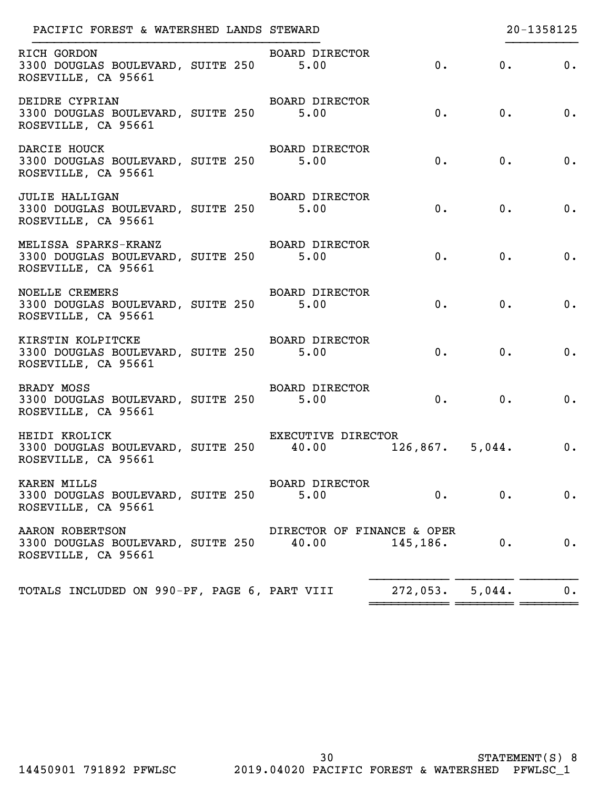| RICH GORDON<br>BOARD DIRECTOR<br>0.<br>0. 0.<br>3300 DOUGLAS BOULEVARD, SUITE 250 5.00<br>ROSEVILLE, CA 95661<br>BOARD DIRECTOR<br>DEIDRE CYPRIAN<br>0. 0. 0.<br>3300 DOUGLAS BOULEVARD, SUITE 250 5.00<br>ROSEVILLE, CA 95661<br>DARCIE HOUCK<br>BOARD DIRECTOR<br>0. 0.<br>3300 DOUGLAS BOULEVARD, SUITE 250 5.00<br>0. |                             |
|---------------------------------------------------------------------------------------------------------------------------------------------------------------------------------------------------------------------------------------------------------------------------------------------------------------------------|-----------------------------|
|                                                                                                                                                                                                                                                                                                                           |                             |
|                                                                                                                                                                                                                                                                                                                           |                             |
| ROSEVILLE, CA 95661                                                                                                                                                                                                                                                                                                       |                             |
| BOARD DIRECTOR<br><b>JULIE HALLIGAN</b><br>0. 0.<br>3300 DOUGLAS BOULEVARD, SUITE 250 5.00<br>0.<br>ROSEVILLE, CA 95661                                                                                                                                                                                                   |                             |
| MELISSA SPARKS-KRANZ BOARD DIRECTOR<br>3300 DOUGLAS BOULEVARD, SUITE 250 5.00<br>0. 0.<br>0.<br>ROSEVILLE, CA 95661                                                                                                                                                                                                       |                             |
| <b>NOELLE CREMERS</b><br>BOARD DIRECTOR<br>3300 DOUGLAS BOULEVARD, SUITE 250 5.00<br>0.<br>0.<br>ROSEVILLE, CA 95661                                                                                                                                                                                                      | $\overline{\phantom{a}}$    |
| BOARD DIRECTOR<br>KIRSTIN KOLPITCKE<br>0.<br>0.<br>3300 DOUGLAS BOULEVARD, SUITE 250 5.00<br>ROSEVILLE, CA 95661                                                                                                                                                                                                          | $\overline{\mathbf{0}}$ .   |
| BOARD DIRECTOR<br>BRADY MOSS<br>3300 DOUGLAS BOULEVARD, SUITE 250 5.00<br>0.<br>0.<br>ROSEVILLE, CA 95661                                                                                                                                                                                                                 | $\overline{\phantom{a}}$    |
| EXECUTIVE DIRECTOR<br>HEIDI KROLICK<br>3300 DOUGLAS BOULEVARD, SUITE 250 40.00 126,867. 5,044.<br>ROSEVILLE, CA 95661                                                                                                                                                                                                     | $\overline{\phantom{a}}$ 0. |
| KAREN MILLS<br><b>BOARD DIRECTOR</b><br>3300 DOUGLAS BOULEVARD, SUITE 250<br>$0$ .<br>0.<br>5.00<br>ROSEVILLE, CA 95661                                                                                                                                                                                                   | 0.                          |
| AARON ROBERTSON<br>DIRECTOR OF FINANCE & OPER<br>0.<br>3300 DOUGLAS BOULEVARD, SUITE 250 40.00<br>145, 186.<br>ROSEVILLE, CA 95661                                                                                                                                                                                        | 0.                          |
| TOTALS INCLUDED ON 990-PF, PAGE 6, PART VIII<br>272,053.5,044.                                                                                                                                                                                                                                                            | 0.                          |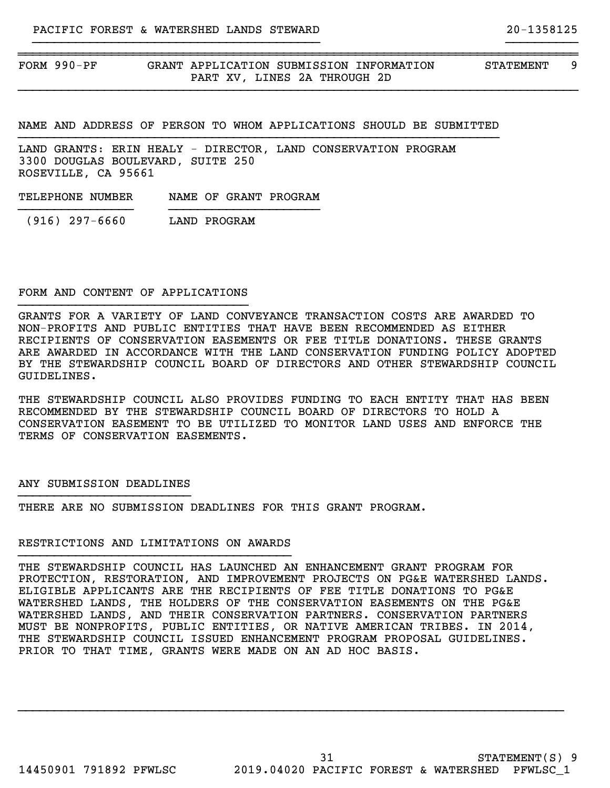FORM 990-PF GRANT APPLICATION SUBMISSION INFORMATION STATEMENT 9 PART XV, LINES 2A THROUGH 2D

NAME AND ADDRESS OF PERSON TO WHOM APPLICATIONS SHOULD BE SUBMITTED }}}}}}}}}}}}}}}}}}}}}}}}}}}}}}}}}}}}}}}}}}}}}}}}}}}}}}}}}}}}}}}}}}}

~~~~~~~~~~~~~~~~~~~~~~~~~~~~~~~~~~~~~~~~~~~~~~~~~~~~~~~~~~~~~~~~~~~~~~~~~~~~~~

}}}}}}}}}}}}}}}}}}}}}}}}}}}}}}}}}}}}}}}} }}}}}}}}}}

}}}}}}}}}}}}}}}}}}}}}}}}}}}}}}}}}}}}}}}}}}}}}}}}}}}}}}}}}}}}}}}}}}}}}}}}}}}}}}

LAND GRANTS: ERIN HEALY - DIRECTOR, LAND CONSERVATION PROGRAM 3300 DOUGLAS BOULEVARD, SUITE 250 ROSEVILLE, CA 95661

TELEPHONE NUMBER NAME OF GRANT PROGRAM }}}}}}}}}}}}}}}} }}}}}}}}}}}}}}}}}}}}}

(916) 297-6660 LAND PROGRAM

#### FORM AND CONTENT OF APPLICATIONS }}}}}}}}}}}}}}}}}}}}}}}}}}}}}}}}

GRANTS FOR A VARIETY OF LAND CONVEYANCE TRANSACTION COSTS ARE AWARDED TO NON-PROFITS AND PUBLIC ENTITIES THAT HAVE BEEN RECOMMENDED AS EITHER RECIPIENTS OF CONSERVATION EASEMENTS OR FEE TITLE DONATIONS. THESE GRANTS ARE AWARDED IN ACCORDANCE WITH THE LAND CONSERVATION FUNDING POLICY ADOPTED BY THE STEWARDSHIP COUNCIL BOARD OF DIRECTORS AND OTHER STEWARDSHIP COUNCIL GUIDELINES.

THE STEWARDSHIP COUNCIL ALSO PROVIDES FUNDING TO EACH ENTITY THAT HAS BEEN RECOMMENDED BY THE STEWARDSHIP COUNCIL BOARD OF DIRECTORS TO HOLD A CONSERVATION EASEMENT TO BE UTILIZED TO MONITOR LAND USES AND ENFORCE THE TERMS OF CONSERVATION EASEMENTS.

#### ANY SUBMISSION DEADLINES }}}}}}}}}}}}}}}}}}}}}}}}

THERE ARE NO SUBMISSION DEADLINES FOR THIS GRANT PROGRAM.

#### RESTRICTIONS AND LIMITATIONS ON AWARDS }}}}}}}}}}}}}}}}}}}}}}}}}}}}}}}}}}}}}}

THE STEWARDSHIP COUNCIL HAS LAUNCHED AN ENHANCEMENT GRANT PROGRAM FOR PROTECTION, RESTORATION, AND IMPROVEMENT PROJECTS ON PG&E WATERSHED LANDS. ELIGIBLE APPLICANTS ARE THE RECIPIENTS OF FEE TITLE DONATIONS TO PG&E WATERSHED LANDS, THE HOLDERS OF THE CONSERVATION EASEMENTS ON THE PG&E WATERSHED LANDS, AND THEIR CONSERVATION PARTNERS. CONSERVATION PARTNERS MUST BE NONPROFITS, PUBLIC ENTITIES, OR NATIVE AMERICAN TRIBES. IN 2014, THE STEWARDSHIP COUNCIL ISSUED ENHANCEMENT PROGRAM PROPOSAL GUIDELINES. PRIOR TO THAT TIME, GRANTS WERE MADE ON AN AD HOC BASIS.

}}}}}}}}}}}}}}}}}}}}}}}}}}}}}}}}}}}}}}}}}}}}}}}}}}}}}}}}}}}}}}}}}}}}}}}}}}}}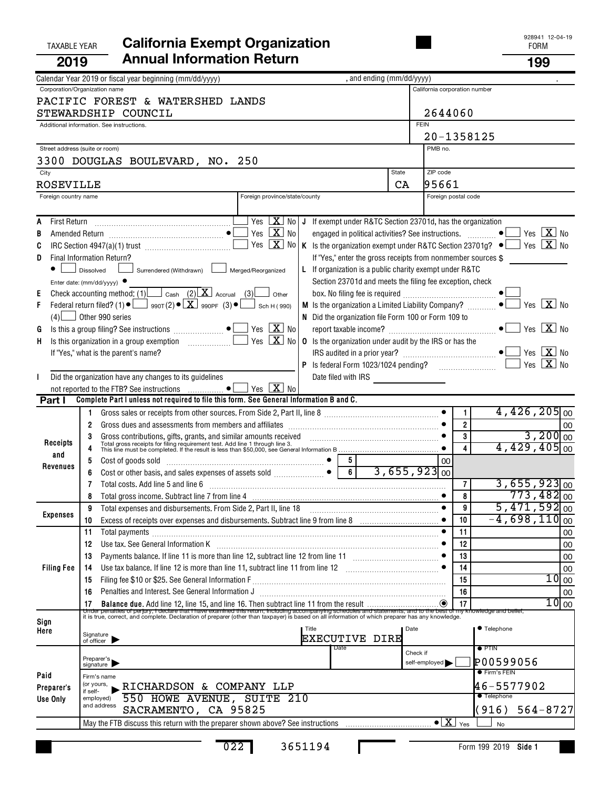|                                      | <b>TAXABLE YEAR</b>                                                                                        | <b>California Exempt Organization</b>                                                                                                                                                                                                                                                                                                                                                                                                                            |                                                                                                                                                                             |                                                                                                                                                                                                                                                                                                                                                                                                                                                                                                             |                           |             |                                          |                                  | 928941 12-04-19<br><b>FORM</b>                                                                    |                                                           |
|--------------------------------------|------------------------------------------------------------------------------------------------------------|------------------------------------------------------------------------------------------------------------------------------------------------------------------------------------------------------------------------------------------------------------------------------------------------------------------------------------------------------------------------------------------------------------------------------------------------------------------|-----------------------------------------------------------------------------------------------------------------------------------------------------------------------------|-------------------------------------------------------------------------------------------------------------------------------------------------------------------------------------------------------------------------------------------------------------------------------------------------------------------------------------------------------------------------------------------------------------------------------------------------------------------------------------------------------------|---------------------------|-------------|------------------------------------------|----------------------------------|---------------------------------------------------------------------------------------------------|-----------------------------------------------------------|
| 2019                                 |                                                                                                            | <b>Annual Information Return</b>                                                                                                                                                                                                                                                                                                                                                                                                                                 |                                                                                                                                                                             |                                                                                                                                                                                                                                                                                                                                                                                                                                                                                                             |                           |             |                                          |                                  | 199                                                                                               |                                                           |
|                                      |                                                                                                            | Calendar Year 2019 or fiscal year beginning (mm/dd/yyyy)                                                                                                                                                                                                                                                                                                                                                                                                         |                                                                                                                                                                             |                                                                                                                                                                                                                                                                                                                                                                                                                                                                                                             | , and ending (mm/dd/yyyy) |             |                                          |                                  |                                                                                                   |                                                           |
|                                      | Corporation/Organization name<br>Additional information. See instructions.                                 | PACIFIC FOREST & WATERSHED LANDS<br>STEWARDSHIP COUNCIL                                                                                                                                                                                                                                                                                                                                                                                                          |                                                                                                                                                                             |                                                                                                                                                                                                                                                                                                                                                                                                                                                                                                             |                           | <b>FEIN</b> | California corporation number<br>2644060 |                                  |                                                                                                   |                                                           |
|                                      | Street address (suite or room)                                                                             |                                                                                                                                                                                                                                                                                                                                                                                                                                                                  |                                                                                                                                                                             |                                                                                                                                                                                                                                                                                                                                                                                                                                                                                                             |                           |             | 20-1358125<br>PMB no.                    |                                  |                                                                                                   |                                                           |
|                                      |                                                                                                            | 3300 DOUGLAS BOULEVARD, NO. 250                                                                                                                                                                                                                                                                                                                                                                                                                                  |                                                                                                                                                                             |                                                                                                                                                                                                                                                                                                                                                                                                                                                                                                             |                           |             |                                          |                                  |                                                                                                   |                                                           |
| City                                 |                                                                                                            |                                                                                                                                                                                                                                                                                                                                                                                                                                                                  |                                                                                                                                                                             |                                                                                                                                                                                                                                                                                                                                                                                                                                                                                                             | <b>State</b>              |             | ZIP code                                 |                                  |                                                                                                   |                                                           |
| ROSEVILLE                            |                                                                                                            |                                                                                                                                                                                                                                                                                                                                                                                                                                                                  |                                                                                                                                                                             |                                                                                                                                                                                                                                                                                                                                                                                                                                                                                                             |                           | CA          | 195661                                   |                                  |                                                                                                   |                                                           |
| Foreign country name                 |                                                                                                            |                                                                                                                                                                                                                                                                                                                                                                                                                                                                  | Foreign province/state/county                                                                                                                                               |                                                                                                                                                                                                                                                                                                                                                                                                                                                                                                             |                           |             | Foreign postal code                      |                                  |                                                                                                   |                                                           |
| A<br>B<br>C<br>D<br>E<br>F<br>G<br>H | Final Information Return?<br>Dissolved<br>Enter date: ( $mm/dd/yyyy$ ) $\bullet$<br>$(4)$ Other 990 series | Surrendered (Withdrawn) L<br>Check accounting method: (1) $\Box$ Cash (2) $\Box$ Accrual (3) other<br>Federal return filed? (1) $\bullet$ $\Box$ 990T(2) $\bullet$ $\boxed{\mathbf{X}}$ 990PF (3) $\bullet$ $\boxed{\phantom{0}}$ Sch H(990)<br>If "Yes," what is the parent's name?<br>Did the organization have any changes to its guidelines                                                                                                                  | Yes $X_{0}$<br>Yes $\boxed{\mathbf{X}}$ No<br>Yes $X$ No<br>Merged/Reorganized<br>Yes $\boxed{\mathbf{X}}$ No<br>Yes $\boxed{\mathbf{X}}$ No<br>Yes $\boxed{\mathbf{X}}$ No | J If exempt under R&TC Section 23701d, has the organization<br>engaged in political activities? See instructions.  ● L<br>K Is the organization exempt under R&TC Section 23701g? $\bullet$<br>If "Yes," enter the gross receipts from nonmember sources \$<br>L If organization is a public charity exempt under R&TC<br>Section 23701d and meets the filing fee exception, check<br>N Did the organization file Form 100 or Form 109 to<br><b>0</b> Is the organization under audit by the IRS or has the |                           |             |                                          |                                  | Yes $X$ No<br>Yes $X$ No<br>Yes $X$ No<br>Yes $X$ No<br>Yes $\boxed{\mathbf{X}}$ No<br>Yes $X$ No |                                                           |
| Part I                               |                                                                                                            | Complete Part I unless not required to file this form. See General Information B and C.                                                                                                                                                                                                                                                                                                                                                                          |                                                                                                                                                                             |                                                                                                                                                                                                                                                                                                                                                                                                                                                                                                             |                           |             |                                          |                                  |                                                                                                   |                                                           |
| Receipts<br>and                      | 2<br>3                                                                                                     | Gross dues and assessments from members and affiliates [11] contains and according the substitution of the strategy of the strategy of the strategy of the strategy of the strategy of the strategy of the strategy of the str<br>Gross contributions, gifts, grants, and similar amounts received contained and the contributions, gifts, grants, and similar amounts received contained and the state of Total gross receipts for filing requirement test. Add |                                                                                                                                                                             |                                                                                                                                                                                                                                                                                                                                                                                                                                                                                                             |                           |             |                                          | 1.<br>$\overline{2}$<br>3<br>4   | $4,426,205$ <sub>00</sub><br>$4,429,405$ <sub>00</sub>                                            | 00<br>$3,200$ <sub>00</sub>                               |
| Revenues                             | 5<br>6                                                                                                     | Cost of goods sold with a cost of goods sold with a continuum control of the cost of goods sold<br>Cost or other basis, and sales expenses of assets sold<br>Total costs. Add line 5 and line 6                                                                                                                                                                                                                                                                  |                                                                                                                                                                             | 5.<br>6<br>$\bullet$                                                                                                                                                                                                                                                                                                                                                                                                                                                                                        |                           |             | 00<br>$3,655,923$ <sub>00</sub>          | 7                                | $3,655,923$ <sub>00</sub>                                                                         |                                                           |
| <b>Expenses</b>                      | 8<br>9<br>10                                                                                               | Total expenses and disbursements. From Side 2, Part II, line 18                                                                                                                                                                                                                                                                                                                                                                                                  |                                                                                                                                                                             |                                                                                                                                                                                                                                                                                                                                                                                                                                                                                                             |                           |             |                                          | 8<br>9<br>10                     | $773,482$ <sub>00</sub><br>$5,471,592$ <sub>00</sub><br>$-4,698,110$ <sub>00</sub>                |                                                           |
| <b>Filing Fee</b>                    | 11<br>12<br>13<br>14<br>15<br>16<br>17                                                                     | Total payments [111] Total payments [11] Total payments [11] Total payments [11] Total payments [11] Total payments [11] Total payments [11] Total payments [11] Total payments [11] Total payments [11] Total payments [11] T<br>Use tax. See General Information K <b>manufacture in the contract of the Contract A</b><br>Penalties and Interest. See General Information J                                                                                   |                                                                                                                                                                             |                                                                                                                                                                                                                                                                                                                                                                                                                                                                                                             |                           |             |                                          | 11<br>12<br>13<br>14<br>15<br>16 |                                                                                                   | 00<br>00<br>00<br>00<br>$10$ 00<br>00<br>10 <sub>00</sub> |
| Sign<br>Here                         | Signature<br>of officer                                                                                    | It is true, correct, and complete. Declaration of preparer (other than taxpayer) is based on all information of which preparer has any knowledge.                                                                                                                                                                                                                                                                                                                | Title                                                                                                                                                                       | <b>EXECUTIVE DIRE</b><br>Date                                                                                                                                                                                                                                                                                                                                                                                                                                                                               |                           | Date        |                                          |                                  | ● Telephone<br>$\bullet$ PTIN                                                                     |                                                           |
| Paid<br>Preparer's<br>Use Only       | Preparer's<br>signature<br>Firm's name<br>(or yours,<br>if self-<br>employed)<br>and address               | <b>RICHARDSON &amp; COMPANY LLP</b><br>550 HOWE AVENUE, SUITE 210<br>SACRAMENTO, CA 95825                                                                                                                                                                                                                                                                                                                                                                        |                                                                                                                                                                             |                                                                                                                                                                                                                                                                                                                                                                                                                                                                                                             |                           | Check if    | self-employed                            |                                  | P00599056<br>● Firm's FEIN<br>46-5577902<br><b>Telephone</b><br>(916)<br>$564 - 8727$             |                                                           |
|                                      |                                                                                                            |                                                                                                                                                                                                                                                                                                                                                                                                                                                                  |                                                                                                                                                                             |                                                                                                                                                                                                                                                                                                                                                                                                                                                                                                             |                           |             |                                          |                                  | No                                                                                                |                                                           |

Г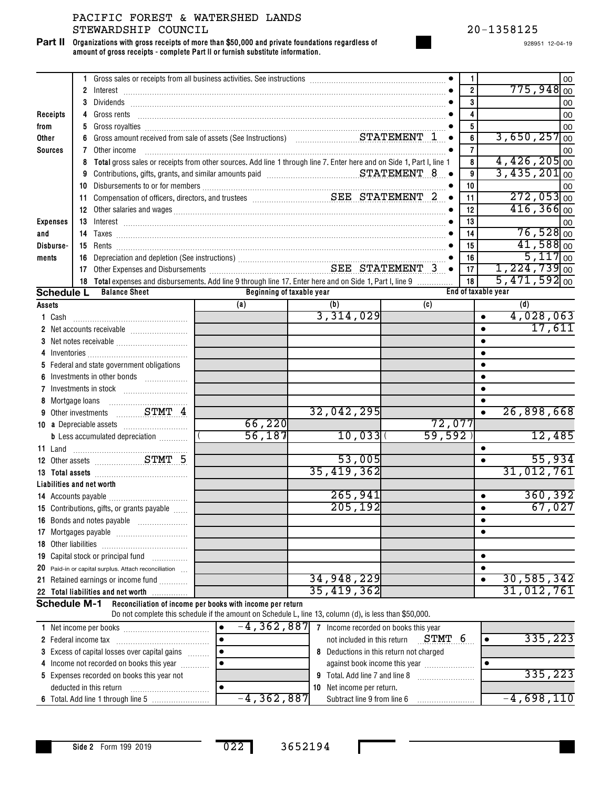**Organizations with gross receipts of more than \$50,000 and private foundations regardless of amount of gross receipts - complete Part II or furnish substitute information. Part II**

|                           |    |                                                                                                                                                                                                                                               |                                                                                                        |            |        |           | 1                         |           |                            |                         | 00 |
|---------------------------|----|-----------------------------------------------------------------------------------------------------------------------------------------------------------------------------------------------------------------------------------------------|--------------------------------------------------------------------------------------------------------|------------|--------|-----------|---------------------------|-----------|----------------------------|-------------------------|----|
|                           |    |                                                                                                                                                                                                                                               |                                                                                                        |            |        |           | $\overline{2}$            |           |                            | $775,948$ 00            |    |
|                           | 3  |                                                                                                                                                                                                                                               |                                                                                                        |            |        |           | 3<br>4                    |           |                            |                         | 00 |
| Receipts                  |    |                                                                                                                                                                                                                                               |                                                                                                        |            |        |           |                           |           |                            |                         | 00 |
| from                      | 5  |                                                                                                                                                                                                                                               |                                                                                                        |            |        |           | 5                         |           | 3,650,257                  |                         | 00 |
| Other                     | 6  |                                                                                                                                                                                                                                               |                                                                                                        |            |        |           | 6                         |           |                            |                         | 00 |
| <b>Sources</b>            | 7  | Other income                                                                                                                                                                                                                                  |                                                                                                        |            |        |           | $\overline{7}$            |           | $4,426,205$ <sub>00</sub>  |                         | 00 |
|                           | 8  | Total gross sales or receipts from other sources. Add line 1 through line 7. Enter here and on Side 1, Part I, line 1                                                                                                                         |                                                                                                        |            |        |           | 8                         |           | $3,435,201$ <sub>00</sub>  |                         |    |
|                           | 9  | Contributions, gifts, grants, and similar amounts paid material material material strategy of the STATEMENT 8                                                                                                                                 |                                                                                                        |            |        |           | 9                         |           |                            |                         |    |
|                           | 10 |                                                                                                                                                                                                                                               |                                                                                                        |            |        |           | 10                        |           |                            | $272,053$ <sub>00</sub> | 00 |
|                           | 11 |                                                                                                                                                                                                                                               |                                                                                                        |            |        | $\bullet$ | 11                        |           |                            | $416,366$ 00            |    |
|                           |    | 12 Other salaries and wages <b>construction and the construction</b> of the salaries and wages <b>of the construction of the construction</b> of the salaries and wages <b>of the construction</b> of the salaries of the salaries of the sal |                                                                                                        |            |        |           | 12                        |           |                            |                         |    |
| <b>Expenses</b>           |    |                                                                                                                                                                                                                                               |                                                                                                        |            |        |           | 13                        |           |                            | $76,528$ <sub>00</sub>  | 00 |
| and                       |    |                                                                                                                                                                                                                                               |                                                                                                        |            |        |           | 14                        |           |                            | $41,588$ <sub>00</sub>  |    |
| Disburse-                 |    |                                                                                                                                                                                                                                               |                                                                                                        |            |        |           | 15                        |           |                            | $5,117$ 00              |    |
| ments                     |    |                                                                                                                                                                                                                                               |                                                                                                        |            |        |           | 16                        |           | $1,224,739$ <sub>00</sub>  |                         |    |
|                           |    |                                                                                                                                                                                                                                               |                                                                                                        |            |        |           | 17                        |           | $5,471,592]$ <sub>00</sub> |                         |    |
| <b>Schedule L</b>         |    | 18 Total expenses and disbursements. Add line 9 through line 17. Enter here and on Side 1, Part I, line 9<br><b>Balance Sheet</b>                                                                                                             | Beginning of taxable year                                                                              |            |        |           | 18<br>End of taxable year |           |                            |                         |    |
|                           |    |                                                                                                                                                                                                                                               | (a)                                                                                                    | (b)        |        | (c)       |                           |           | (d)                        |                         |    |
| Assets                    |    |                                                                                                                                                                                                                                               |                                                                                                        | 3,314,029  |        |           |                           | $\bullet$ |                            | 4,028,063               |    |
| 1 Cash                    |    |                                                                                                                                                                                                                                               |                                                                                                        |            |        |           |                           | $\bullet$ |                            | 17,611                  |    |
|                           |    |                                                                                                                                                                                                                                               |                                                                                                        |            |        |           |                           | $\bullet$ |                            |                         |    |
|                           |    |                                                                                                                                                                                                                                               |                                                                                                        |            |        |           |                           | $\bullet$ |                            |                         |    |
|                           |    | 5 Federal and state government obligations                                                                                                                                                                                                    |                                                                                                        |            |        |           |                           | $\bullet$ |                            |                         |    |
|                           |    |                                                                                                                                                                                                                                               |                                                                                                        |            |        |           |                           | $\bullet$ |                            |                         |    |
|                           |    |                                                                                                                                                                                                                                               |                                                                                                        |            |        |           |                           | ٠         |                            |                         |    |
|                           |    |                                                                                                                                                                                                                                               |                                                                                                        |            |        |           |                           |           |                            |                         |    |
|                           |    | 9 Other investments  STMT 4                                                                                                                                                                                                                   |                                                                                                        | 32,042,295 |        |           |                           | $\bullet$ | 26,898,668                 |                         |    |
|                           |    |                                                                                                                                                                                                                                               | 66,220                                                                                                 |            |        | 72,077    |                           |           |                            |                         |    |
|                           |    | <b>b</b> Less accumulated depreciation <i></i>                                                                                                                                                                                                | 56,187                                                                                                 |            | 10,033 | 59,592    |                           |           |                            | 12,485                  |    |
|                           |    |                                                                                                                                                                                                                                               |                                                                                                        |            |        |           |                           | $\bullet$ |                            |                         |    |
|                           |    | 11 Land<br>12 Other assets<br>27MT 5                                                                                                                                                                                                          |                                                                                                        |            | 53,005 |           |                           | $\bullet$ |                            | 55,934                  |    |
|                           |    |                                                                                                                                                                                                                                               |                                                                                                        | 35,419,362 |        |           |                           |           | 31,012,761                 |                         |    |
| Liabilities and net worth |    |                                                                                                                                                                                                                                               |                                                                                                        |            |        |           |                           |           |                            |                         |    |
|                           |    |                                                                                                                                                                                                                                               |                                                                                                        | 265,941    |        |           |                           | $\bullet$ |                            | 360, 392                |    |
|                           |    | <b>15</b> Contributions, gifts, or grants payable                                                                                                                                                                                             |                                                                                                        | 205, 192   |        |           |                           | $\bullet$ |                            | 67,027                  |    |
|                           |    | 16 Bonds and notes payable                                                                                                                                                                                                                    |                                                                                                        |            |        |           |                           | ٠         |                            |                         |    |
|                           |    |                                                                                                                                                                                                                                               |                                                                                                        |            |        |           |                           | ٠         |                            |                         |    |
|                           |    |                                                                                                                                                                                                                                               |                                                                                                        |            |        |           |                           |           |                            |                         |    |
|                           |    | 19 Capital stock or principal fund                                                                                                                                                                                                            |                                                                                                        |            |        |           |                           | $\bullet$ |                            |                         |    |
|                           |    | 20 Paid-in or capital surplus. Attach reconciliation                                                                                                                                                                                          |                                                                                                        |            |        |           |                           | ٠         |                            |                         |    |
|                           |    | 21 Retained earnings or income fund                                                                                                                                                                                                           |                                                                                                        | 34,948,229 |        |           |                           | $\bullet$ | 30,585,342                 |                         |    |
|                           |    | 22 Total liabilities and net worth                                                                                                                                                                                                            |                                                                                                        | 35,419,362 |        |           |                           |           | 31,012,761                 |                         |    |
| <b>Schedule M-1</b>       |    |                                                                                                                                                                                                                                               | Reconciliation of income per books with income per return                                              |            |        |           |                           |           |                            |                         |    |
|                           |    |                                                                                                                                                                                                                                               | Do not complete this schedule if the amount on Schedule L, line 13, column (d), is less than \$50,000. |            |        |           |                           |           |                            |                         |    |

| Net income per books                                 | $-4, 362, 887$ | Income recorded on books this year         |              |
|------------------------------------------------------|----------------|--------------------------------------------|--------------|
| 2 Federal income tax                                 |                | STMT<br>not included in this return        | 335,223      |
| <b>3</b> Excess of capital losses over capital gains |                | Deductions in this return not charged<br>8 |              |
| 4 Income not recorded on books this year             |                | against book income this year              |              |
| 5 Expenses recorded on books this year not           |                | 9 Total. Add line 7 and line 8             | 335,223      |
| deducted in this return                              |                | 10 Net income per return.                  |              |
|                                                      | $-4,362,887$   | Subtract line 9 from line 6                | $-4,698,110$ |

п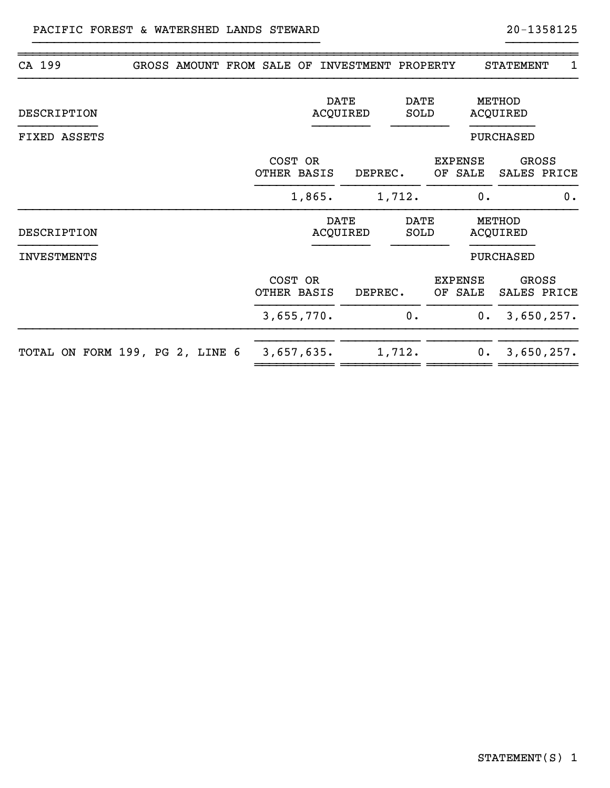|  |                                 |                           |                                                                                        |                                                    |                                        |                                            |                                                                               | 1                                                                                      |
|--|---------------------------------|---------------------------|----------------------------------------------------------------------------------------|----------------------------------------------------|----------------------------------------|--------------------------------------------|-------------------------------------------------------------------------------|----------------------------------------------------------------------------------------|
|  |                                 |                           |                                                                                        |                                                    |                                        |                                            |                                                                               |                                                                                        |
|  |                                 |                           |                                                                                        |                                                    |                                        |                                            |                                                                               |                                                                                        |
|  |                                 |                           |                                                                                        |                                                    |                                        |                                            |                                                                               | <b>GROSS</b><br>SALES PRICE                                                            |
|  |                                 |                           |                                                                                        |                                                    |                                        | 0.                                         |                                                                               | 0.                                                                                     |
|  |                                 |                           |                                                                                        |                                                    |                                        |                                            |                                                                               |                                                                                        |
|  |                                 |                           |                                                                                        |                                                    |                                        |                                            |                                                                               |                                                                                        |
|  |                                 |                           |                                                                                        |                                                    |                                        |                                            |                                                                               | GROSS<br>SALES PRICE                                                                   |
|  |                                 |                           |                                                                                        | 0.                                                 |                                        | $0$ .                                      |                                                                               | 3,650,257.                                                                             |
|  |                                 |                           |                                                                                        |                                                    |                                        | $0$ .                                      |                                                                               | 3,650,257.                                                                             |
|  | TOTAL ON FORM 199, PG 2, LINE 6 | GROSS AMOUNT FROM SALE OF | COST OR<br>OTHER BASIS<br>1,865.<br>COST OR<br>OTHER BASIS<br>3,655,770.<br>3,657,635. | <b>DATE</b><br>ACQUIRED<br><b>DATE</b><br>ACQUIRED | DEPREC.<br>1,712.<br>DEPREC.<br>1,712. | <b>DATE</b><br>SOLD<br><b>DATE</b><br>SOLD | INVESTMENT PROPERTY<br><b>EXPENSE</b><br>OF SALE<br><b>EXPENSE</b><br>OF SALE | <b>STATEMENT</b><br>METHOD<br>ACQUIRED<br>PURCHASED<br>METHOD<br>ACQUIRED<br>PURCHASED |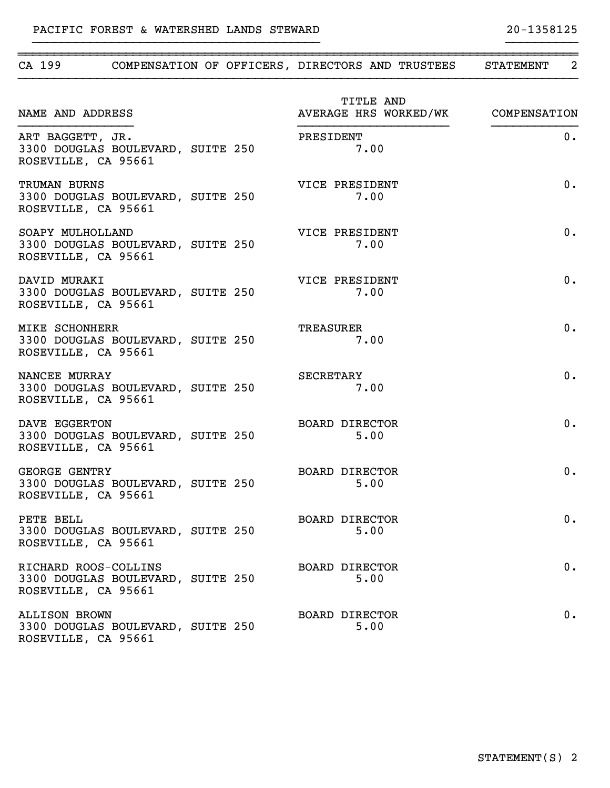| CA 199                                                                           |  |  |                               | COMPENSATION OF OFFICERS, DIRECTORS AND TRUSTEES | STATEMENT 2                        |
|----------------------------------------------------------------------------------|--|--|-------------------------------|--------------------------------------------------|------------------------------------|
| NAME AND ADDRESS                                                                 |  |  | TITLE AND                     |                                                  | AVERAGE HRS WORKED/WK COMPENSATION |
| ART BAGGETT, JR.<br>3300 DOUGLAS BOULEVARD, SUITE 250<br>ROSEVILLE, CA 95661     |  |  | PRESIDENT<br>7.00             |                                                  | 0.                                 |
| TRUMAN BURNS<br>3300 DOUGLAS BOULEVARD, SUITE 250<br>ROSEVILLE, CA 95661         |  |  | VICE PRESIDENT<br>7.00        |                                                  | 0.                                 |
| SOAPY MULHOLLAND<br>3300 DOUGLAS BOULEVARD, SUITE 250<br>ROSEVILLE, CA 95661     |  |  | VICE PRESIDENT<br>7.00        |                                                  | 0.                                 |
| DAVID MURAKI<br>3300 DOUGLAS BOULEVARD, SUITE 250<br>ROSEVILLE, CA 95661         |  |  | VICE PRESIDENT<br>7.00        |                                                  | 0.                                 |
| MIKE SCHONHERR<br>3300 DOUGLAS BOULEVARD, SUITE 250<br>ROSEVILLE, CA 95661       |  |  | TREASURER<br>7.00             |                                                  | 0.                                 |
| NANCEE MURRAY<br>3300 DOUGLAS BOULEVARD, SUITE 250<br>ROSEVILLE, CA 95661        |  |  | SECRETARY<br>7.00             |                                                  | 0.                                 |
| DAVE EGGERTON<br>3300 DOUGLAS BOULEVARD, SUITE 250<br>ROSEVILLE, CA 95661        |  |  | <b>BOARD DIRECTOR</b><br>5.00 |                                                  | 0.                                 |
| <b>GEORGE GENTRY</b><br>3300 DOUGLAS BOULEVARD, SUITE 250<br>ROSEVILLE, CA 95661 |  |  | <b>BOARD DIRECTOR</b><br>5.00 |                                                  | 0.                                 |
| PETE BELL<br>3300 DOUGLAS BOULEVARD, SUITE 250<br>ROSEVILLE, CA 95661            |  |  | BOARD DIRECTOR<br>5.00        |                                                  | $0$ .                              |
| RICHARD ROOS-COLLINS<br>3300 DOUGLAS BOULEVARD, SUITE 250<br>ROSEVILLE, CA 95661 |  |  | <b>BOARD DIRECTOR</b><br>5.00 |                                                  | 0.                                 |
| <b>ALLISON BROWN</b><br>3300 DOUGLAS BOULEVARD, SUITE 250<br>ROSEVILLE, CA 95661 |  |  | <b>BOARD DIRECTOR</b><br>5.00 |                                                  | 0.                                 |

~~~~~~~~~~~~~~~~~~~~~~~~~~~~~~~~~~~~~~~~~~~~~~~~~~~~~~~~~~~~~~~~~~~~~~~~~~~~~~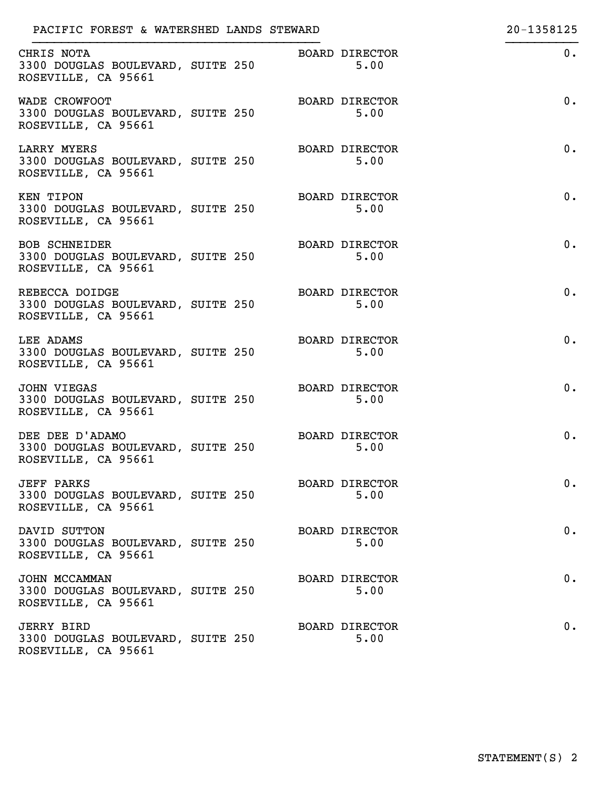| PACIFIC FOREST & WATERSHED LANDS STEWARD                                         |  |                               | 20-1358125 |
|----------------------------------------------------------------------------------|--|-------------------------------|------------|
| CHRIS NOTA<br>3300 DOUGLAS BOULEVARD, SUITE 250<br>ROSEVILLE, CA 95661           |  | <b>BOARD DIRECTOR</b><br>5.00 | 0.         |
| WADE CROWFOOT<br>3300 DOUGLAS BOULEVARD, SUITE 250<br>ROSEVILLE, CA 95661        |  | BOARD DIRECTOR<br>5.00        | 0.         |
| <b>LARRY MYERS</b><br>3300 DOUGLAS BOULEVARD, SUITE 250<br>ROSEVILLE, CA 95661   |  | <b>BOARD DIRECTOR</b><br>5.00 | 0.         |
| KEN TIPON<br>3300 DOUGLAS BOULEVARD, SUITE 250<br>ROSEVILLE, CA 95661            |  | <b>BOARD DIRECTOR</b><br>5.00 | 0.         |
| <b>BOB SCHNEIDER</b><br>3300 DOUGLAS BOULEVARD, SUITE 250<br>ROSEVILLE, CA 95661 |  | <b>BOARD DIRECTOR</b><br>5.00 | 0.         |
| REBECCA DOIDGE<br>3300 DOUGLAS BOULEVARD, SUITE 250<br>ROSEVILLE, CA 95661       |  | <b>BOARD DIRECTOR</b><br>5.00 | 0.         |
| LEE ADAMS<br>3300 DOUGLAS BOULEVARD, SUITE 250<br>ROSEVILLE, CA 95661            |  | <b>BOARD DIRECTOR</b><br>5.00 | 0.         |
| <b>JOHN VIEGAS</b><br>3300 DOUGLAS BOULEVARD, SUITE 250<br>ROSEVILLE, CA 95661   |  | <b>BOARD DIRECTOR</b><br>5.00 | 0.         |
| DEE DEE D'ADAMO<br>3300 DOUGLAS BOULEVARD, SUITE 250<br>ROSEVILLE, CA 95661      |  | <b>BOARD DIRECTOR</b><br>5.00 | 0.         |
| <b>JEFF PARKS</b><br>3300 DOUGLAS BOULEVARD, SUITE 250<br>ROSEVILLE, CA 95661    |  | BOARD DIRECTOR<br>5.00        | 0.         |
| DAVID SUTTON<br>3300 DOUGLAS BOULEVARD, SUITE 250<br>ROSEVILLE, CA 95661         |  | <b>BOARD DIRECTOR</b><br>5.00 | 0.         |
| JOHN MCCAMMAN<br>3300 DOUGLAS BOULEVARD, SUITE 250<br>ROSEVILLE, CA 95661        |  | <b>BOARD DIRECTOR</b><br>5.00 | 0.         |
| <b>JERRY BIRD</b><br>3300 DOUGLAS BOULEVARD, SUITE 250<br>ROSEVILLE, CA 95661    |  | <b>BOARD DIRECTOR</b><br>5.00 | 0.         |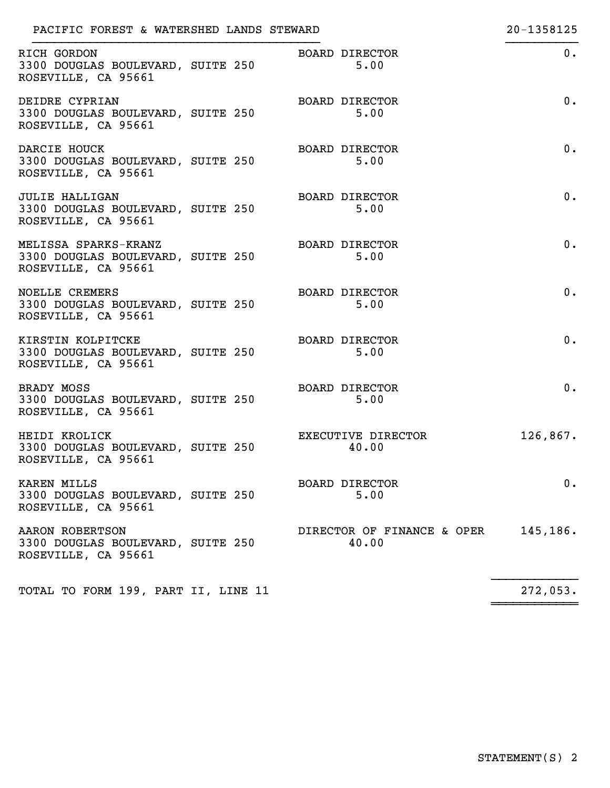| PACIFIC FOREST & WATERSHED LANDS STEWARD                                          |                                     | 20-1358125 |
|-----------------------------------------------------------------------------------|-------------------------------------|------------|
| RICH GORDON<br>3300 DOUGLAS BOULEVARD, SUITE 250<br>ROSEVILLE, CA 95661           | <b>BOARD DIRECTOR</b><br>5.00       | $0$ .      |
| DEIDRE CYPRIAN<br>3300 DOUGLAS BOULEVARD, SUITE 250<br>ROSEVILLE, CA 95661        | <b>BOARD DIRECTOR</b><br>5.00       | $0$ .      |
| DARCIE HOUCK<br>3300 DOUGLAS BOULEVARD, SUITE 250<br>ROSEVILLE, CA 95661          | <b>BOARD DIRECTOR</b><br>5.00       | $0$ .      |
| <b>JULIE HALLIGAN</b><br>3300 DOUGLAS BOULEVARD, SUITE 250<br>ROSEVILLE, CA 95661 | <b>BOARD DIRECTOR</b><br>5.00       | $0$ .      |
| MELISSA SPARKS-KRANZ<br>3300 DOUGLAS BOULEVARD, SUITE 250<br>ROSEVILLE, CA 95661  | <b>BOARD DIRECTOR</b><br>5.00       | $0$ .      |
| <b>NOELLE CREMERS</b><br>3300 DOUGLAS BOULEVARD, SUITE 250<br>ROSEVILLE, CA 95661 | <b>BOARD DIRECTOR</b><br>5.00       | 0.         |
| KIRSTIN KOLPITCKE<br>3300 DOUGLAS BOULEVARD, SUITE 250<br>ROSEVILLE, CA 95661     | <b>BOARD DIRECTOR</b><br>5.00       | $0$ .      |
| BRADY MOSS<br>3300 DOUGLAS BOULEVARD, SUITE 250<br>ROSEVILLE, CA 95661            | <b>BOARD DIRECTOR</b><br>5.00       | $0$ .      |
| HEIDI KROLICK<br>3300 DOUGLAS BOULEVARD, SUITE 250<br>ROSEVILLE, CA 95661         | EXECUTIVE DIRECTOR<br>40.00         | 126,867.   |
| KAREN MILLS<br>3300 DOUGLAS BOULEVARD, SUITE 250<br>ROSEVILLE, CA 95661           | BOARD DIRECTOR<br>5.00              | $0$ .      |
| AARON ROBERTSON<br>3300 DOUGLAS BOULEVARD, SUITE 250<br>ROSEVILLE, CA 95661       | DIRECTOR OF FINANCE & OPER<br>40.00 | 145,186.   |
| TOTAL TO FORM 199, PART II, LINE 11                                               |                                     | 272,053.   |
|                                                                                   |                                     |            |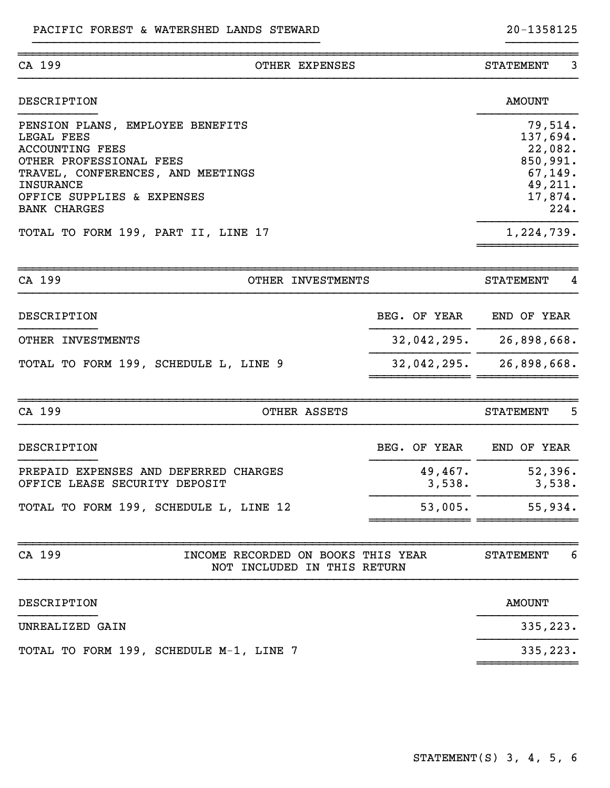| CA 199                                                                 | OTHER EXPENSES                     |                           | <b>STATEMENT</b>    | 3    |
|------------------------------------------------------------------------|------------------------------------|---------------------------|---------------------|------|
| DESCRIPTION                                                            |                                    |                           | <b>AMOUNT</b>       |      |
| PENSION PLANS, EMPLOYEE BENEFITS<br>LEGAL FEES                         |                                    |                           | 79,514.<br>137,694. |      |
| <b>ACCOUNTING FEES</b><br>OTHER PROFESSIONAL FEES                      |                                    |                           | 22,082.<br>850,991. |      |
| TRAVEL, CONFERENCES, AND MEETINGS                                      |                                    |                           | 67,149.             |      |
| <b>INSURANCE</b>                                                       |                                    |                           | 49,211.             |      |
| OFFICE SUPPLIES & EXPENSES<br><b>BANK CHARGES</b>                      |                                    |                           | 17,874.             | 224. |
| TOTAL TO FORM 199, PART II, LINE 17                                    |                                    |                           | 1,224,739.          |      |
|                                                                        |                                    |                           |                     |      |
| CA 199                                                                 | OTHER INVESTMENTS                  |                           | <b>STATEMENT</b>    | 4    |
| DESCRIPTION                                                            |                                    | BEG. OF YEAR              | END OF YEAR         |      |
| OTHER INVESTMENTS                                                      |                                    | $32,042,295.$ 26,898,668. |                     |      |
| TOTAL TO FORM 199, SCHEDULE L, LINE 9                                  |                                    | $32,042,295.$ 26,898,668. |                     |      |
| CA 199                                                                 | OTHER ASSETS                       |                           | <b>STATEMENT</b>    | 5    |
| DESCRIPTION                                                            |                                    | BEG. OF YEAR              | END OF YEAR         |      |
| PREPAID EXPENSES AND DEFERRED CHARGES<br>OFFICE LEASE SECURITY DEPOSIT |                                    | 49,467.<br>3,538.         | 52,396.<br>3,538.   |      |
| TOTAL TO FORM 199, SCHEDULE L, LINE 12                                 |                                    | 53,005.                   | 55,934.             |      |
| CA 199                                                                 | INCOME RECORDED ON BOOKS THIS YEAR |                           | <b>STATEMENT</b>    | 6    |
|                                                                        | NOT INCLUDED IN THIS RETURN        |                           |                     |      |
| DESCRIPTION                                                            |                                    |                           | <b>AMOUNT</b>       |      |
| UNREALIZED GAIN                                                        |                                    |                           | 335,223.            |      |
| TOTAL TO FORM 199, SCHEDULE M-1, LINE 7                                |                                    |                           | 335,223.            |      |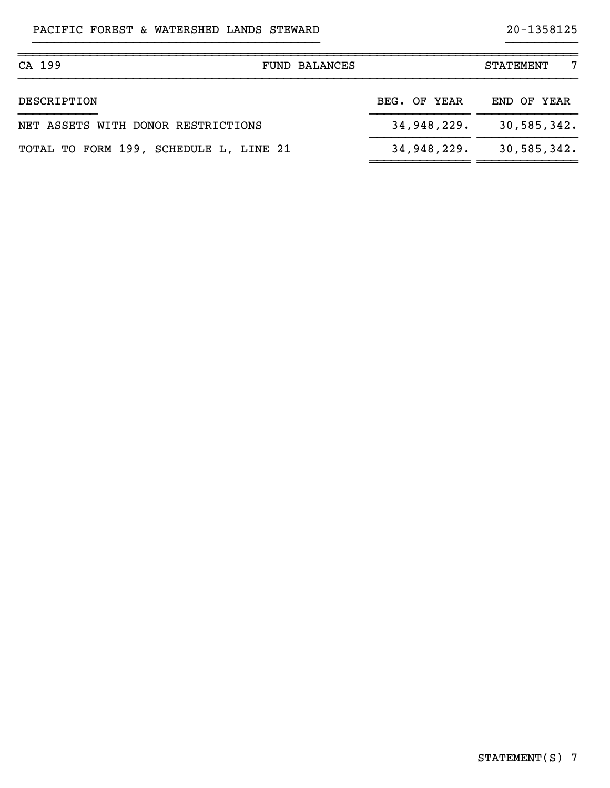| CA 199<br><b>FUND BALANCES</b>         |              | 7<br><b>STATEMENT</b> |
|----------------------------------------|--------------|-----------------------|
| DESCRIPTION                            | BEG. OF YEAR | END OF YEAR           |
| NET ASSETS WITH DONOR RESTRICTIONS     | 34,948,229.  | 30,585,342.           |
| TOTAL TO FORM 199, SCHEDULE L, LINE 21 | 34,948,229.  | 30,585,342.           |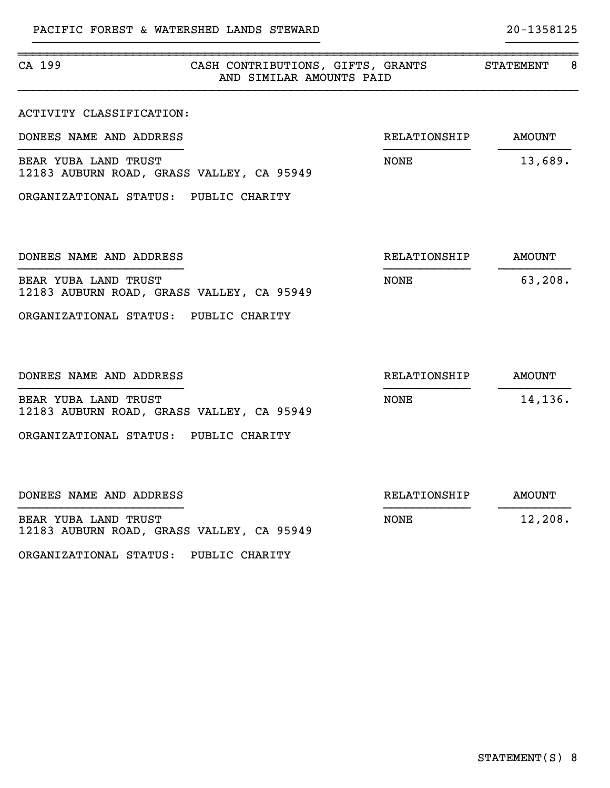| CA 199                                                            | CASH CONTRIBUTIONS, GIFTS, GRANTS<br>AND SIMILAR AMOUNTS PAID |              | 8<br>STATEMENT |
|-------------------------------------------------------------------|---------------------------------------------------------------|--------------|----------------|
| ACTIVITY CLASSIFICATION:                                          |                                                               |              |                |
| DONEES NAME AND ADDRESS                                           |                                                               | RELATIONSHIP | <b>AMOUNT</b>  |
| BEAR YUBA LAND TRUST<br>12183 AUBURN ROAD, GRASS VALLEY, CA 95949 |                                                               | <b>NONE</b>  | 13,689.        |
| ORGANIZATIONAL STATUS: PUBLIC CHARITY                             |                                                               |              |                |
| DONEES NAME AND ADDRESS                                           |                                                               | RELATIONSHIP | <b>AMOUNT</b>  |
| BEAR YUBA LAND TRUST<br>12183 AUBURN ROAD, GRASS VALLEY, CA 95949 |                                                               | <b>NONE</b>  | 63,208.        |
| ORGANIZATIONAL STATUS: PUBLIC CHARITY                             |                                                               |              |                |
| DONEES NAME AND ADDRESS                                           |                                                               | RELATIONSHIP | <b>AMOUNT</b>  |
| BEAR YUBA LAND TRUST<br>12183 AUBURN ROAD, GRASS VALLEY, CA 95949 |                                                               | <b>NONE</b>  | 14,136.        |
| ORGANIZATIONAL STATUS: PUBLIC CHARITY                             |                                                               |              |                |
| DONEES NAME AND ADDRESS                                           |                                                               | RELATIONSHIP | <b>AMOUNT</b>  |
| BEAR YUBA LAND TRUST<br>12183 AUBURN ROAD, GRASS VALLEY, CA 95949 |                                                               | <b>NONE</b>  | 12,208.        |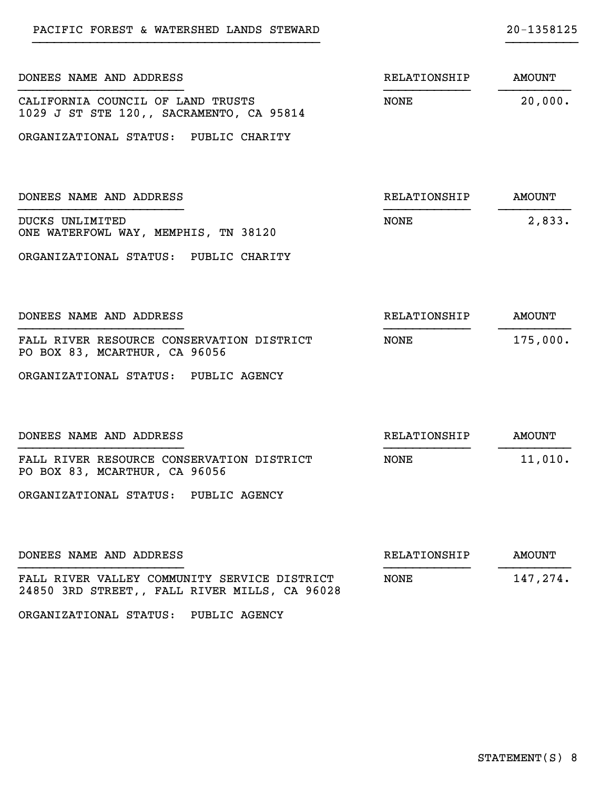| DONEES NAME AND ADDRESS                                                                       | RELATIONSHIP        | AMOUNT        |
|-----------------------------------------------------------------------------------------------|---------------------|---------------|
| CALIFORNIA COUNCIL OF LAND TRUSTS<br>1029 J ST STE 120,, SACRAMENTO, CA 95814                 | NONE                | 20,000.       |
| ORGANIZATIONAL STATUS: PUBLIC CHARITY                                                         |                     |               |
| DONEES NAME AND ADDRESS                                                                       | RELATIONSHIP        | <b>AMOUNT</b> |
| DUCKS UNLIMITED<br>ONE WATERFOWL WAY, MEMPHIS, TN 38120                                       | NONE                | 2,833.        |
| ORGANIZATIONAL STATUS: PUBLIC CHARITY                                                         |                     |               |
| DONEES NAME AND ADDRESS                                                                       | RELATIONSHIP        | <b>AMOUNT</b> |
| FALL RIVER RESOURCE CONSERVATION DISTRICT<br>PO BOX 83, MCARTHUR, CA 96056                    | NONE                | 175,000.      |
| ORGANIZATIONAL STATUS: PUBLIC AGENCY                                                          |                     |               |
| DONEES NAME AND ADDRESS                                                                       | RELATIONSHIP        | <b>AMOUNT</b> |
| FALL RIVER RESOURCE CONSERVATION DISTRICT<br>PO BOX 83, MCARTHUR, CA 96056                    | NONE                | 11,010.       |
| ORGANIZATIONAL STATUS: PUBLIC AGENCY                                                          |                     |               |
| DONEES NAME AND ADDRESS                                                                       | <b>RELATIONSHIP</b> | <b>AMOUNT</b> |
| FALL RIVER VALLEY COMMUNITY SERVICE DISTRICT<br>24850 3RD STREET,, FALL RIVER MILLS, CA 96028 | <b>NONE</b>         | 147,274.      |

ORGANIZATIONAL STATUS: PUBLIC AGENCY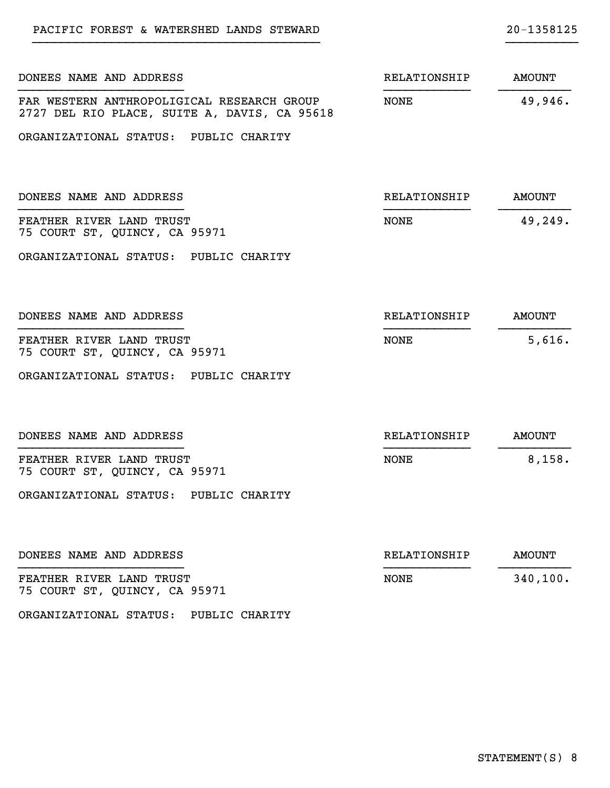| DONEES NAME AND ADDRESS                                                                    | RELATIONSHIP | <b>AMOUNT</b> |
|--------------------------------------------------------------------------------------------|--------------|---------------|
| FAR WESTERN ANTHROPOLIGICAL RESEARCH GROUP<br>2727 DEL RIO PLACE, SUITE A, DAVIS, CA 95618 | NONE         | 49,946.       |
| ORGANIZATIONAL STATUS: PUBLIC CHARITY                                                      |              |               |
| DONEES NAME AND ADDRESS                                                                    | RELATIONSHIP | <b>AMOUNT</b> |
| FEATHER RIVER LAND TRUST<br>75 COURT ST, QUINCY, CA 95971                                  | NONE         | 49,249.       |
| ORGANIZATIONAL STATUS: PUBLIC CHARITY                                                      |              |               |
| DONEES NAME AND ADDRESS                                                                    | RELATIONSHIP | <b>AMOUNT</b> |
| FEATHER RIVER LAND TRUST<br>75 COURT ST, QUINCY, CA 95971                                  | NONE         | 5,616.        |
| ORGANIZATIONAL STATUS: PUBLIC CHARITY                                                      |              |               |
| DONEES NAME AND ADDRESS                                                                    | RELATIONSHIP | <b>AMOUNT</b> |
| FEATHER RIVER LAND TRUST<br>75 COURT ST, QUINCY, CA 95971                                  | <b>NONE</b>  | 8,158.        |
| ORGANIZATIONAL STATUS: PUBLIC CHARITY                                                      |              |               |
| DONEES NAME AND ADDRESS                                                                    | RELATIONSHIP | <b>AMOUNT</b> |
| FEATHER RIVER LAND TRUST<br>75 COURT ST, QUINCY, CA 95971                                  | <b>NONE</b>  | 340, 100.     |
|                                                                                            |              |               |

PACIFIC FOREST & WATERSHED LANDS STEWARD 20-1358125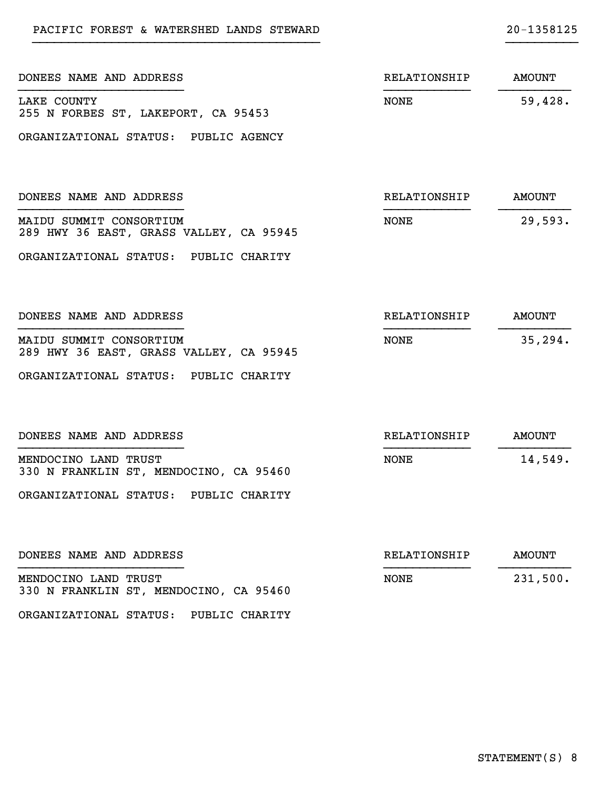| DONEES NAME AND ADDRESS                                            | RELATIONSHIP | <b>AMOUNT</b> |
|--------------------------------------------------------------------|--------------|---------------|
| LAKE COUNTY<br>255 N FORBES ST, LAKEPORT, CA 95453                 | NONE         | 59,428.       |
| ORGANIZATIONAL STATUS: PUBLIC AGENCY                               |              |               |
| DONEES NAME AND ADDRESS                                            | RELATIONSHIP | <b>AMOUNT</b> |
| MAIDU SUMMIT CONSORTIUM<br>289 HWY 36 EAST, GRASS VALLEY, CA 95945 | NONE         | 29,593.       |
| ORGANIZATIONAL STATUS: PUBLIC CHARITY                              |              |               |
| DONEES NAME AND ADDRESS                                            | RELATIONSHIP | <b>AMOUNT</b> |
| MAIDU SUMMIT CONSORTIUM<br>289 HWY 36 EAST, GRASS VALLEY, CA 95945 | NONE         | 35, 294.      |
| ORGANIZATIONAL STATUS: PUBLIC CHARITY                              |              |               |
| DONEES NAME AND ADDRESS                                            | RELATIONSHIP | <b>AMOUNT</b> |
| MENDOCINO LAND TRUST<br>330 N FRANKLIN ST, MENDOCINO, CA 95460     | NONE         | 14,549.       |
| ORGANIZATIONAL STATUS: PUBLIC CHARITY                              |              |               |
| DONEES NAME AND ADDRESS                                            | RELATIONSHIP | <b>AMOUNT</b> |
| MENDOCINO LAND TRUST<br>330 N FRANKLIN ST, MENDOCINO, CA 95460     | <b>NONE</b>  | 231,500.      |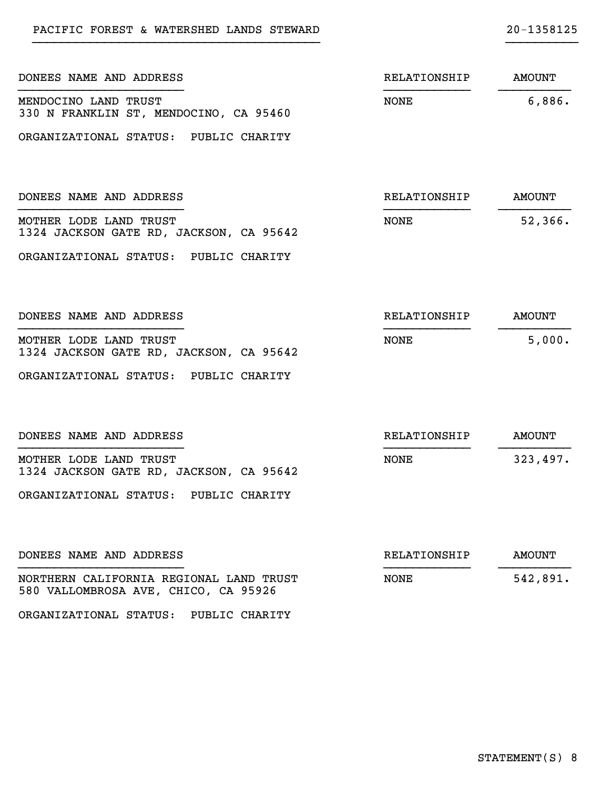| DONEES NAME AND ADDRESS                                                         | RELATIONSHIP | <b>AMOUNT</b> |
|---------------------------------------------------------------------------------|--------------|---------------|
| MENDOCINO LAND TRUST<br>330 N FRANKLIN ST, MENDOCINO, CA 95460                  | <b>NONE</b>  | 6,886.        |
| ORGANIZATIONAL STATUS: PUBLIC CHARITY                                           |              |               |
| DONEES NAME AND ADDRESS                                                         | RELATIONSHIP | <b>AMOUNT</b> |
| MOTHER LODE LAND TRUST<br>1324 JACKSON GATE RD, JACKSON, CA 95642               | <b>NONE</b>  | 52,366.       |
| ORGANIZATIONAL STATUS: PUBLIC CHARITY                                           |              |               |
| DONEES NAME AND ADDRESS                                                         | RELATIONSHIP | <b>AMOUNT</b> |
| MOTHER LODE LAND TRUST<br>1324 JACKSON GATE RD, JACKSON, CA 95642               | <b>NONE</b>  | 5,000.        |
| ORGANIZATIONAL STATUS: PUBLIC CHARITY                                           |              |               |
| DONEES NAME AND ADDRESS                                                         | RELATIONSHIP | <b>AMOUNT</b> |
| MOTHER LODE LAND TRUST<br>1324 JACKSON GATE RD, JACKSON, CA 95642               | NONE         | 323,497.      |
| ORGANIZATIONAL STATUS: PUBLIC CHARITY                                           |              |               |
| DONEES NAME AND ADDRESS                                                         | RELATIONSHIP | <b>AMOUNT</b> |
| NORTHERN CALIFORNIA REGIONAL LAND TRUST<br>580 VALLOMBROSA AVE, CHICO, CA 95926 | <b>NONE</b>  | 542,891.      |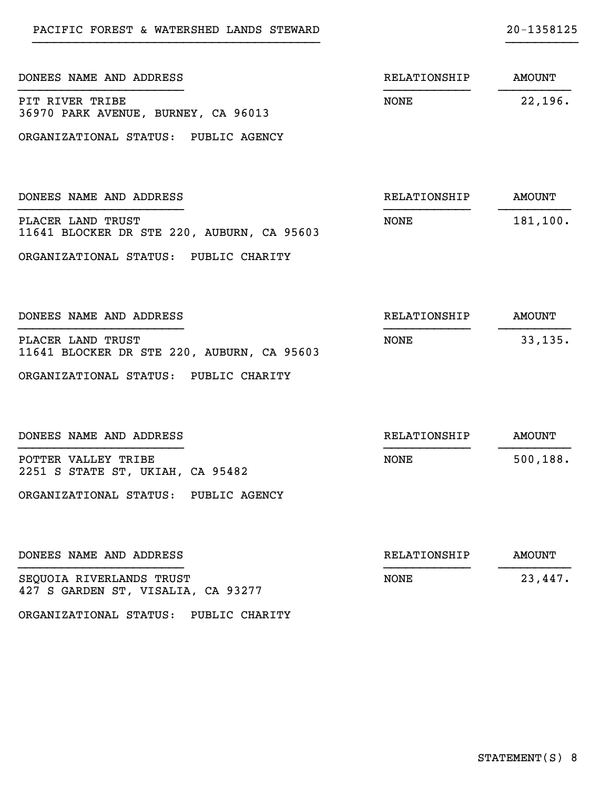| DONEES NAME AND ADDRESS                                         | RELATIONSHIP | <b>AMOUNT</b> |
|-----------------------------------------------------------------|--------------|---------------|
| PIT RIVER TRIBE<br>36970 PARK AVENUE, BURNEY, CA 96013          | NONE         | 22,196.       |
| ORGANIZATIONAL STATUS: PUBLIC AGENCY                            |              |               |
|                                                                 |              |               |
| DONEES NAME AND ADDRESS                                         | RELATIONSHIP | <b>AMOUNT</b> |
| PLACER LAND TRUST<br>11641 BLOCKER DR STE 220, AUBURN, CA 95603 | NONE         | 181,100.      |
| ORGANIZATIONAL STATUS: PUBLIC CHARITY                           |              |               |
|                                                                 |              |               |
| DONEES NAME AND ADDRESS                                         | RELATIONSHIP | <b>AMOUNT</b> |
| PLACER LAND TRUST<br>11641 BLOCKER DR STE 220, AUBURN, CA 95603 | NONE         | 33, 135.      |
| ORGANIZATIONAL STATUS: PUBLIC CHARITY                           |              |               |
|                                                                 |              |               |
| DONEES NAME AND ADDRESS                                         | RELATIONSHIP | <b>AMOUNT</b> |
| POTTER VALLEY TRIBE<br>2251 S STATE ST, UKIAH, CA 95482         | NONE         | 500, 188.     |
| ORGANIZATIONAL STATUS: PUBLIC AGENCY                            |              |               |
|                                                                 |              |               |
| DONEES NAME AND ADDRESS                                         | RELATIONSHIP | <b>AMOUNT</b> |
| SEQUOIA RIVERLANDS TRUST<br>427 S GARDEN ST, VISALIA, CA 93277  | <b>NONE</b>  | 23,447.       |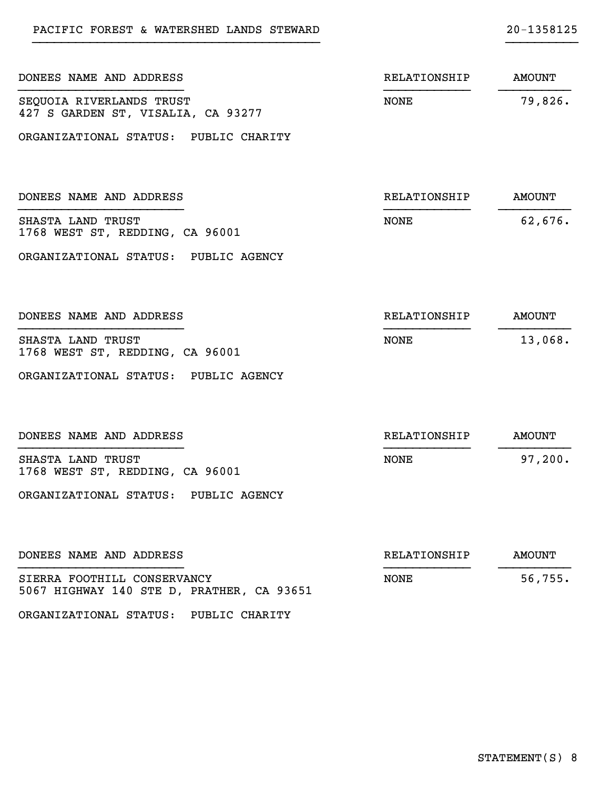| DONEES NAME AND ADDRESS                                                  | RELATIONSHIP | AMOUNT        |
|--------------------------------------------------------------------------|--------------|---------------|
| SEQUOIA RIVERLANDS TRUST<br>427 S GARDEN ST, VISALIA, CA 93277           | <b>NONE</b>  | 79,826.       |
| ORGANIZATIONAL STATUS: PUBLIC CHARITY                                    |              |               |
| DONEES NAME AND ADDRESS                                                  | RELATIONSHIP | <b>AMOUNT</b> |
| SHASTA LAND TRUST<br>1768 WEST ST, REDDING, CA 96001                     | <b>NONE</b>  | 62,676.       |
| ORGANIZATIONAL STATUS: PUBLIC AGENCY                                     |              |               |
| DONEES NAME AND ADDRESS                                                  | RELATIONSHIP | AMOUNT        |
| SHASTA LAND TRUST<br>1768 WEST ST, REDDING, CA 96001                     | <b>NONE</b>  | 13,068.       |
| ORGANIZATIONAL STATUS: PUBLIC AGENCY                                     |              |               |
| DONEES NAME AND ADDRESS                                                  | RELATIONSHIP | AMOUNT        |
| SHASTA LAND TRUST<br>1768 WEST ST, REDDING, CA 96001                     | <b>NONE</b>  | 97,200.       |
| ORGANIZATIONAL STATUS: PUBLIC AGENCY                                     |              |               |
| DONEES NAME AND ADDRESS                                                  | RELATIONSHIP | <b>AMOUNT</b> |
| SIERRA FOOTHILL CONSERVANCY<br>5067 HIGHWAY 140 STE D, PRATHER, CA 93651 | <b>NONE</b>  | 56, 755.      |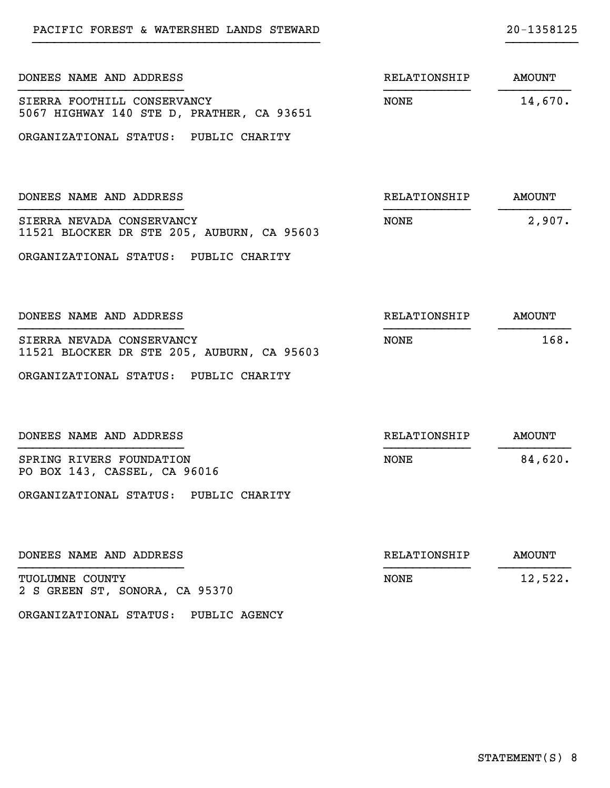| DONEES NAME AND ADDRESS                                                  | RELATIONSHIP | AMOUNT        |
|--------------------------------------------------------------------------|--------------|---------------|
| SIERRA FOOTHILL CONSERVANCY<br>5067 HIGHWAY 140 STE D, PRATHER, CA 93651 | NONE         | 14,670.       |
| ORGANIZATIONAL STATUS: PUBLIC CHARITY                                    |              |               |
| DONEES NAME AND ADDRESS                                                  | RELATIONSHIP | <b>AMOUNT</b> |
| SIERRA NEVADA CONSERVANCY<br>11521 BLOCKER DR STE 205, AUBURN, CA 95603  | NONE         | 2,907.        |
| ORGANIZATIONAL STATUS: PUBLIC CHARITY                                    |              |               |
| DONEES NAME AND ADDRESS                                                  | RELATIONSHIP | <b>AMOUNT</b> |
| SIERRA NEVADA CONSERVANCY<br>11521 BLOCKER DR STE 205, AUBURN, CA 95603  | NONE         | 168.          |
| ORGANIZATIONAL STATUS: PUBLIC CHARITY                                    |              |               |
| DONEES NAME AND ADDRESS                                                  | RELATIONSHIP | <b>AMOUNT</b> |
| SPRING RIVERS FOUNDATION<br>PO BOX 143, CASSEL, CA 96016                 | NONE         | 84,620.       |
| ORGANIZATIONAL STATUS: PUBLIC CHARITY                                    |              |               |
| DONEES NAME AND ADDRESS                                                  | RELATIONSHIP | <b>AMOUNT</b> |
| TUOLUMNE COUNTY<br>2 S GREEN ST, SONORA, CA 95370                        | <b>NONE</b>  | 12,522.       |

ORGANIZATIONAL STATUS: PUBLIC AGENCY